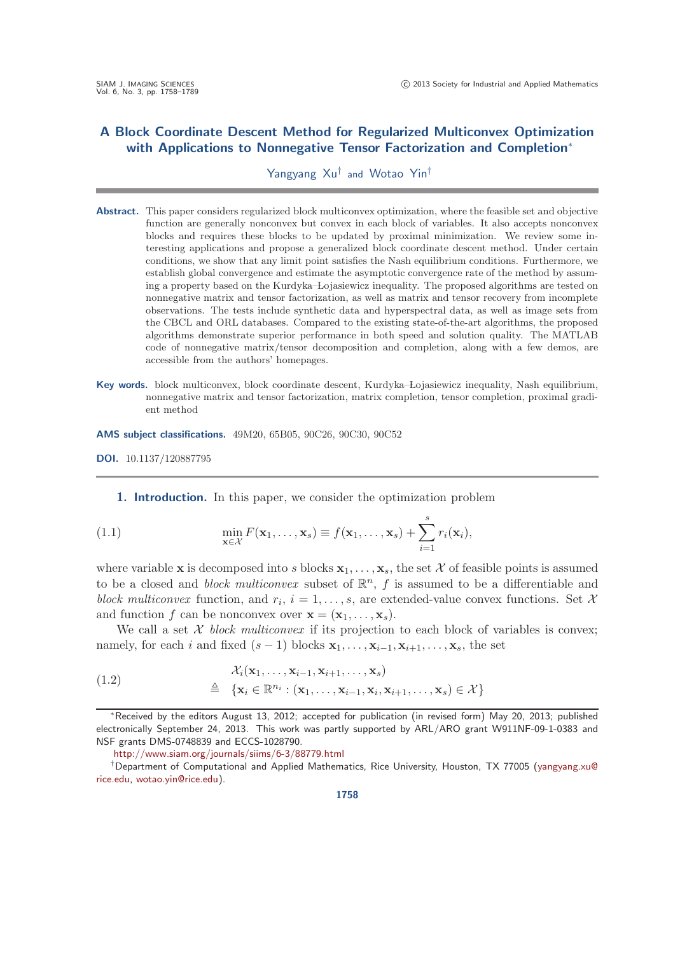# **A Block Coordinate Descent Method for Regularized Multiconvex Optimization with Applications to Nonnegative Tensor Factorization and Completion**<sup>∗</sup>

## Yangyang Xu† and Wotao Yin†

- **Abstract.** This paper considers regularized block multiconvex optimization, where the feasible set and objective function are generally nonconvex but convex in each block of variables. It also accepts nonconvex blocks and requires these blocks to be updated by proximal minimization. We review some interesting applications and propose a generalized block coordinate descent method. Under certain conditions, we show that any limit point satisfies the Nash equilibrium conditions. Furthermore, we establish global convergence and estimate the asymptotic convergence rate of the method by assuming a property based on the Kurdyka–-Lojasiewicz inequality. The proposed algorithms are tested on nonnegative matrix and tensor factorization, as well as matrix and tensor recovery from incomplete observations. The tests include synthetic data and hyperspectral data, as well as image sets from the CBCL and ORL databases. Compared to the existing state-of-the-art algorithms, the proposed algorithms demonstrate superior performance in both speed and solution quality. The MATLAB code of nonnegative matrix/tensor decomposition and completion, along with a few demos, are accessible from the authors' homepages.
- Key words. block multiconvex, block coordinate descent, Kurdyka-Łojasiewicz inequality, Nash equilibrium, nonnegative matrix and tensor factorization, matrix completion, tensor completion, proximal gradient method

**AMS subject classifications.** 49M20, 65B05, 90C26, 90C30, 90C52

**DOI.** 10.1137/120887795

<span id="page-0-0"></span>**1. Introduction.** In this paper, we consider the optimization problem

(1.1) 
$$
\min_{\mathbf{x}\in\mathcal{X}} F(\mathbf{x}_1,\ldots,\mathbf{x}_s) \equiv f(\mathbf{x}_1,\ldots,\mathbf{x}_s) + \sum_{i=1}^s r_i(\mathbf{x}_i),
$$

where variable **x** is decomposed into s blocks  $\mathbf{x}_1, \ldots, \mathbf{x}_s$ , the set X of feasible points is assumed to be a closed and *block multiconvex* subset of  $\mathbb{R}^n$ , f is assumed to be a differentiable and *block multiconvex* function, and  $r_i$ ,  $i = 1, \ldots, s$ , are extended-value convex functions. Set X and function f can be nonconvex over  $\mathbf{x} = (\mathbf{x}_1, \dots, \mathbf{x}_s)$ .

We call a set  $X$  *block multiconvex* if its projection to each block of variables is convex; namely, for each i and fixed  $(s - 1)$  blocks  $\mathbf{x}_1, \ldots, \mathbf{x}_{i-1}, \mathbf{x}_{i+1}, \ldots, \mathbf{x}_s$ , the set

<span id="page-0-1"></span>(1.2) 
$$
\mathcal{X}_i(\mathbf{x}_1,\ldots,\mathbf{x}_{i-1},\mathbf{x}_{i+1},\ldots,\mathbf{x}_s) \triangleq \{ \mathbf{x}_i \in \mathbb{R}^{n_i} : (\mathbf{x}_1,\ldots,\mathbf{x}_{i-1},\mathbf{x}_i,\mathbf{x}_{i+1},\ldots,\mathbf{x}_s) \in \mathcal{X} \}
$$

<sup>∗</sup>Received by the editors August 13, 2012; accepted for publication (in revised form) May 20, 2013; published electronically September 24, 2013. This work was partly supported by ARL/ARO grant W911NF-09-1-0383 and NSF grants DMS-0748839 and ECCS-1028790.

<http://www.siam.org/journals/siims/6-3/88779.html>

<sup>†</sup>Department of Computational and Applied Mathematics, Rice University, Houston, TX 77005 [\(yangyang.xu@](mailto:yangyang.xu@rice.edu) [rice.edu,](mailto:yangyang.xu@rice.edu) [wotao.yin@rice.edu\)](mailto:wotao.yin@rice.edu).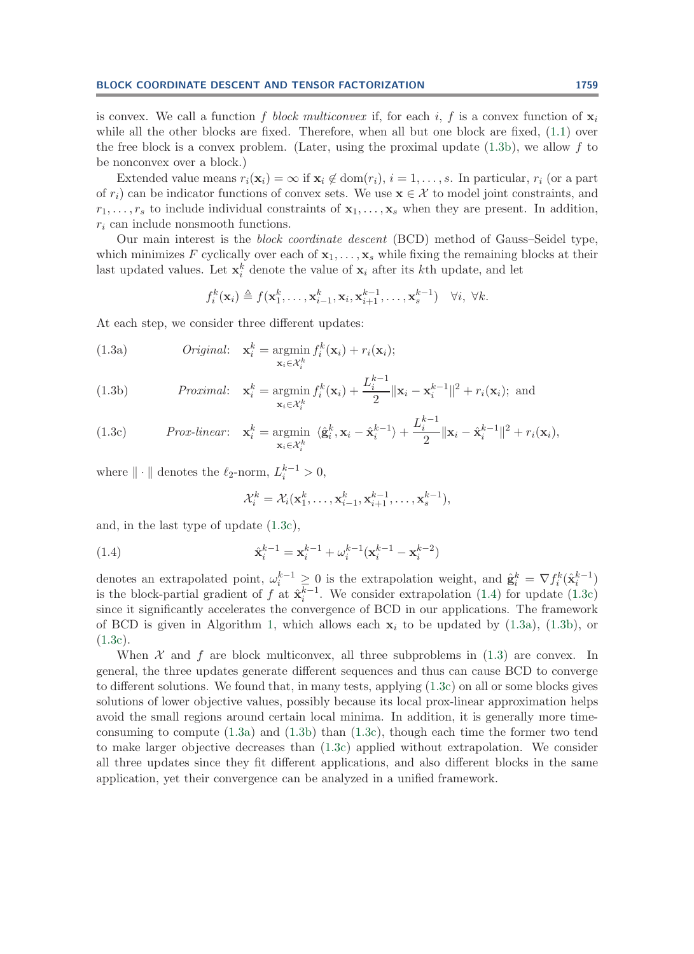is convex. We call a function f block multiconvex if, for each i, f is a convex function of  $\mathbf{x}_i$ while all the other blocks are fixed. Therefore, when all but one block are fixed,  $(1.1)$  over the free block is a convex problem. (Later, using the proximal update  $(1.3b)$ , we allow f to be nonconvex over a block.)

Extended value means  $r_i(\mathbf{x}_i) = \infty$  if  $\mathbf{x}_i \notin \text{dom}(r_i)$ ,  $i = 1, \ldots, s$ . In particular,  $r_i$  (or a part of  $r_i$ ) can be indicator functions of convex sets. We use  $\mathbf{x} \in \mathcal{X}$  to model joint constraints, and  $r_1, \ldots, r_s$  to include individual constraints of  $x_1, \ldots, x_s$  when they are present. In addition,  $r_i$  can include nonsmooth functions.

Our main interest is the *block coordinate descent* (BCD) method of Gauss–Seidel type, which minimizes F cyclically over each of  $x_1, \ldots, x_s$  while fixing the remaining blocks at their last updated values. Let  $\mathbf{x}_i^k$  denote the value of  $\mathbf{x}_i$  after its kth update, and let

<span id="page-1-4"></span>
$$
f_i^k(\mathbf{x}_i) \triangleq f(\mathbf{x}_1^k,\ldots,\mathbf{x}_{i-1}^k,\mathbf{x}_i,\mathbf{x}_{i+1}^{k-1},\ldots,\mathbf{x}_s^{k-1}) \quad \forall i, \ \forall k.
$$

At each step, we consider three different updates:

<span id="page-1-3"></span>(1.3a) *Original*: 
$$
\mathbf{x}_i^k = \operatorname*{argmin}_{\mathbf{x}_i \in \mathcal{X}_i^k} f_i^k(\mathbf{x}_i) + r_i(\mathbf{x}_i);
$$

<span id="page-1-0"></span>(1.3b) 
$$
Proximal: \mathbf{x}_i^k = \underset{\mathbf{x}_i \in \mathcal{X}_i^k}{\operatorname{argmin}} f_i^k(\mathbf{x}_i) + \frac{L_i^{k-1}}{2} \|\mathbf{x}_i - \mathbf{x}_i^{k-1}\|^2 + r_i(\mathbf{x}_i); \text{ and}
$$

<span id="page-1-1"></span>(1.3c) 
$$
Prox-linear: \mathbf{x}_i^k = \underset{\mathbf{x}_i \in \mathcal{X}_i^k}{\operatorname{argmin}} \langle \hat{\mathbf{g}}_i^k, \mathbf{x}_i - \hat{\mathbf{x}}_i^{k-1} \rangle + \frac{L_i^{k-1}}{2} \|\mathbf{x}_i - \hat{\mathbf{x}}_i^{k-1}\|^2 + r_i(\mathbf{x}_i),
$$

where  $\|\cdot\|$  denotes the  $\ell_2$ -norm,  $L_i^{k-1} > 0$ ,

<span id="page-1-2"></span>
$$
\mathcal{X}_i^k = \mathcal{X}_i(\mathbf{x}_1^k, \dots, \mathbf{x}_{i-1}^k, \mathbf{x}_{i+1}^{k-1}, \dots, \mathbf{x}_s^{k-1}),
$$

and, in the last type of update [\(1.3c\)](#page-1-1),

(1.4) 
$$
\hat{\mathbf{x}}_i^{k-1} = \mathbf{x}_i^{k-1} + \omega_i^{k-1} (\mathbf{x}_i^{k-1} - \mathbf{x}_i^{k-2})
$$

denotes an extrapolated point,  $\omega_i^{k-1} \geq 0$  is the extrapolation weight, and  $\hat{\mathbf{g}}_i^k = \nabla f_i^k(\hat{\mathbf{x}}_i^{k-1})$ is the block-partial gradient of f at  $\hat{\mathbf{x}}_i^{\overline{k}-1}$ . We consider extrapolation [\(1.4\)](#page-1-2) for update [\(1.3c\)](#page-1-1) since it significantly accelerates the convergence of BCD in our applications. The framework of BCD is given in Algorithm [1,](#page-2-0) which allows each  $x_i$  to be updated by  $(1.3a)$ ,  $(1.3b)$ , or  $(1.3c).$  $(1.3c).$ 

When  $\mathcal X$  and f are block multiconvex, all three subproblems in [\(1.3\)](#page-1-4) are convex. In general, the three updates generate different sequences and thus can cause BCD to converge to different solutions. We found that, in many tests, applying [\(1.3c\)](#page-1-1) on all or some blocks gives solutions of lower objective values, possibly because its local prox-linear approximation helps avoid the small regions around certain local minima. In addition, it is generally more timeconsuming to compute  $(1.3a)$  and  $(1.3b)$  than  $(1.3c)$ , though each time the former two tend to make larger objective decreases than [\(1.3c\)](#page-1-1) applied without extrapolation. We consider all three updates since they fit different applications, and also different blocks in the same application, yet their convergence can be analyzed in a unified framework.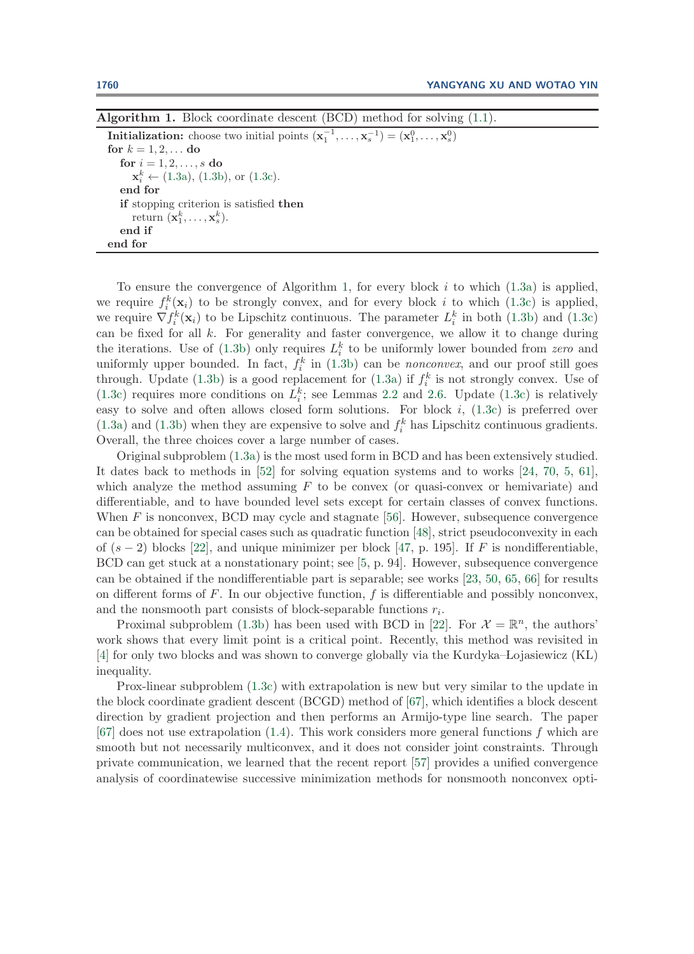<span id="page-2-0"></span>**Algorithm 1.** Block coordinate descent (BCD) method for solving [\(1.1\)](#page-0-0).

**Initialization:** choose two initial points  $(\mathbf{x}_1^{-1}, \ldots, \mathbf{x}_s^{-1}) = (\mathbf{x}_1^0, \ldots, \mathbf{x}_s^0)$ **for**  $k = 1, 2, ...$  **do for**  $i = 1, 2, ..., s$  **do**  $\mathbf{x}_i^k \leftarrow (1.3a), (1.3b), \text{ or } (1.3c).$  $\mathbf{x}_i^k \leftarrow (1.3a), (1.3b), \text{ or } (1.3c).$  $\mathbf{x}_i^k \leftarrow (1.3a), (1.3b), \text{ or } (1.3c).$  $\mathbf{x}_i^k \leftarrow (1.3a), (1.3b), \text{ or } (1.3c).$  $\mathbf{x}_i^k \leftarrow (1.3a), (1.3b), \text{ or } (1.3c).$  $\mathbf{x}_i^k \leftarrow (1.3a), (1.3b), \text{ or } (1.3c).$  $\mathbf{x}_i^k \leftarrow (1.3a), (1.3b), \text{ or } (1.3c).$ **end for if** stopping criterion is satisfied **then** return  $(\mathbf{x}_1^k, \ldots, \mathbf{x}_s^k)$ . **end if end for**

To ensure the convergence of Algorithm [1,](#page-2-0) for every block  $i$  to which  $(1.3a)$  is applied, we require  $f_i^k(\mathbf{x}_i)$  to be strongly convex, and for every block i to which [\(1.3c\)](#page-1-1) is applied, we require  $\nabla f_i^k(\mathbf{x}_i)$  to be Lipschitz continuous. The parameter  $L_i^k$  in both [\(1.3b\)](#page-1-0) and [\(1.3c\)](#page-1-1) can be fixed for all  $k$ . For generality and faster convergence, we allow it to change during the iterations. Use of  $(1.3b)$  only requires  $L_i^k$  to be uniformly lower bounded from *zero* and uniformly upper bounded. In fact,  $f_i^k$  in [\(1.3b\)](#page-1-0) can be *nonconvex*, and our proof still goes through. Update [\(1.3b\)](#page-1-0) is a good replacement for [\(1.3a\)](#page-1-3) if  $f_i^k$  is not strongly convex. Use of [\(1.3c\)](#page-1-1) requires more conditions on  $L_i^k$ ; see Lemmas [2.2](#page-7-0) and [2.6.](#page-12-0) Update (1.3c) is relatively easy to solve and often allows closed form solutions. For block  $i$ ,  $(1.3c)$  is preferred over [\(1.3a\)](#page-1-3) and [\(1.3b\)](#page-1-0) when they are expensive to solve and  $f_i^k$  has Lipschitz continuous gradients. Overall, the three choices cover a large number of cases.

Original subproblem [\(1.3a\)](#page-1-3) is the most used form in BCD and has been extensively studied. It dates back to methods in [\[52\]](#page-30-0) for solving equation systems and to works [\[24,](#page-29-0) [70,](#page-31-0) [5,](#page-28-0) [61\]](#page-31-1), which analyze the method assuming  $F$  to be convex (or quasi-convex or hemivariate) and differentiable, and to have bounded level sets except for certain classes of convex functions. When  $F$  is nonconvex, BCD may cycle and stagnate [\[56\]](#page-30-1). However, subsequence convergence can be obtained for special cases such as quadratic function [\[48\]](#page-30-2), strict pseudoconvexity in each of  $(s-2)$  blocks [\[22\]](#page-29-1), and unique minimizer per block [\[47,](#page-30-3) p. 195]. If F is nondifferentiable, BCD can get stuck at a nonstationary point; see [\[5,](#page-28-0) p. 94]. However, subsequence convergence can be obtained if the nondifferentiable part is separable; see works [\[23,](#page-29-2) [50,](#page-30-4) [65,](#page-31-2) [66\]](#page-31-3) for results on different forms of  $F$ . In our objective function,  $f$  is differentiable and possibly nonconvex, and the nonsmooth part consists of block-separable functions  $r_i$ .

Proximal subproblem [\(1.3b\)](#page-1-0) has been used with BCD in [\[22\]](#page-29-1). For  $\mathcal{X} = \mathbb{R}^n$ , the authors' work shows that every limit point is a critical point. Recently, this method was revisited in [\[4\]](#page-28-1) for only two blocks and was shown to converge globally via the Kurdyka–Lojasiewicz (KL) inequality.

Prox-linear subproblem [\(1.3c\)](#page-1-1) with extrapolation is new but very similar to the update in the block coordinate gradient descent (BCGD) method of [\[67\]](#page-31-4), which identifies a block descent direction by gradient projection and then performs an Armijo-type line search. The paper  $[67]$  does not use extrapolation  $(1.4)$ . This work considers more general functions f which are smooth but not necessarily multiconvex, and it does not consider joint constraints. Through private communication, we learned that the recent report [\[57\]](#page-30-5) provides a unified convergence analysis of coordinatewise successive minimization methods for nonsmooth nonconvex opti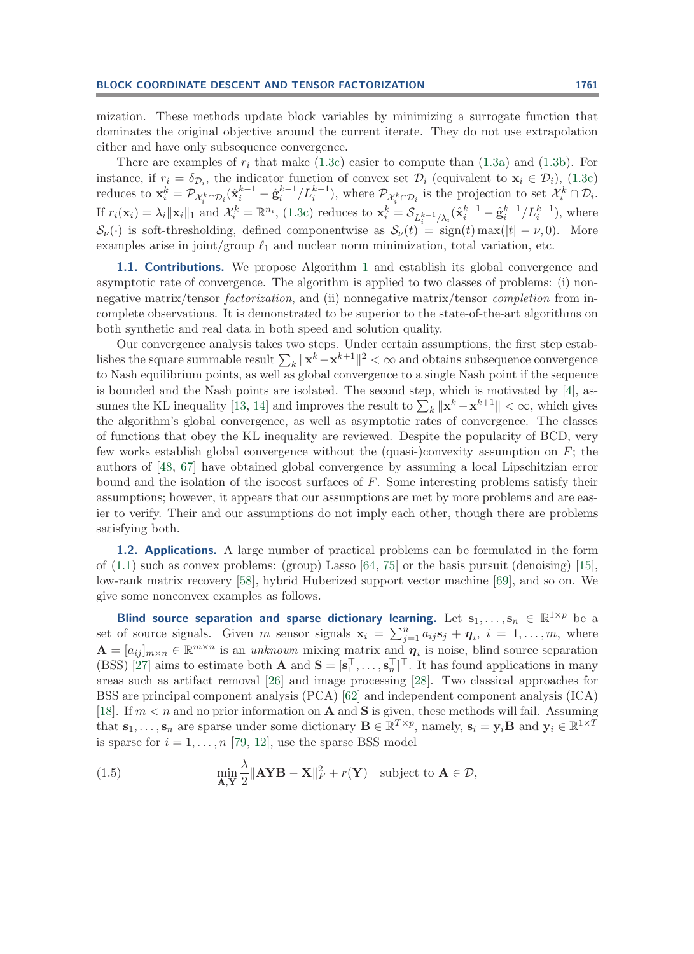mization. These methods update block variables by minimizing a surrogate function that dominates the original objective around the current iterate. They do not use extrapolation either and have only subsequence convergence.

There are examples of  $r_i$  that make [\(1.3c\)](#page-1-1) easier to compute than [\(1.3a\)](#page-1-3) and [\(1.3b\)](#page-1-0). For instance, if  $r_i = \delta_{\mathcal{D}_i}$ , the indicator function of convex set  $\mathcal{D}_i$  (equivalent to  $\mathbf{x}_i \in \mathcal{D}_i$ ), [\(1.3c\)](#page-1-1) reduces to  $\mathbf{x}_i^k = \mathcal{P}_{\mathcal{X}_i^k \cap \mathcal{D}_i}(\hat{\mathbf{x}}_i^{k-1} - \hat{\mathbf{g}}_i^{k-1}/L_i^{k-1}),$  where  $\mathcal{P}_{\mathcal{X}_i^k \cap \mathcal{D}_i}$  is the projection to set  $\mathcal{X}_i^k \cap \mathcal{D}_i$ . If  $r_i(\mathbf{x}_i) = \lambda_i \|\mathbf{x}_i\|_1$  and  $\mathcal{X}_i^k = \mathbb{R}^{n_i}$ , [\(1.3c\)](#page-1-1) reduces to  $\mathbf{x}_i^k = \mathcal{S}_{L_i^{k-1}/\lambda_i}(\hat{\mathbf{x}}_i^{k-1} - \hat{\mathbf{g}}_i^{k-1}/L_i^{k-1})$ , where  $S_{\nu}(\cdot)$  is soft-thresholding, defined componentwise as  $S_{\nu}(t) = \text{sign}(t) \max(|t| - \nu, 0)$ . More examples arise in joint/group  $\ell_1$  and nuclear norm minimization, total variation, etc.

**[1](#page-2-0).1. Contributions.** We propose Algorithm 1 and establish its global convergence and asymptotic rate of convergence. The algorithm is applied to two classes of problems: (i) nonnegative matrix/tensor *factorization*, and (ii) nonnegative matrix/tensor *completion* from incomplete observations. It is demonstrated to be superior to the state-of-the-art algorithms on both synthetic and real data in both speed and solution quality.

Our convergence analysis takes two steps. Under certain assumptions, the first step establishes the square summable result  $\sum_k ||\mathbf{x}^k - \mathbf{x}^{k+1}||^2 < \infty$  and obtains subsequence convergence to Nash equilibrium points, as well as global convergence to a single Nash point if the sequence is bounded and the Nash points are isolated. The second step, which is motivated by [\[4\]](#page-28-1), as-sumes the KL inequality [\[13,](#page-29-3) [14\]](#page-29-4) and improves the result to  $\sum_{k} ||\mathbf{x}^{k} - \mathbf{x}^{k+1}|| < \infty$ , which gives the algorithm's global convergence, as well as asymptotic rates of convergence. The classes of functions that obey the KL inequality are reviewed. Despite the popularity of BCD, very few works establish global convergence without the (quasi-)convexity assumption on  $F$ ; the authors of [\[48,](#page-30-2) [67\]](#page-31-4) have obtained global convergence by assuming a local Lipschitzian error bound and the isolation of the isocost surfaces of F. Some interesting problems satisfy their assumptions; however, it appears that our assumptions are met by more problems and are easier to verify. Their and our assumptions do not imply each other, though there are problems satisfying both.

**1.2. Applications.** A large number of practical problems can be formulated in the form of  $(1.1)$  such as convex problems: (group) Lasso  $[64, 75]$  $[64, 75]$  $[64, 75]$  or the basis pursuit (denoising) [\[15\]](#page-29-5), low-rank matrix recovery [\[58\]](#page-30-6), hybrid Huberized support vector machine [\[69\]](#page-31-7), and so on. We give some nonconvex examples as follows.

**Blind source separation and sparse dictionary learning.** Let  $s_1, \ldots, s_n \in \mathbb{R}^{1 \times p}$  be a set of source signals. Given m sensor signals  $\mathbf{x}_i = \sum_{j=1}^n a_{ij} \mathbf{s}_j + \boldsymbol{\eta}_i$ ,  $i = 1, \ldots, m$ , where  $\mathbf{A} = [a_{ij}]_{m \times n} \in \mathbb{R}^{m \times n}$  is an *unknown* mixing matrix and  $\boldsymbol{\eta}_i$  is noise, blind source separation (BSS) [\[27\]](#page-29-6) aims to estimate both **A** and  $S = [s_1^{\perp}, \ldots, s_n^{\perp}]^{\perp}$ . It has found applications in many areas such as artifact removal [\[26\]](#page-29-7) and image processing [\[28\]](#page-29-8). Two classical approaches for BSS are principal component analysis (PCA) [\[62\]](#page-31-8) and independent component analysis (ICA) [\[18\]](#page-29-9). If  $m < n$  and no prior information on **A** and **S** is given, these methods will fail. Assuming that  $\mathbf{s}_1,\ldots,\mathbf{s}_n$  are sparse under some dictionary  $\mathbf{B} \in \mathbb{R}^{T \times p}$ , namely,  $\mathbf{s}_i = \mathbf{y}_i \mathbf{B}$  and  $\mathbf{y}_i \in \mathbb{R}^{1 \times T}$ is sparse for  $i = 1, \ldots, n$  [\[79,](#page-31-9) [12\]](#page-29-10), use the sparse BSS model

<span id="page-3-0"></span>(1.5) 
$$
\min_{\mathbf{A}, \mathbf{Y}} \frac{\lambda}{2} \|\mathbf{A} \mathbf{Y} \mathbf{B} - \mathbf{X}\|_F^2 + r(\mathbf{Y}) \text{ subject to } \mathbf{A} \in \mathcal{D},
$$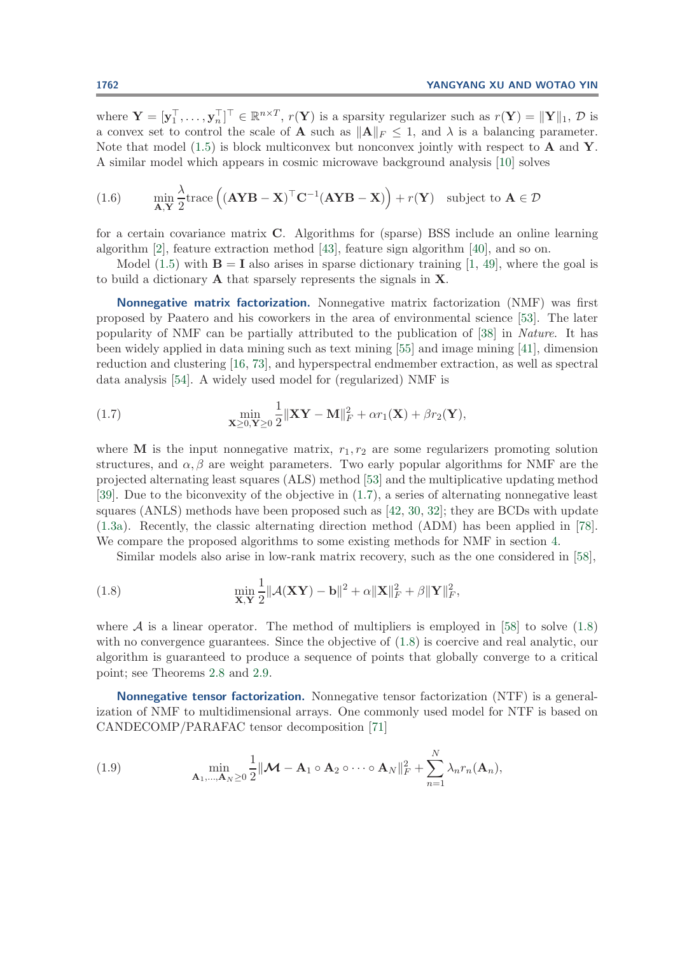where  $\mathbf{Y} = [\mathbf{y}_1^\top, \dots, \mathbf{y}_n^\top]^\top \in \mathbb{R}^{n \times T}$ ,  $r(\mathbf{Y})$  is a sparsity regularizer such as  $r(\mathbf{Y}) = ||\mathbf{Y}||_1$ ,  $\mathcal{D}$  is a convex set to control the scale of **A** such as  $||A||_F \le 1$ , and  $\lambda$  is a balancing parameter. Note that model [\(1.5\)](#page-3-0) is block multiconvex but nonconvex jointly with respect to **A** and **Y**. A similar model which appears in cosmic microwave background analysis [\[10\]](#page-29-11) solves

(1.6) 
$$
\min_{\mathbf{A}, \mathbf{Y}} \frac{\lambda}{2} \text{trace}\left((\mathbf{A}\mathbf{Y}\mathbf{B} - \mathbf{X})^{\top} \mathbf{C}^{-1} (\mathbf{A}\mathbf{Y}\mathbf{B} - \mathbf{X})\right) + r(\mathbf{Y}) \text{ subject to } \mathbf{A} \in \mathcal{D}
$$

for a certain covariance matrix **C**. Algorithms for (sparse) BSS include an online learning algorithm [\[2\]](#page-28-2), feature extraction method [\[43\]](#page-30-7), feature sign algorithm [\[40\]](#page-30-8), and so on.

Model  $(1.5)$  with **B** = **I** also arises in sparse dictionary training [\[1,](#page-28-3) [49\]](#page-30-9), where the goal is to build a dictionary **A** that sparsely represents the signals in **X**.

**Nonnegative matrix factorization.** Nonnegative matrix factorization (NMF) was first proposed by Paatero and his coworkers in the area of environmental science [\[53\]](#page-30-10). The later popularity of NMF can be partially attributed to the publication of [\[38\]](#page-30-11) in *Nature*. It has been widely applied in data mining such as text mining [\[55\]](#page-30-12) and image mining [\[41\]](#page-30-13), dimension reduction and clustering [\[16,](#page-29-12) [73\]](#page-31-10), and hyperspectral endmember extraction, as well as spectral data analysis [\[54\]](#page-30-14). A widely used model for (regularized) NMF is

<span id="page-4-0"></span>(1.7) 
$$
\min_{\mathbf{X}\geq 0,\mathbf{Y}\geq 0}\frac{1}{2}\|\mathbf{X}\mathbf{Y}-\mathbf{M}\|_{F}^{2}+\alpha r_{1}(\mathbf{X})+\beta r_{2}(\mathbf{Y}),
$$

where **M** is the input nonnegative matrix,  $r_1, r_2$  are some regularizers promoting solution structures, and  $\alpha$ ,  $\beta$  are weight parameters. Two early popular algorithms for NMF are the projected alternating least squares (ALS) method [\[53\]](#page-30-10) and the multiplicative updating method [\[39\]](#page-30-15). Due to the biconvexity of the objective in [\(1.7\)](#page-4-0), a series of alternating nonnegative least squares (ANLS) methods have been proposed such as [\[42,](#page-30-16) [30,](#page-29-13) [32\]](#page-29-14); they are BCDs with update [\(1.3a\)](#page-1-3). Recently, the classic alternating direction method (ADM) has been applied in [\[78\]](#page-31-11). We compare the proposed algorithms to some existing methods for NMF in section [4.](#page-17-0)

<span id="page-4-1"></span>Similar models also arise in low-rank matrix recovery, such as the one considered in [\[58\]](#page-30-6),

(1.8) 
$$
\min_{\mathbf{X}, \mathbf{Y}} \frac{1}{2} ||\mathcal{A}(\mathbf{X}\mathbf{Y}) - \mathbf{b}||^2 + \alpha ||\mathbf{X}||^2 + \beta ||\mathbf{Y}||^2_F,
$$

where A is a linear operator. The method of multipliers is employed in [\[58\]](#page-30-6) to solve  $(1.8)$ with no convergence guarantees. Since the objective of  $(1.8)$  is coercive and real analytic, our algorithm is guaranteed to produce a sequence of points that globally converge to a critical point; see Theorems [2.8](#page-12-1) and [2.9.](#page-13-0)

**Nonnegative tensor factorization.** Nonnegative tensor factorization (NTF) is a generalization of NMF to multidimensional arrays. One commonly used model for NTF is based on CANDECOMP/PARAFAC tensor decomposition [\[71\]](#page-31-12)

<span id="page-4-2"></span>(1.9) 
$$
\min_{\mathbf{A}_1,\dots,\mathbf{A}_N\geq 0} \frac{1}{2} ||\mathbf{M}-\mathbf{A}_1 \circ \mathbf{A}_2 \circ \cdots \circ \mathbf{A}_N||_F^2 + \sum_{n=1}^N \lambda_n r_n(\mathbf{A}_n),
$$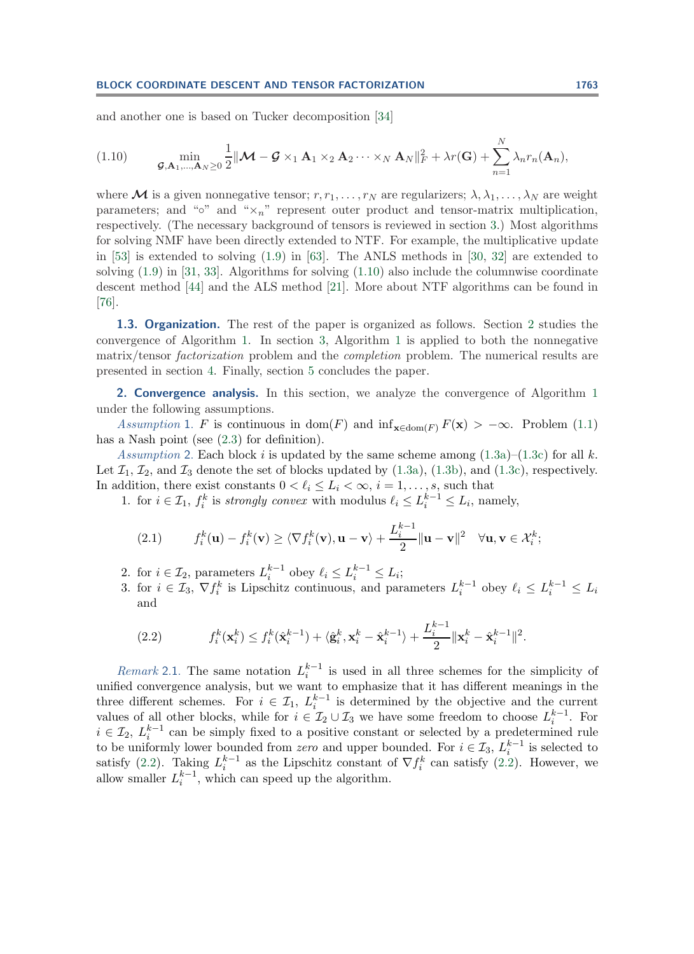and another one is based on Tucker decomposition [\[34\]](#page-29-15)

<span id="page-5-0"></span>
$$
(1.10) \qquad \min_{\mathcal{G},\mathbf{A}_1,\ldots,\mathbf{A}_N\geq 0}\frac{1}{2}\|\mathcal{M}-\mathcal{G}\times_1\mathbf{A}_1\times_2\mathbf{A}_2\cdots\times_N\mathbf{A}_N\|_F^2+\lambda r(\mathbf{G})+\sum_{n=1}^N\lambda_nr_n(\mathbf{A}_n),
$$

where M is a given nonnegative tensor;  $r, r_1, \ldots, r_N$  are regularizers;  $\lambda, \lambda_1, \ldots, \lambda_N$  are weight parameters; and " $\sim$ " and " $\times_n$ " represent outer product and tensor-matrix multiplication, respectively. (The necessary background of tensors is reviewed in section [3.](#page-13-1)) Most algorithms for solving NMF have been directly extended to NTF. For example, the multiplicative update in [\[53\]](#page-30-10) is extended to solving [\(1.9\)](#page-4-2) in [\[63\]](#page-31-13). The ANLS methods in [\[30,](#page-29-13) [32\]](#page-29-14) are extended to solving  $(1.9)$  in [\[31,](#page-29-16) [33\]](#page-29-17). Algorithms for solving  $(1.10)$  also include the columnwise coordinate descent method [\[44\]](#page-30-17) and the ALS method [\[21\]](#page-29-18). More about NTF algorithms can be found in [\[76\]](#page-31-14).

**1.3. Organization.** The rest of the paper is organized as follows. Section [2](#page-5-1) studies the convergence of Algorithm [1.](#page-2-0) In section [3,](#page-13-1) Algorithm [1](#page-2-0) is applied to both the nonnegative matrix/tensor *factorization* problem and the *completion* problem. The numerical results are presented in section [4.](#page-17-0) Finally, section [5](#page-23-0) concludes the paper.

<span id="page-5-3"></span><span id="page-5-1"></span>**2. Convergence analysis.** In this section, we analyze the convergence of Algorithm [1](#page-2-0) under the following assumptions.

*Assumption* 1. F is continuous in dom(F) and  $\inf_{\mathbf{x} \in \text{dom}(F)} F(\mathbf{x}) > -\infty$ . Problem [\(1.1\)](#page-0-0) has a Nash point (see  $(2.3)$  for definition).

<span id="page-5-4"></span>*Assumption* 2. Each block i is updated by the same scheme among  $(1.3a)$ – $(1.3c)$  for all k. Let  $\mathcal{I}_1, \mathcal{I}_2$ , and  $\mathcal{I}_3$  denote the set of blocks updated by [\(1.3a\)](#page-1-3), [\(1.3b\)](#page-1-0), and [\(1.3c\)](#page-1-1), respectively. In addition, there exist constants  $0 < \ell_i \leq L_i < \infty$ ,  $i = 1, \ldots, s$ , such that

1. for  $i \in \mathcal{I}_1$ ,  $f_i^k$  is *strongly convex* with modulus  $\ell_i \leq L_i^{k-1} \leq L_i$ , namely,

(2.1) 
$$
f_i^k(\mathbf{u}) - f_i^k(\mathbf{v}) \ge \langle \nabla f_i^k(\mathbf{v}), \mathbf{u} - \mathbf{v} \rangle + \frac{L_i^{k-1}}{2} ||\mathbf{u} - \mathbf{v}||^2 \quad \forall \mathbf{u}, \mathbf{v} \in \mathcal{X}_i^k;
$$

- 2. for  $i \in \mathcal{I}_2$ , parameters  $L_i^{k-1}$  obey  $\ell_i \le L_i^{k-1} \le L_i$ ;
- 3. for  $i \in \mathcal{I}_3$ ,  $\nabla f_i^k$  is Lipschitz continuous, and parameters  $L_i^{k-1}$  obey  $\ell_i \leq L_i^{k-1} \leq L_i$ and

<span id="page-5-2"></span>(2.2) 
$$
f_i^k(\mathbf{x}_i^k) \leq f_i^k(\hat{\mathbf{x}}_i^{k-1}) + \langle \hat{\mathbf{g}}_i^k, \mathbf{x}_i^k - \hat{\mathbf{x}}_i^{k-1} \rangle + \frac{L_i^{k-1}}{2} ||\mathbf{x}_i^k - \hat{\mathbf{x}}_i^{k-1}||^2.
$$

*Remark* 2.1. The same notation  $L_i^{k-1}$  is used in all three schemes for the simplicity of unified convergence analysis, but we want to emphasize that it has different meanings in the three different schemes. For  $i \in \mathcal{I}_1$ ,  $L_i^{k-1}$  is determined by the objective and the current values of all other blocks, while for  $i \in \mathcal{I}_2 \cup \mathcal{I}_3$  we have some freedom to choose  $L_i^{k-1}$ . For  $i \in \mathcal{I}_2$ ,  $L_i^{k-1}$  can be simply fixed to a positive constant or selected by a predetermined rule to be uniformly lower bounded from *zero* and upper bounded. For  $i \in \mathcal{I}_3$ ,  $L_i^{k-1}$  is selected to satisfy [\(2.2\)](#page-5-2). Taking  $L_i^{k-1}$  as the Lipschitz constant of  $\nabla f_i^k$  can satisfy (2.2). However, we allow smaller  $L_i^{k-1}$ , which can speed up the algorithm.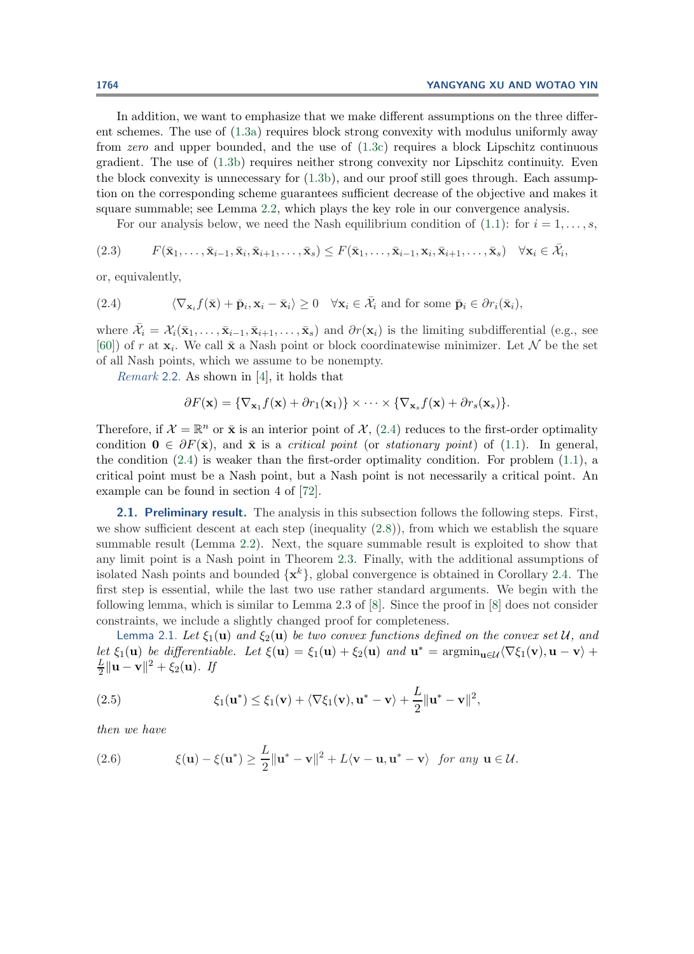In addition, we want to emphasize that we make different assumptions on the three different schemes. The use of [\(1.3a\)](#page-1-3) requires block strong convexity with modulus uniformly away from *zero* and upper bounded, and the use of [\(1.3c\)](#page-1-1) requires a block Lipschitz continuous gradient. The use of [\(1.3b\)](#page-1-0) requires neither strong convexity nor Lipschitz continuity. Even the block convexity is unnecessary for [\(1.3b\)](#page-1-0), and our proof still goes through. Each assumption on the corresponding scheme guarantees sufficient decrease of the objective and makes it square summable; see Lemma [2.2,](#page-7-0) which plays the key role in our convergence analysis.

<span id="page-6-1"></span>For our analysis below, we need the Nash equilibrium condition of [\(1.1\)](#page-0-0): for  $i = 1, \ldots, s$ ,

$$
(2.3) \qquad F(\bar{\mathbf{x}}_1,\ldots,\bar{\mathbf{x}}_{i-1},\bar{\mathbf{x}}_i,\bar{\mathbf{x}}_{i+1},\ldots,\bar{\mathbf{x}}_s) \leq F(\bar{\mathbf{x}}_1,\ldots,\bar{\mathbf{x}}_{i-1},\mathbf{x}_i,\bar{\mathbf{x}}_{i+1},\ldots,\bar{\mathbf{x}}_s) \quad \forall \mathbf{x}_i \in \bar{\mathcal{X}}_i,
$$

or, equivalently,

(2.4) 
$$
\langle \nabla_{\mathbf{x}_i} f(\bar{\mathbf{x}}) + \bar{\mathbf{p}}_i, \mathbf{x}_i - \bar{\mathbf{x}}_i \rangle \ge 0 \quad \forall \mathbf{x}_i \in \bar{\mathcal{X}}_i \text{ and for some } \bar{\mathbf{p}}_i \in \partial r_i(\bar{\mathbf{x}}_i),
$$

where  $\bar{\mathcal{X}}_i = \mathcal{X}_i(\bar{\mathbf{x}}_1,\ldots,\bar{\mathbf{x}}_{i-1},\bar{\mathbf{x}}_{i+1},\ldots,\bar{\mathbf{x}}_s)$  and  $\partial r(\mathbf{x}_i)$  is the limiting subdifferential (e.g., see [\[60\]](#page-30-18)) of r at  $\mathbf{x}_i$ . We call  $\bar{\mathbf{x}}$  a Nash point or block coordinatewise minimizer. Let N be the set of all Nash points, which we assume to be nonempty.

*Remark* 2.2. As shown in [\[4\]](#page-28-1), it holds that

<span id="page-6-0"></span>
$$
\partial F(\mathbf{x}) = \{ \nabla_{\mathbf{x}_1} f(\mathbf{x}) + \partial r_1(\mathbf{x}_1) \} \times \cdots \times \{ \nabla_{\mathbf{x}_s} f(\mathbf{x}) + \partial r_s(\mathbf{x}_s) \}.
$$

Therefore, if  $\mathcal{X} = \mathbb{R}^n$  or  $\bar{\mathbf{x}}$  is an interior point of  $\mathcal{X}$ , [\(2.4\)](#page-6-1) reduces to the first-order optimality condition  $\mathbf{0} \in \partial F(\bar{\mathbf{x}})$ , and  $\bar{\mathbf{x}}$  is a *critical point* (or *stationary point*) of [\(1.1\)](#page-0-0). In general, the condition  $(2.4)$  is weaker than the first-order optimality condition. For problem  $(1.1)$ , a critical point must be a Nash point, but a Nash point is not necessarily a critical point. An example can be found in section 4 of [\[72\]](#page-31-15).

**2.1. Preliminary result.** The analysis in this subsection follows the following steps. First, we show sufficient descent at each step (inequality  $(2.8)$ ), from which we establish the square summable result (Lemma [2.2\)](#page-7-0). Next, the square summable result is exploited to show that any limit point is a Nash point in Theorem [2.3.](#page-8-0) Finally, with the additional assumptions of isolated Nash points and bounded  $\{x^k\}$ , global convergence is obtained in Corollary [2.4.](#page-9-0) The first step is essential, while the last two use rather standard arguments. We begin with the following lemma, which is similar to Lemma 2.3 of [\[8\]](#page-28-4). Since the proof in [\[8\]](#page-28-4) does not consider constraints, we include a slightly changed proof for completeness.

<span id="page-6-3"></span>Lemma 2.1. Let  $\xi_1(\mathbf{u})$  and  $\xi_2(\mathbf{u})$  be two convex functions defined on the convex set U, and *let*  $\xi_1(\mathbf{u})$  *be differentiable.* Let  $\xi(\mathbf{u}) = \xi_1(\mathbf{u}) + \xi_2(\mathbf{u})$  *and*  $\mathbf{u}^* = \operatorname{argmin}_{\mathbf{u} \in \mathcal{U}} \langle \nabla \xi_1(\mathbf{v}), \mathbf{u} - \mathbf{v} \rangle +$  $\frac{L}{2} \|\mathbf{u} - \mathbf{v}\|^2 + \xi_2(\mathbf{u})$ *. If* 

<span id="page-6-2"></span>(2.5) 
$$
\xi_1(\mathbf{u}^*) \leq \xi_1(\mathbf{v}) + \langle \nabla \xi_1(\mathbf{v}), \mathbf{u}^* - \mathbf{v} \rangle + \frac{L}{2} \|\mathbf{u}^* - \mathbf{v}\|^2,
$$

<span id="page-6-4"></span>*then we have*

(2.6) 
$$
\xi(\mathbf{u}) - \xi(\mathbf{u}^*) \geq \frac{L}{2} ||\mathbf{u}^* - \mathbf{v}||^2 + L\langle \mathbf{v} - \mathbf{u}, \mathbf{u}^* - \mathbf{v} \rangle \text{ for any } \mathbf{u} \in \mathcal{U}.
$$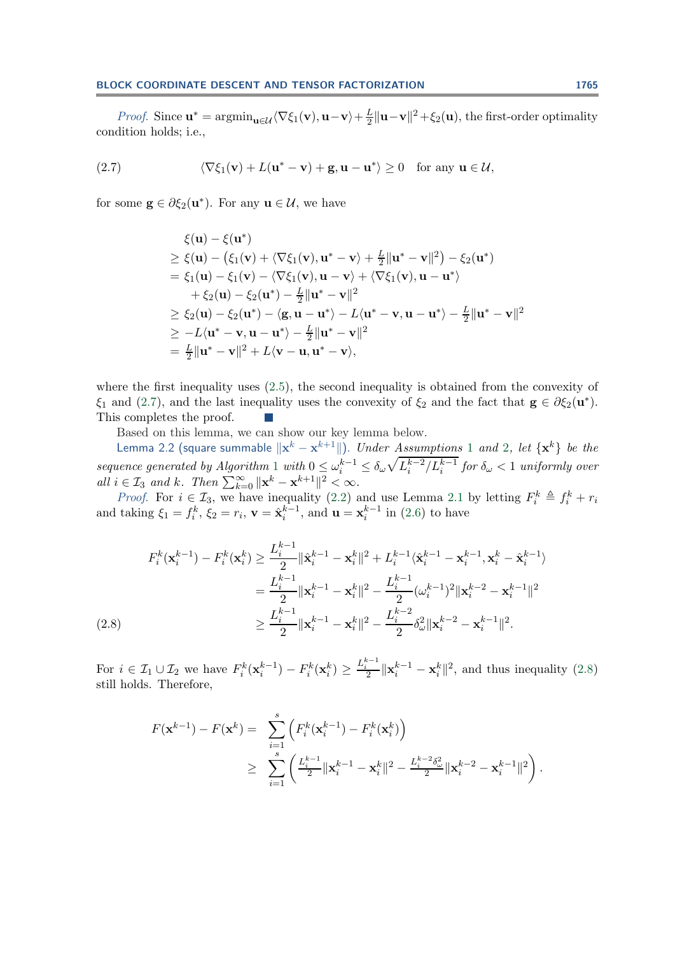<span id="page-7-2"></span>*Proof.* Since  $\mathbf{u}^* = \operatorname{argmin}_{\mathbf{u} \in \mathcal{U}} \langle \nabla \xi_1(\mathbf{v}), \mathbf{u} - \mathbf{v} \rangle + \frac{L}{2} \|\mathbf{u} - \mathbf{v}\|^2 + \xi_2(\mathbf{u})$ , the first-order optimality condition holds; i.e.,

(2.7) 
$$
\langle \nabla \xi_1(\mathbf{v}) + L(\mathbf{u}^* - \mathbf{v}) + \mathbf{g}, \mathbf{u} - \mathbf{u}^* \rangle \ge 0
$$
 for any  $\mathbf{u} \in \mathcal{U}$ ,

for some  $\mathbf{g} \in \partial \xi_2(\mathbf{u}^*)$ . For any  $\mathbf{u} \in \mathcal{U}$ , we have

$$
\xi(\mathbf{u}) - \xi(\mathbf{u}^*)
$$
\n
$$
\geq \xi(\mathbf{u}) - (\xi_1(\mathbf{v}) + \langle \nabla \xi_1(\mathbf{v}), \mathbf{u}^* - \mathbf{v} \rangle + \frac{L}{2} ||\mathbf{u}^* - \mathbf{v}||^2) - \xi_2(\mathbf{u}^*)
$$
\n
$$
= \xi_1(\mathbf{u}) - \xi_1(\mathbf{v}) - \langle \nabla \xi_1(\mathbf{v}), \mathbf{u} - \mathbf{v} \rangle + \langle \nabla \xi_1(\mathbf{v}), \mathbf{u} - \mathbf{u}^* \rangle
$$
\n
$$
+ \xi_2(\mathbf{u}) - \xi_2(\mathbf{u}^*) - \frac{L}{2} ||\mathbf{u}^* - \mathbf{v}||^2
$$
\n
$$
\geq \xi_2(\mathbf{u}) - \xi_2(\mathbf{u}^*) - \langle \mathbf{g}, \mathbf{u} - \mathbf{u}^* \rangle - L \langle \mathbf{u}^* - \mathbf{v}, \mathbf{u} - \mathbf{u}^* \rangle - \frac{L}{2} ||\mathbf{u}^* - \mathbf{v}||^2
$$
\n
$$
\geq -L \langle \mathbf{u}^* - \mathbf{v}, \mathbf{u} - \mathbf{u}^* \rangle - \frac{L}{2} ||\mathbf{u}^* - \mathbf{v}||^2
$$
\n
$$
= \frac{L}{2} ||\mathbf{u}^* - \mathbf{v}||^2 + L \langle \mathbf{v} - \mathbf{u}, \mathbf{u}^* - \mathbf{v} \rangle,
$$

where the first inequality uses  $(2.5)$ , the second inequality is obtained from the convexity of  $\xi_1$  and [\(2.7\)](#page-7-2), and the last inequality uses the convexity of  $\xi_2$  and the fact that  $\mathbf{g} \in \partial \xi_2(\mathbf{u}^*)$ . This completes the proof. hч.

Based on this lemma, we can show our key lemma below.

<span id="page-7-0"></span>Lemma [2](#page-5-4).2 (square summable  $\|\mathbf{x}^k - \mathbf{x}^{k+1}\|$  $\|\mathbf{x}^k - \mathbf{x}^{k+1}\|$  $\|\mathbf{x}^k - \mathbf{x}^{k+1}\|$ ). *Under Assumptions* 1 *and* 2*, let*  $\{\mathbf{x}^k\}$  *be the sequence generated by Algorithm* [1](#page-2-0) *with*  $0 \le \omega_i^{k-1} \le \delta_\omega \sqrt{L_i^{k-2}/L_i^{k-1}}$  *for*  $\delta_\omega < 1$  *uniformly over*  $all \ i \in \mathcal{I}_3 \ and \ k. \ Then \ \sum_{k=0}^{\infty} ||\mathbf{x}^k - \mathbf{x}^{k+1}||^2 < \infty.$ 

*Proof.* For  $i \in \mathcal{I}_3$ , we have inequality [\(2.2\)](#page-5-2) and use Lemma [2.1](#page-6-3) by letting  $F_i^k \triangleq f_i^k + r_i$ and taking  $\xi_1 = f_i^k$ ,  $\xi_2 = r_i$ ,  $\mathbf{v} = \hat{\mathbf{x}}_i^{k-1}$ , and  $\mathbf{u} = \mathbf{x}_i^{k-1}$  in [\(2.6\)](#page-6-4) to have

$$
F_i^k(\mathbf{x}_i^{k-1}) - F_i^k(\mathbf{x}_i^k) \ge \frac{L_i^{k-1}}{2} \|\hat{\mathbf{x}}_i^{k-1} - \mathbf{x}_i^k\|^2 + L_i^{k-1} \langle \hat{\mathbf{x}}_i^{k-1} - \mathbf{x}_i^{k-1}, \mathbf{x}_i^k - \hat{\mathbf{x}}_i^{k-1} \rangle
$$
  
\n
$$
= \frac{L_i^{k-1}}{2} \|\mathbf{x}_i^{k-1} - \mathbf{x}_i^k\|^2 - \frac{L_i^{k-1}}{2} (\omega_i^{k-1})^2 \|\mathbf{x}_i^{k-2} - \mathbf{x}_i^{k-1}\|^2
$$
  
\n
$$
\ge \frac{L_i^{k-1}}{2} \|\mathbf{x}_i^{k-1} - \mathbf{x}_i^k\|^2 - \frac{L_i^{k-2}}{2} \delta_\omega^2 \|\mathbf{x}_i^{k-2} - \mathbf{x}_i^{k-1}\|^2.
$$

<span id="page-7-1"></span>For  $i \in \mathcal{I}_1 \cup \mathcal{I}_2$  we have  $F_i^k(\mathbf{x}_i^{k-1}) - F_i^k(\mathbf{x}_i^k) \geq \frac{L_i^{k-1}}{2} \|\mathbf{x}_i^{k-1} - \mathbf{x}_i^k\|^2$ , and thus inequality [\(2.8\)](#page-7-1) still holds. Therefore,

$$
F(\mathbf{x}^{k-1}) - F(\mathbf{x}^k) = \sum_{i=1}^s \left( F_i^k(\mathbf{x}_i^{k-1}) - F_i^k(\mathbf{x}_i^k) \right)
$$
  
 
$$
\geq \sum_{i=1}^s \left( \frac{L_i^{k-1}}{2} ||\mathbf{x}_i^{k-1} - \mathbf{x}_i^k||^2 - \frac{L_i^{k-2} \delta_\omega^2}{2} ||\mathbf{x}_i^{k-2} - \mathbf{x}_i^{k-1}||^2 \right).
$$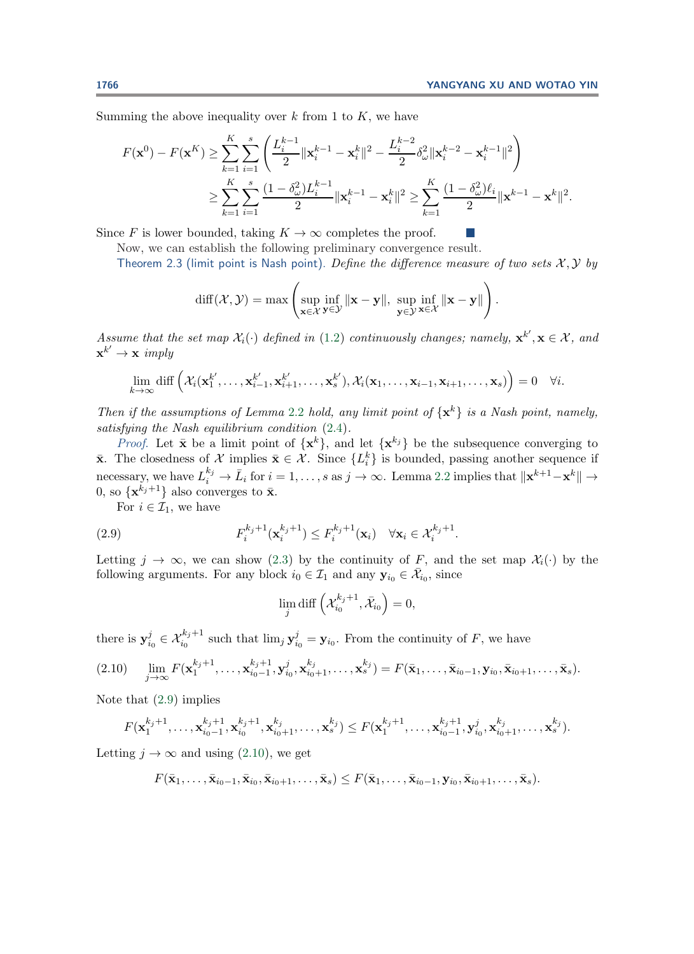.

a sa

Summing the above inequality over  $k$  from 1 to  $K$ , we have

$$
F(\mathbf{x}^{0}) - F(\mathbf{x}^{K}) \geq \sum_{k=1}^{K} \sum_{i=1}^{s} \left( \frac{L_{i}^{k-1}}{2} ||\mathbf{x}_{i}^{k-1} - \mathbf{x}_{i}^{k}||^{2} - \frac{L_{i}^{k-2}}{2} \delta_{\omega}^{2} ||\mathbf{x}_{i}^{k-2} - \mathbf{x}_{i}^{k-1}||^{2} \right)
$$
  

$$
\geq \sum_{k=1}^{K} \sum_{i=1}^{s} \frac{(1 - \delta_{\omega}^{2}) L_{i}^{k-1}}{2} ||\mathbf{x}_{i}^{k-1} - \mathbf{x}_{i}^{k}||^{2} \geq \sum_{k=1}^{K} \frac{(1 - \delta_{\omega}^{2}) \ell_{i}}{2} ||\mathbf{x}^{k-1} - \mathbf{x}^{k}||^{2}.
$$

<span id="page-8-0"></span>Since F is lower bounded, taking  $K \to \infty$  completes the proof.

Now, we can establish the following preliminary convergence result.

Theorem 2.3 (limit point is Nash point). *Define the difference measure of two sets*  $\mathcal{X}, \mathcal{Y}$  by

$$
\text{diff}(\mathcal{X}, \mathcal{Y}) = \max \left( \sup_{\mathbf{x} \in \mathcal{X}} \inf_{\mathbf{y} \in \mathcal{Y}} \|\mathbf{x} - \mathbf{y}\|, \sup_{\mathbf{y} \in \mathcal{Y}} \inf_{\mathbf{x} \in \mathcal{X}} \|\mathbf{x} - \mathbf{y}\| \right)
$$

*Assume that the set map*  $\mathcal{X}_i(\cdot)$  *defined in* [\(1.2\)](#page-0-1) *continuously changes; namely,*  $\mathbf{x}^{k'}$ ,  $\mathbf{x} \in \mathcal{X}$ *, and*  $\mathbf{x}^{k'} \rightarrow \mathbf{x} \text{ imply}$ 

$$
\lim_{k\to\infty} \text{diff}\left(\mathcal{X}_i(\mathbf{x}_1^{k'},\ldots,\mathbf{x}_{i-1}^{k'},\mathbf{x}_{i+1}^{k'},\ldots,\mathbf{x}_s^{k'}),\mathcal{X}_i(\mathbf{x}_1,\ldots,\mathbf{x}_{i-1},\mathbf{x}_{i+1},\ldots,\mathbf{x}_s)\right) = 0 \quad \forall i.
$$

*Then if the assumptions of Lemma* [2.2](#page-7-0) *hold, any limit point of*  $\{x^k\}$  *is a Nash point, namely, satisfying the Nash equilibrium condition* [\(2.4\)](#page-6-1)*.*

*Proof.* Let  $\bar{\mathbf{x}}$  be a limit point of  $\{\mathbf{x}^k\}$ , and let  $\{\mathbf{x}^{k_j}\}$  be the subsequence converging to **x**. The closedness of  $\mathcal{X}$  implies  $\bar{\mathbf{x}} \in \mathcal{X}$ . Since  $\{L_i^k\}$  is bounded, passing another sequence if necessary, we have  $L_i^{k_j} \to \bar{L}_i$  for  $i = 1, \ldots, s$  as  $j \to \infty$ . Lemma [2.2](#page-7-0) implies that  $\|\mathbf{x}^{k+1} - \mathbf{x}^k\| \to$ 0, so  $\{x^{k_j+1}\}\$ also converges to  $\bar{x}$ .

For  $i \in \mathcal{I}_1$ , we have

(2.9) 
$$
F_i^{k_j+1}(\mathbf{x}_i^{k_j+1}) \leq F_i^{k_j+1}(\mathbf{x}_i) \quad \forall \mathbf{x}_i \in \mathcal{X}_i^{k_j+1}.
$$

Letting  $j \to \infty$ , we can show [\(2.3\)](#page-6-0) by the continuity of F, and the set map  $\mathcal{X}_i(\cdot)$  by the following arguments. For any block  $i_0 \in \mathcal{I}_1$  and any  $\mathbf{y}_{i_0} \in \bar{\mathcal{X}}_{i_0}$ , since

<span id="page-8-2"></span><span id="page-8-1"></span>
$$
\lim_{j} \operatorname{diff} \left( \mathcal{X}_{i_0}^{k_j+1}, \bar{\mathcal{X}}_{i_0} \right) = 0,
$$

there is  $\mathbf{y}_{i_0}^j \in \mathcal{X}_{i_0}^{k_j+1}$  such that  $\lim_j \mathbf{y}_{i_0}^j = \mathbf{y}_{i_0}$ . From the continuity of F, we have

$$
(2.10) \quad \lim_{j \to \infty} F(\mathbf{x}_1^{k_j+1}, \dots, \mathbf{x}_{i_0-1}^{k_j+1}, \mathbf{y}_{i_0}^j, \mathbf{x}_{i_0+1}^{k_j}, \dots, \mathbf{x}_s^k) = F(\bar{\mathbf{x}}_1, \dots, \bar{\mathbf{x}}_{i_0-1}, \mathbf{y}_{i_0}, \bar{\mathbf{x}}_{i_0+1}, \dots, \bar{\mathbf{x}}_s).
$$

Note that [\(2.9\)](#page-8-1) implies

$$
F(\mathbf{x}_1^{k_j+1},\ldots,\mathbf{x}_{i_0-1}^{k_j+1},\mathbf{x}_{i_0}^{k_j+1},\mathbf{x}_{i_0+1}^{k_j},\ldots,\mathbf{x}_s^{k_j}) \leq F(\mathbf{x}_1^{k_j+1},\ldots,\mathbf{x}_{i_0-1}^{k_j+1},\mathbf{y}_{i_0}^j,\mathbf{x}_{i_0+1}^{k_j},\ldots,\mathbf{x}_s^{k_j}).
$$

Letting  $j \to \infty$  and using [\(2.10\)](#page-8-2), we get

$$
F(\bar{\mathbf{x}}_1,\ldots,\bar{\mathbf{x}}_{i_0-1},\bar{\mathbf{x}}_{i_0},\bar{\mathbf{x}}_{i_0+1},\ldots,\bar{\mathbf{x}}_s)\leq F(\bar{\mathbf{x}}_1,\ldots,\bar{\mathbf{x}}_{i_0-1},\mathbf{y}_{i_0},\bar{\mathbf{x}}_{i_0+1},\ldots,\bar{\mathbf{x}}_s).
$$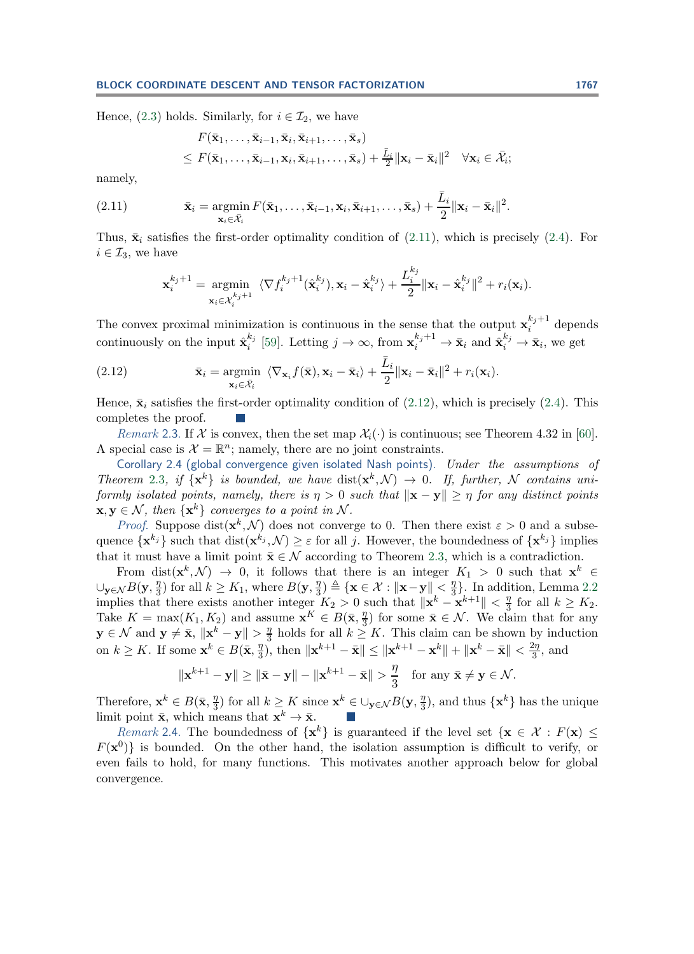Hence, [\(2.3\)](#page-6-0) holds. Similarly, for  $i \in \mathcal{I}_2$ , we have

$$
F(\bar{\mathbf{x}}_1,\ldots,\bar{\mathbf{x}}_{i-1},\bar{\mathbf{x}}_i,\bar{\mathbf{x}}_{i+1},\ldots,\bar{\mathbf{x}}_s) \leq F(\bar{\mathbf{x}}_1,\ldots,\bar{\mathbf{x}}_{i-1},\mathbf{x}_i,\bar{\mathbf{x}}_{i+1},\ldots,\bar{\mathbf{x}}_s) + \frac{\bar{L}_i}{2} \|\mathbf{x}_i - \bar{\mathbf{x}}_i\|^2 \quad \forall \mathbf{x}_i \in \bar{\mathcal{X}}_i;
$$

<span id="page-9-1"></span>namely,

(2.11) 
$$
\bar{\mathbf{x}}_i = \operatorname*{argmin}_{\mathbf{x}_i \in \bar{\mathcal{X}}_i} F(\bar{\mathbf{x}}_1, \dots, \bar{\mathbf{x}}_{i-1}, \mathbf{x}_i, \bar{\mathbf{x}}_{i+1}, \dots, \bar{\mathbf{x}}_s) + \frac{\bar{L}_i}{2} ||\mathbf{x}_i - \bar{\mathbf{x}}_i||^2.
$$

Thus,  $\bar{\mathbf{x}}_i$  satisfies the first-order optimality condition of [\(2.11\)](#page-9-1), which is precisely [\(2.4\)](#page-6-1). For  $i \in \mathcal{I}_3$ , we have

<span id="page-9-2"></span>
$$
\mathbf{x}_{i}^{k_{j}+1} = \underset{\mathbf{x}_{i} \in \mathcal{X}_{i}^{k_{j}+1}}{\operatorname{argmin}} \ \langle \nabla f_{i}^{k_{j}+1}(\hat{\mathbf{x}}_{i}^{k_{j}}), \mathbf{x}_{i} - \hat{\mathbf{x}}_{i}^{k_{j}} \rangle + \frac{L_{i}^{k_{j}}}{2} \|\mathbf{x}_{i} - \hat{\mathbf{x}}_{i}^{k_{j}}\|^{2} + r_{i}(\mathbf{x}_{i}).
$$

The convex proximal minimization is continuous in the sense that the output  $\mathbf{x}_i^{k_j+1}$  depends continuously on the input  $\hat{\mathbf{x}}_i^{k_j}$  [\[59\]](#page-30-19). Letting  $j \to \infty$ , from  $\mathbf{x}_i^{k_j+1} \to \bar{\mathbf{x}}_i$  and  $\hat{\mathbf{x}}_i^{k_j} \to \bar{\mathbf{x}}_i$ , we get

(2.12) 
$$
\bar{\mathbf{x}}_i = \underset{\mathbf{x}_i \in \bar{\mathcal{X}}_i}{\text{argmin}} \ \langle \nabla_{\mathbf{x}_i} f(\bar{\mathbf{x}}), \mathbf{x}_i - \bar{\mathbf{x}}_i \rangle + \frac{\bar{L}_i}{2} ||\mathbf{x}_i - \bar{\mathbf{x}}_i||^2 + r_i(\mathbf{x}_i).
$$

Hence,  $\bar{\mathbf{x}}_i$  satisfies the first-order optimality condition of [\(2.12\)](#page-9-2), which is precisely [\(2.4\)](#page-6-1). This completes the proof.

*Remark* 2.3. If X is convex, then the set map  $\mathcal{X}_i(\cdot)$  is continuous; see Theorem 4.32 in [\[60\]](#page-30-18). A special case is  $\mathcal{X} = \mathbb{R}^n$ ; namely, there are no joint constraints.

<span id="page-9-0"></span>Corollary 2.4 (global convergence given isolated Nash points). *Under the assumptions of Theorem* [2.3](#page-8-0)*, if*  $\{x^k\}$  *is bounded, we have*  $dist(x^k, \mathcal{N}) \rightarrow 0$ *. If, further,* N *contains uniformly isolated points, namely, there is*  $\eta > 0$  *such that*  $\|\mathbf{x} - \mathbf{y}\| > \eta$  *for any distinct points*  $\mathbf{x}, \mathbf{y} \in \mathcal{N}$ , then  $\{\mathbf{x}^k\}$  converges to a point in N.

*Proof.* Suppose dist( $\mathbf{x}^k$ , N) does not converge to 0. Then there exist  $\varepsilon > 0$  and a subsequence  $\{\mathbf{x}^{k_j}\}\$  such that  $dist(\mathbf{x}^{k_j}, \mathcal{N}) \geq \varepsilon$  for all j. However, the boundedness of  $\{\mathbf{x}^{k_j}\}\$  implies that it must have a limit point  $\bar{\mathbf{x}} \in \mathcal{N}$  according to Theorem [2.3,](#page-8-0) which is a contradiction.

From dist( $\mathbf{x}^k, \mathcal{N}$ )  $\rightarrow$  0, it follows that there is an integer  $K_1 > 0$  such that  $\mathbf{x}^k \in$  $\cup_{\mathbf{y}\in\mathcal{N}} B(\mathbf{y}, \frac{\eta}{3})$  for all  $k ≥ K_1$ , where  $B(\mathbf{y}, \frac{\eta}{3}) \triangleq {\mathbf{x} ∈ \mathcal{X} : ||\mathbf{x} - \mathbf{y}|| \leq \frac{\eta}{3}}$ . In addition, Lemma [2.2](#page-7-0) implies that there exists another integer  $K_2 > 0$  such that  $\|\mathbf{x}^k - \mathbf{x}^{k+1}\| < \frac{\eta}{3}$  for all  $k \geq K_2$ . Take  $K = \max(K_1, K_2)$  and assume  $\mathbf{x}^K \in B(\bar{\mathbf{x}}, \frac{\eta}{3})$  for some  $\bar{\mathbf{x}} \in \mathcal{N}$ . We claim that for any **y** ∈ N and **y**  $\neq$  **x**,  $\|\mathbf{x}^k - \mathbf{y}\| > \frac{\eta}{3}$  holds for all  $k \geq K$ . This claim can be shown by induction on  $k \geq K$ . If some  $\mathbf{x}^k \in B(\bar{\mathbf{x}}, \frac{\eta}{3})$ , then  $\|\mathbf{x}^{k+1} - \bar{\mathbf{x}}\| \leq \|\mathbf{x}^{k+1} - \mathbf{x}^k\| + \|\mathbf{x}^k - \bar{\mathbf{x}}\| < \frac{2\eta}{3}$ , and

$$
\|\mathbf{x}^{k+1}-\mathbf{y}\| \ge \|\bar{\mathbf{x}}-\mathbf{y}\| - \|\mathbf{x}^{k+1}-\bar{\mathbf{x}}\| > \frac{\eta}{3} \quad \text{for any } \bar{\mathbf{x}} \ne \mathbf{y} \in \mathcal{N}.
$$

Therefore,  $\mathbf{x}^k \in B(\bar{\mathbf{x}}, \frac{\eta}{3})$  for all  $k \geq K$  since  $\mathbf{x}^k \in \bigcup_{\mathbf{y} \in \mathcal{N}} B(\mathbf{y}, \frac{\eta}{3})$ , and thus  $\{\mathbf{x}^k\}$  has the unique limit point  $\bar{\mathbf{x}}$ , which means that  $\mathbf{x}^k \to \bar{\mathbf{x}}$ .

*Remark* 2.4. The boundedness of  $\{x^k\}$  is guaranteed if the level set  $\{x \in \mathcal{X} : F(x) \leq \}$  $F(\mathbf{x}^0)$  is bounded. On the other hand, the isolation assumption is difficult to verify, or even fails to hold, for many functions. This motivates another approach below for global convergence.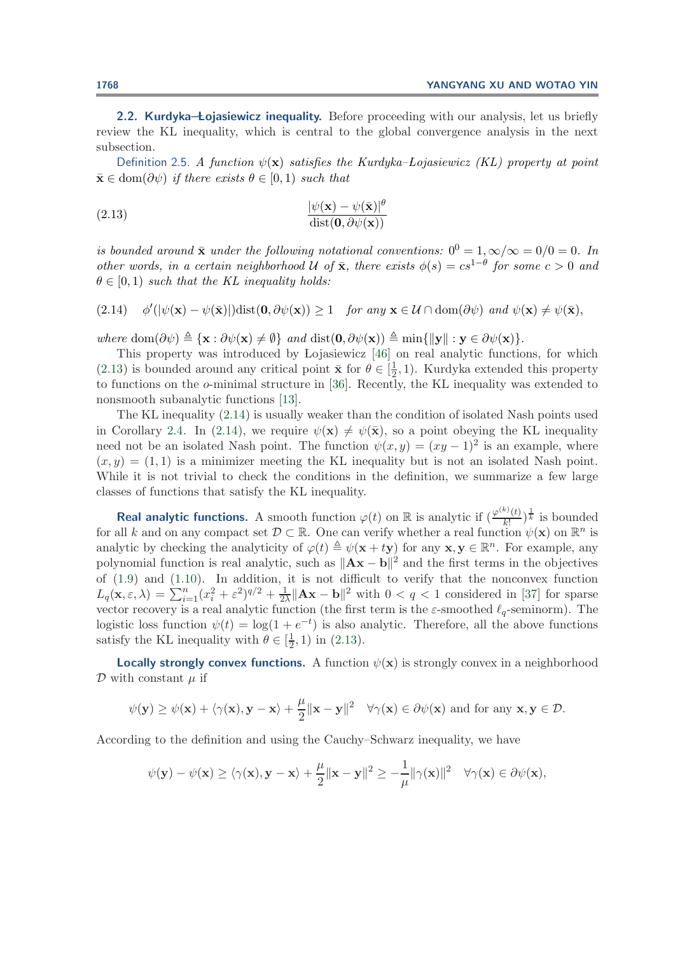<span id="page-10-2"></span>2.2. Kurdyka-**Lojasiewicz inequality.** Before proceeding with our analysis, let us briefly review the KL inequality, which is central to the global convergence analysis in the next subsection.

<span id="page-10-0"></span>Definition 2.5. *A function*  $\psi(\mathbf{x})$  *satisfies the Kurdyka–Lojasiewicz (KL) property at point*  $\bar{\mathbf{x}} \in \text{dom}(\partial \psi)$  *if there exists*  $\theta \in [0, 1)$  *such that* 

(2.13) 
$$
\frac{|\psi(\mathbf{x}) - \psi(\bar{\mathbf{x}})|^{\theta}}{\text{dist}(\mathbf{0}, \partial \psi(\mathbf{x}))}
$$

*is bounded around*  $\bar{x}$  *under the following notational conventions:*  $0^0 = 1, \infty/\infty = 0/0 = 0$ *. In other words, in a certain neighborhood*  $U$  *of*  $\bar{x}$ *, there exists*  $\phi(s) = cs^{1-\theta}$  *for some*  $c > 0$  *and*  $\theta \in [0, 1)$  *such that the KL inequality holds:* 

<span id="page-10-1"></span> $(2.14)$  $\mathcal{W}(|\psi(\mathbf{x}) - \psi(\bar{\mathbf{x}})|)$ dist $(\mathbf{0}, \partial \psi(\mathbf{x})) \geq 1$  *for any*  $\mathbf{x} \in \mathcal{U} \cap \text{dom}(\partial \psi)$  *and*  $\psi(\mathbf{x}) \neq \psi(\bar{\mathbf{x}})$ ,

 $where \text{ dom}(\partial \psi) \triangleq {\mathbf{x} : \partial \psi(\mathbf{x}) \neq \emptyset} \text{ and } \text{dist}(\mathbf{0}, \partial \psi(\mathbf{x})) \triangleq \min{\{\|\mathbf{y}\| : \mathbf{y} \in \partial \psi(\mathbf{x})\}}.$ 

This property was introduced by Lojasiewicz [\[46\]](#page-30-20) on real analytic functions, for which [\(2.13\)](#page-10-0) is bounded around any critical point  $\bar{\mathbf{x}}$  for  $\theta \in [\frac{1}{2}, 1)$ . Kurdyka extended this property to functions on the o-minimal structure in [\[36\]](#page-30-21). Recently, the KL inequality was extended to nonsmooth subanalytic functions [\[13\]](#page-29-3).

The KL inequality [\(2.14\)](#page-10-1) is usually weaker than the condition of isolated Nash points used in Corollary [2.4.](#page-9-0) In [\(2.14\)](#page-10-1), we require  $\psi(\mathbf{x}) \neq \psi(\bar{\mathbf{x}})$ , so a point obeying the KL inequality need not be an isolated Nash point. The function  $\psi(x, y)=(xy - 1)^2$  is an example, where  $(x, y) = (1, 1)$  is a minimizer meeting the KL inequality but is not an isolated Nash point. While it is not trivial to check the conditions in the definition, we summarize a few large classes of functions that satisfy the KL inequality.

**Real analytic functions.** A smooth function  $\varphi(t)$  on  $\mathbb{R}$  is analytic if  $\left(\frac{\varphi^{(k)}(t)}{k!}\right)^{\frac{1}{k}}$  is bounded for all k and on any compact set  $\mathcal{D} \subset \mathbb{R}$ . One can verify whether a real function  $\psi(\mathbf{x})$  on  $\mathbb{R}^n$  is analytic by checking the analyticity of  $\varphi(t) \triangleq \psi(\mathbf{x} + t\mathbf{y})$  for any  $\mathbf{x}, \mathbf{y} \in \mathbb{R}^n$ . For example, any polynomial function is real analytic, such as  $||Ax - b||^2$  and the first terms in the objectives of [\(1.9\)](#page-4-2) and [\(1.10\)](#page-5-0). In addition, it is not difficult to verify that the nonconvex function  $L_q(\mathbf{x}, \varepsilon, \lambda) = \sum_{i=1}^n (x_i^2 + \varepsilon^2)^{q/2} + \frac{1}{2\lambda} ||\mathbf{A}\mathbf{x} - \mathbf{b}||^2$  with  $0 < q < 1$  considered in [\[37\]](#page-30-22) for sparse vector recovery is a real analytic function (the first term is the  $\varepsilon$ -smoothed  $\ell_q$ -seminorm). The logistic loss function  $\psi(t) = \log(1 + e^{-t})$  is also analytic. Therefore, all the above functions satisfy the KL inequality with  $\theta \in [\frac{1}{2}, 1)$  in [\(2.13\)](#page-10-0).

**Locally strongly convex functions.** A function  $\psi(\mathbf{x})$  is strongly convex in a neighborhood  $\mathcal D$  with constant  $\mu$  if

$$
\psi(\mathbf{y}) \geq \psi(\mathbf{x}) + \langle \gamma(\mathbf{x}), \mathbf{y} - \mathbf{x} \rangle + \frac{\mu}{2} ||\mathbf{x} - \mathbf{y}||^2 \quad \forall \gamma(\mathbf{x}) \in \partial \psi(\mathbf{x}) \text{ and for any } \mathbf{x}, \mathbf{y} \in \mathcal{D}.
$$

According to the definition and using the Cauchy–Schwarz inequality, we have

$$
\psi(\mathbf{y}) - \psi(\mathbf{x}) \ge \langle \gamma(\mathbf{x}), \mathbf{y} - \mathbf{x} \rangle + \frac{\mu}{2} ||\mathbf{x} - \mathbf{y}||^2 \ge -\frac{1}{\mu} ||\gamma(\mathbf{x})||^2 \quad \forall \gamma(\mathbf{x}) \in \partial \psi(\mathbf{x}),
$$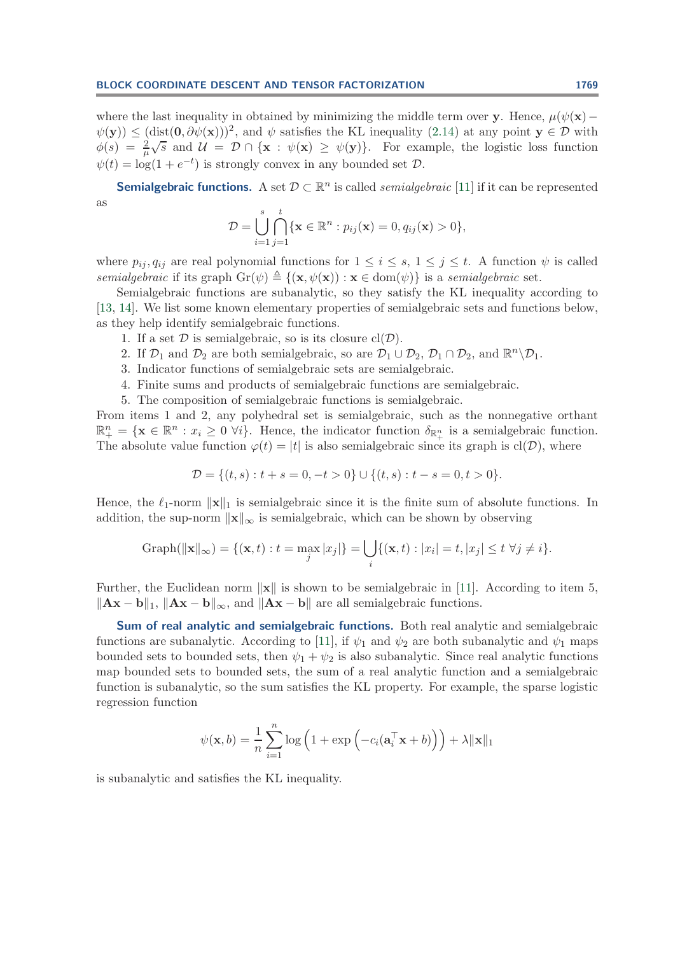where the last inequality in obtained by minimizing the middle term over **y**. Hence,  $\mu(\psi(\mathbf{x}) \psi(\mathbf{y}) \leq (\text{dist}(\mathbf{0}, \partial \psi(\mathbf{x})))^2$ , and  $\psi$  satisfies the KL inequality [\(2.14\)](#page-10-1) at any point  $\mathbf{y} \in \mathcal{D}$  with  $\phi(\mathbf{y}) \geq (\text{dist}(\mathbf{0}, \theta \phi(\mathbf{x})))$ , and  $\psi$  satisfies the KE inequality (2.14) at any point  $\mathbf{y} \in \mathcal{D}$  with  $\phi(s) = \frac{2}{\mu} \sqrt{s}$  and  $\mathcal{U} = \mathcal{D} \cap {\mathbf{x} : \psi(\mathbf{x}) \geq \psi(\mathbf{y})}.$  For example, the logistic loss function  $\psi(t) = \log(1 + e^{-t})$  is strongly convex in any bounded set  $\mathcal{D}$ .

**Semialgebraic functions.** A set  $\mathcal{D} \subset \mathbb{R}^n$  is called *semialgebraic* [\[11\]](#page-29-19) if it can be represented as

$$
\mathcal{D} = \bigcup_{i=1}^s \bigcap_{j=1}^t \{ \mathbf{x} \in \mathbb{R}^n : p_{ij}(\mathbf{x}) = 0, q_{ij}(\mathbf{x}) > 0 \},\
$$

where  $p_{ij}, q_{ij}$  are real polynomial functions for  $1 \leq i \leq s, 1 \leq j \leq t$ . A function  $\psi$  is called *semialgebraic* if its graph  $\text{Gr}(\psi) \triangleq \{(\mathbf{x}, \psi(\mathbf{x})): \mathbf{x} \in \text{dom}(\psi)\}\$ is a *semialgebraic* set.

Semialgebraic functions are subanalytic, so they satisfy the KL inequality according to [\[13,](#page-29-3) [14\]](#page-29-4). We list some known elementary properties of semialgebraic sets and functions below, as they help identify semialgebraic functions.

- 1. If a set  $\mathcal D$  is semialgebraic, so is its closure  $cl(\mathcal D)$ .
- 2. If  $\mathcal{D}_1$  and  $\mathcal{D}_2$  are both semialgebraic, so are  $\mathcal{D}_1 \cup \mathcal{D}_2$ ,  $\mathcal{D}_1 \cap \mathcal{D}_2$ , and  $\mathbb{R}^n \backslash \mathcal{D}_1$ .
- 3. Indicator functions of semialgebraic sets are semialgebraic.
- 4. Finite sums and products of semialgebraic functions are semialgebraic.
- 5. The composition of semialgebraic functions is semialgebraic.

From items 1 and 2, any polyhedral set is semialgebraic, such as the nonnegative orthant  $\mathbb{R}^n_+ = {\mathbf{x} \in \mathbb{R}^n : x_i \geq 0 \; \forall i}.$  Hence, the indicator function  $\delta_{\mathbb{R}^n_+}$  is a semialgebraic function. The absolute value function  $\varphi(t) = |t|$  is also semialgebraic since its graph is cl(D), where

$$
\mathcal{D} = \{(t,s) : t + s = 0, -t > 0\} \cup \{(t,s) : t - s = 0, t > 0\}.
$$

Hence, the  $\ell_1$ -norm  $\|\mathbf{x}\|_1$  is semialgebraic since it is the finite sum of absolute functions. In addition, the sup-norm  $\|\mathbf{x}\|_{\infty}$  is semialgebraic, which can be shown by observing

Graph(
$$
\|\mathbf{x}\|_{\infty}
$$
) = {( $\mathbf{x}, t$ ) :  $t = \max_j |x_j|$ } =  $\bigcup_i \{(\mathbf{x}, t) : |x_i| = t, |x_j| \le t \ \forall j \ne i\}.$ 

Further, the Euclidean norm  $\|\mathbf{x}\|$  is shown to be semialgebraic in [\[11\]](#page-29-19). According to item 5,  $\|\mathbf{A}\mathbf{x} - \mathbf{b}\|_1$ ,  $\|\mathbf{A}\mathbf{x} - \mathbf{b}\|_{\infty}$ , and  $\|\mathbf{A}\mathbf{x} - \mathbf{b}\|$  are all semialgebraic functions.

**Sum of real analytic and semialgebraic functions.** Both real analytic and semialgebraic functions are subanalytic. According to [\[11\]](#page-29-19), if  $\psi_1$  and  $\psi_2$  are both subanalytic and  $\psi_1$  maps bounded sets to bounded sets, then  $\psi_1 + \psi_2$  is also subanalytic. Since real analytic functions map bounded sets to bounded sets, the sum of a real analytic function and a semialgebraic function is subanalytic, so the sum satisfies the KL property. For example, the sparse logistic regression function

$$
\psi(\mathbf{x},b) = \frac{1}{n} \sum_{i=1}^{n} \log \left( 1 + \exp \left( -c_i(\mathbf{a}_i^{\top} \mathbf{x} + b) \right) \right) + \lambda \|\mathbf{x}\|_1
$$

is subanalytic and satisfies the KL inequality.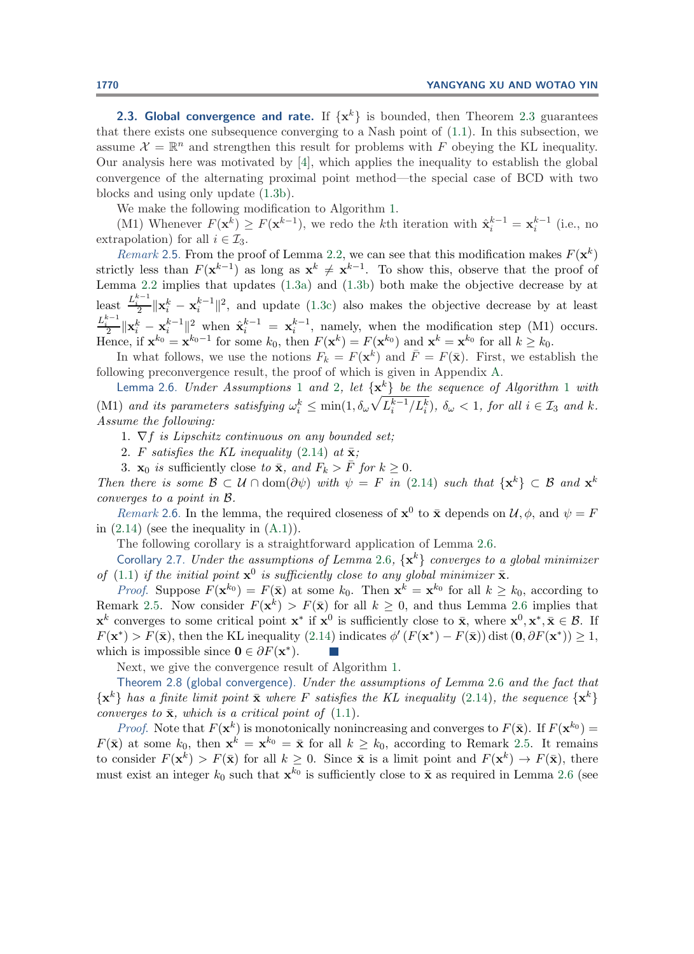**[2.3](#page-8-0). Global convergence and rate.** If  $\{x^k\}$  is bounded, then Theorem 2.3 guarantees that there exists one subsequence converging to a Nash point of [\(1.1\)](#page-0-0). In this subsection, we assume  $\mathcal{X} = \mathbb{R}^n$  and strengthen this result for problems with F obeying the KL inequality. Our analysis here was motivated by [\[4\]](#page-28-1), which applies the inequality to establish the global convergence of the alternating proximal point method—the special case of BCD with two blocks and using only update [\(1.3b\)](#page-1-0).

We make the following modification to Algorithm [1.](#page-2-0)

(M1) Whenever  $F(\mathbf{x}^k) \geq F(\mathbf{x}^{k-1})$ , we redo the kth iteration with  $\hat{\mathbf{x}}_i^{k-1} = \mathbf{x}_i^{k-1}$  (i.e., no extrapolation) for all  $i \in \mathcal{I}_3$ .

<span id="page-12-2"></span>*Remark* 2.5. From the proof of Lemma [2.2,](#page-7-0) we can see that this modification makes  $F(\mathbf{x}^k)$ strictly less than  $F(\mathbf{x}^{k-1})$  as long as  $\mathbf{x}^k \neq \mathbf{x}^{k-1}$ . To show this, observe that the proof of Lemma [2.2](#page-7-0) implies that updates [\(1.3a\)](#page-1-3) and [\(1.3b\)](#page-1-0) both make the objective decrease by at least  $\frac{L_i^{k-1}}{2} \|\mathbf{x}_i^k - \mathbf{x}_i^{k-1}\|^2$ , and update [\(1.3c\)](#page-1-1) also makes the objective decrease by at least  $\frac{L_i^{k-1}}{2} \|\mathbf{x}_i^k - \mathbf{x}_i^{k-1}\|^2$  when  $\hat{\mathbf{x}}_i^{k-1} = \mathbf{x}_i^{k-1}$ , namely, when the modification step (M1) occurs. Hence, if  $\mathbf{x}^{k_0} = \mathbf{x}^{k_0-1}$  for some  $k_0$ , then  $F(\mathbf{x}^k) = F(\mathbf{x}^{k_0})$  and  $\mathbf{x}^k = \mathbf{x}^{k_0}$  for all  $k \geq k_0$ .

In what follows, we use the notions  $F_k = F(\mathbf{x}^k)$  and  $\overline{F} = F(\overline{\mathbf{x}})$ . First, we establish the following preconvergence result, the proof of which is given in Appendix [A.](#page-23-1)

<span id="page-12-0"></span>Lemma 2.6. *Under Assumptions* [1](#page-5-3) *and* [2](#page-5-4)*, let* {**x**k} *be the sequence of Algorithm* [1](#page-2-0) *with* (M1) and its parameters satisfying  $\omega_i^k \leq \min(1, \delta_\omega \sqrt{L_i^{k-1}/L_i^k})$ ,  $\delta_\omega < 1$ , for all  $i \in \mathcal{I}_3$  and k. *Assume the following:*

- 1. ∇f *is Lipschitz continuous on any bounded set;*
- 2. F *satisfies the KL inequality* [\(2.14\)](#page-10-1) *at*  $\bar{\mathbf{x}}$ ;
- 3. **x**<sub>0</sub> *is* sufficiently close *to* **x**, and  $F_k > \overline{F}$  for  $k \geq 0$ .

*Then there is some*  $\mathcal{B} \subset \mathcal{U} \cap \text{dom}(\partial \psi)$  *with*  $\psi = F$  *in* [\(2.14\)](#page-10-1) *such that*  $\{x^k\} \subset \mathcal{B}$  *and*  $x^k$ *converges to a point in* B*.*

*Remark* 2.6. In the lemma, the required closeness of  $\mathbf{x}^0$  to  $\bar{\mathbf{x}}$  depends on  $\mathcal{U}, \phi$ , and  $\psi = F$ in  $(2.14)$  (see the inequality in  $(A.1)$ ).

The following corollary is a straightforward application of Lemma [2.6.](#page-12-0)

Corollary 2.7. *Under the assumptions of Lemma* [2.6](#page-12-0),  $\{x^k\}$  *converges to a global minimizer of* [\(1.1\)](#page-0-0) *if the initial point*  $\mathbf{x}^0$  *is sufficiently close to any global minimizer*  $\bar{\mathbf{x}}$ *.* 

*Proof.* Suppose  $F(\mathbf{x}^{k_0}) = F(\bar{\mathbf{x}})$  at some  $k_0$ . Then  $\mathbf{x}^k = \mathbf{x}^{k_0}$  for all  $k \geq k_0$ , according to Remark [2.5.](#page-12-2) Now consider  $F(\mathbf{x}^k) > F(\bar{\mathbf{x}})$  for all  $k \geq 0$ , and thus Lemma [2.6](#page-12-0) implies that **x**<sup>k</sup> converges to some critical point **x**<sup>\*</sup> if **x**<sup>0</sup> is sufficiently close to **x**, where **x**<sup>0</sup>, **x**<sup>\*</sup>, **x**  $\in$  **B**. If  $F(\mathbf{x}^*) > F(\bar{\mathbf{x}})$ , then the KL inequality [\(2.14\)](#page-10-1) indicates  $\phi'(F(\mathbf{x}^*) - F(\bar{\mathbf{x}}))$  dist  $(\mathbf{0}, \partial F(\mathbf{x}^*)) \geq 1$ , which is impossible since  $\mathbf{0} \in \partial F(\mathbf{x}^*)$ .

Next, we give the convergence result of Algorithm [1.](#page-2-0)

<span id="page-12-1"></span>Theorem 2.8 (global convergence). *Under the assumptions of Lemma* [2.6](#page-12-0) *and the fact that*  $\{x^k\}$  has a finite limit point  $\bar{x}$  where F satisfies the KL inequality [\(2.14\)](#page-10-1), the sequence  $\{x^k\}$ *converges to*  $\bar{\mathbf{x}}$ *, which is a critical point of* [\(1.1\)](#page-0-0)*.* 

*Proof.* Note that  $F(\mathbf{x}^k)$  is monotonically nonincreasing and converges to  $F(\bar{\mathbf{x}})$ . If  $F(\mathbf{x}^{k_0}) =$  $F(\bar{\mathbf{x}})$  at some  $k_0$ , then  $\mathbf{x}^k = \mathbf{x}^{k_0} = \bar{\mathbf{x}}$  for all  $k \geq k_0$ , according to Remark [2.5.](#page-12-2) It remains to consider  $F(\mathbf{x}^k) > F(\bar{\mathbf{x}})$  for all  $k \geq 0$ . Since  $\bar{\mathbf{x}}$  is a limit point and  $F(\mathbf{x}^k) \to F(\bar{\mathbf{x}})$ , there must exist an integer  $k_0$  such that  $\mathbf{x}^{k_0}$  is sufficiently close to  $\bar{\mathbf{x}}$  as required in Lemma [2.6](#page-12-0) (see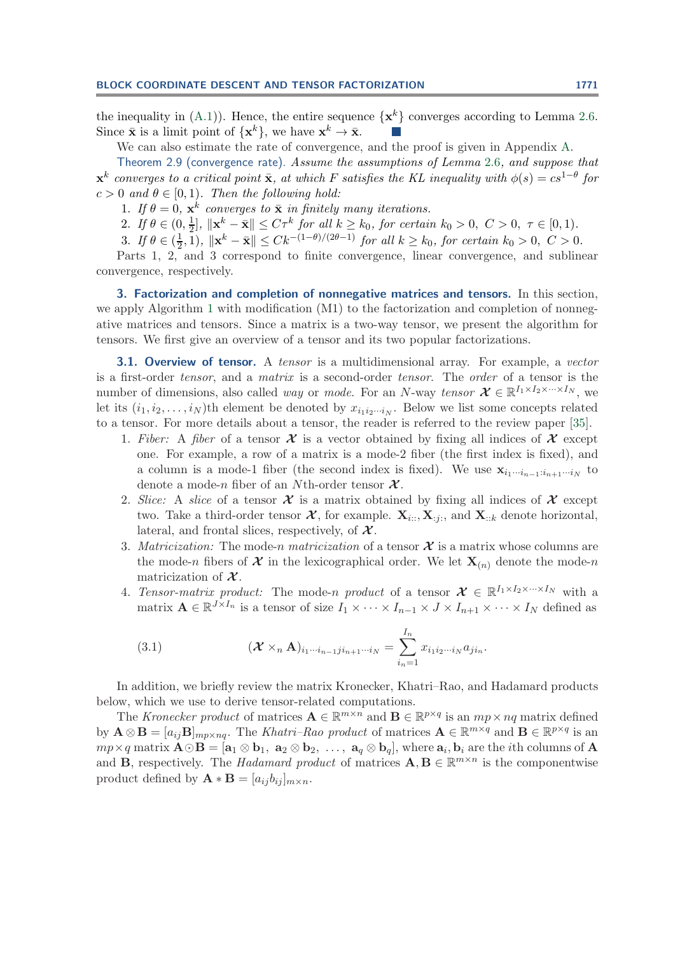the inequality in  $(A.1)$ ). Hence, the entire sequence  $\{x^k\}$  converges according to Lemma [2.6.](#page-12-0) Since  $\bar{\mathbf{x}}$  is a limit point of  $\{\mathbf{x}^k\}$ , we have  $\mathbf{x}^k \to \bar{\mathbf{x}}$ .

We can also estimate the rate of convergence, and the proof is given in Appendix [A.](#page-23-1)

<span id="page-13-0"></span>Theorem 2.9 (convergence rate). *Assume the assumptions of Lemma* [2.6](#page-12-0)*, and suppose that*  $\mathbf{x}^k$  *converges to a critical point*  $\bar{\mathbf{x}}$ *, at which* F *satisfies the KL inequality with*  $\phi(s) = cs^{1-\theta}$  *for*  $c > 0$  *and*  $\theta \in [0, 1)$ *. Then the following hold:* 

1. *If*  $\theta = 0$ ,  $\mathbf{x}^k$  *converges to*  $\bar{\mathbf{x}}$  *in finitely many iterations.* 

2. If  $\theta \in (0, \frac{1}{2}], \|x^k - \bar{x}\| \le C\tau^k$  for all  $k \ge k_0$ , for certain  $k_0 > 0, C > 0, \tau \in [0, 1)$ *.* 

3. If  $\theta \in (\frac{1}{2}, 1)$ ,  $\|\mathbf{x}^k - \bar{\mathbf{x}}\| \leq Ck^{-(1-\theta)/(2\theta-1)}$  for all  $k \geq k_0$ , for certain  $k_0 > 0$ ,  $C > 0$ .

Parts 1, 2, and 3 correspond to finite convergence, linear convergence, and sublinear convergence, respectively.

<span id="page-13-1"></span>**3. Factorization and completion of nonnegative matrices and tensors.** In this section, we apply Algorithm [1](#page-2-0) with modification (M1) to the factorization and completion of nonnegative matrices and tensors. Since a matrix is a two-way tensor, we present the algorithm for tensors. We first give an overview of a tensor and its two popular factorizations.

**3.1. Overview of tensor.** A *tensor* is a multidimensional array. For example, a *vector* is a first-order *tensor*, and a *matrix* is a second-order *tensor*. The *order* of a tensor is the number of dimensions, also called *way* or *mode*. For an N-way *tensor*  $\mathcal{X} \in \mathbb{R}^{I_1 \times I_2 \times \cdots \times I_N}$ , we let its  $(i_1, i_2, \ldots, i_N)$ th element be denoted by  $x_{i_1 i_2 \cdots i_N}$ . Below we list some concepts related to a tensor. For more details about a tensor, the reader is referred to the review paper [\[35\]](#page-29-20).

- 1. Fiber: A fiber of a tensor  $\mathcal X$  is a vector obtained by fixing all indices of  $\mathcal X$  except one. For example, a row of a matrix is a mode-2 fiber (the first index is fixed), and a column is a mode-1 fiber (the second index is fixed). We use  $\mathbf{x}_{i_1\cdots i_{n-1}:i_{n+1}\cdots i_N}$  to denote a mode-n fiber of an Nth-order tensor *X* .
- 2. *Slice:* A *slice* of a tensor  $\mathcal X$  is a matrix obtained by fixing all indices of  $\mathcal X$  except two. Take a third-order tensor  $\mathcal{X}$ , for example.  $\mathbf{X}_{i:}, \mathbf{X}_{i:},$  and  $\mathbf{X}_{i:k}$  denote horizontal, lateral, and frontal slices, respectively, of  $\mathcal{X}$ .
- 3. *Matricization:* The mode-*n matricization* of a tensor  $\mathcal{X}$  is a matrix whose columns are the mode-n fibers of  $\mathcal{X}$  in the lexicographical order. We let  $\mathbf{X}_{(n)}$  denote the mode-n matricization of *X* .
- 4. *Tensor-matrix product:* The mode-n *product* of a tensor  $\mathcal{X} \in \mathbb{R}^{I_1 \times I_2 \times \cdots \times I_N}$  with a matrix  $\mathbf{A} \in \mathbb{R}^{J \times I_n}$  is a tensor of size  $I_1 \times \cdots \times I_{n-1} \times J \times I_{n+1} \times \cdots \times I_N$  defined as

(3.1) 
$$
(\mathbf{X} \times_n \mathbf{A})_{i_1 \cdots i_{n-1} j i_{n+1} \cdots i_N} = \sum_{i_n=1}^{I_n} x_{i_1 i_2 \cdots i_N} a_{j i_n}.
$$

In addition, we briefly review the matrix Kronecker, Khatri–Rao, and Hadamard products below, which we use to derive tensor-related computations.

The *Kronecker product* of matrices  $\mathbf{A} \in \mathbb{R}^{m \times n}$  and  $\mathbf{B} \in \mathbb{R}^{p \times q}$  is an  $mp \times nq$  matrix defined by  $\mathbf{A} \otimes \mathbf{B} = [a_{ij} \mathbf{B}]_{mp \times nq}$ . The *Khatri–Rao product* of matrices  $\mathbf{A} \in \mathbb{R}^{m \times q}$  and  $\mathbf{B} \in \mathbb{R}^{p \times q}$  is an  $mp \times q$  matrix  $\mathbf{A} \odot \mathbf{B} = [\mathbf{a}_1 \otimes \mathbf{b}_1, \mathbf{a}_2 \otimes \mathbf{b}_2, \ldots, \mathbf{a}_q \otimes \mathbf{b}_q],$  where  $\mathbf{a}_i, \mathbf{b}_i$  are the *i*th columns of  $\mathbf{A}$ and **B**, respectively. The *Hadamard product* of matrices  $\mathbf{A}, \mathbf{B} \in \mathbb{R}^{m \times n}$  is the componentwise product defined by  $\mathbf{A} * \mathbf{B} = [a_{ij}b_{ij}]_{m \times n}$ .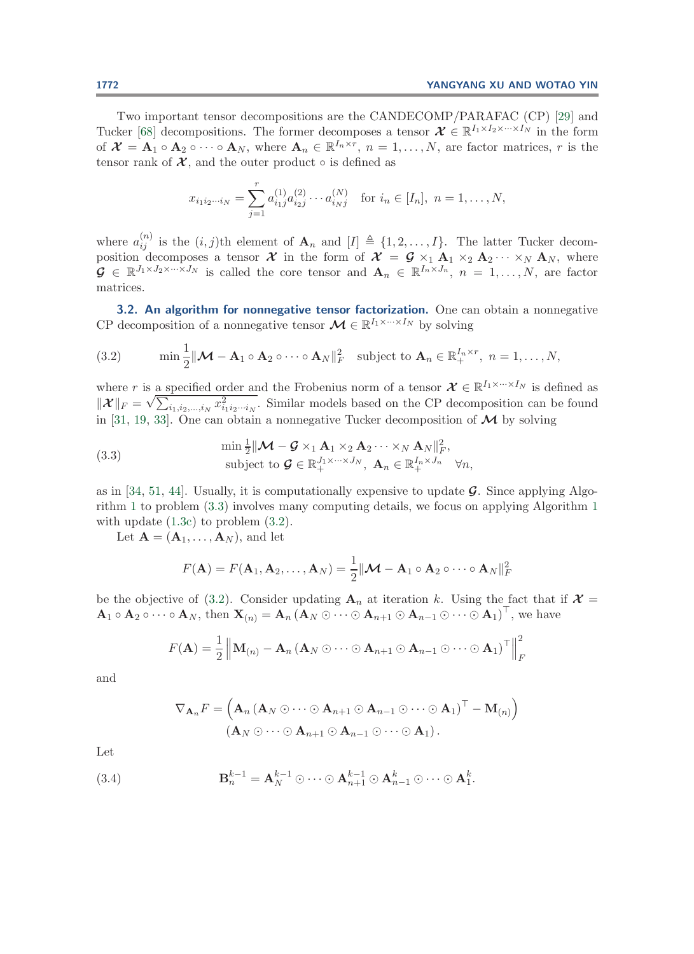Two important tensor decompositions are the CANDECOMP/PARAFAC (CP) [\[29\]](#page-29-21) and Tucker [\[68\]](#page-31-16) decompositions. The former decomposes a tensor  $\mathcal{X} \in \mathbb{R}^{I_1 \times I_2 \times \cdots \times I_N}$  in the form of  $\mathcal{X} = \mathbf{A}_1 \circ \mathbf{A}_2 \circ \cdots \circ \mathbf{A}_N$ , where  $\mathbf{A}_n \in \mathbb{R}^{I_n \times r}$ ,  $n = 1, \ldots, N$ , are factor matrices, r is the tensor rank of  $\mathcal{X}$ , and the outer product  $\circ$  is defined as

<span id="page-14-1"></span>
$$
x_{i_1 i_2 \cdots i_N} = \sum_{j=1}^r a_{i_1 j}^{(1)} a_{i_2 j}^{(2)} \cdots a_{i_N j}^{(N)} \text{ for } i_n \in [I_n], n = 1, \ldots, N,
$$

where  $a_{ij}^{(n)}$  is the  $(i, j)$ th element of  $\mathbf{A}_n$  and  $[I] \triangleq \{1, 2, ..., I\}$ . The latter Tucker decomposition decomposes a tensor *X* in the form of  $\mathcal{X} = \mathcal{G} \times_1 \mathbf{A}_1 \times_2 \mathbf{A}_2 \cdots \times_N \mathbf{A}_N$ , where  $\mathcal{G} \in \mathbb{R}^{J_1 \times J_2 \times \cdots \times J_N}$  is called the core tensor and  $\mathbf{A}_n \in \mathbb{R}^{I_n \times J_n}$ ,  $n = 1, \ldots, N$ , are factor matrices.

<span id="page-14-2"></span>**3.2. An algorithm for nonnegative tensor factorization.** One can obtain a nonnegative CP decomposition of a nonnegative tensor  $\mathcal{M} \in \mathbb{R}^{I_1 \times \cdots \times I_N}$  by solving

(3.2) 
$$
\min \frac{1}{2} ||\mathbf{M} - \mathbf{A}_1 \circ \mathbf{A}_2 \circ \cdots \circ \mathbf{A}_N||_F^2 \text{ subject to } \mathbf{A}_n \in \mathbb{R}_+^{I_n \times r}, n = 1, ..., N,
$$

where r is a specified order and the Frobenius norm of a tensor  $\mathcal{X} \in \mathbb{R}^{I_1 \times \cdots \times I_N}$  is defined as where *r* is a specified order and the Frobenius form of a tensor  $\mathcal{X} \in \mathbb{R}^{11}$ . The is defined as  $\|\mathcal{X}\|_F = \sqrt{\sum_{i_1, i_2, ..., i_N} x_{i_1 i_2 \cdots i_N}^2}$ . Similar models based on the CP decomposition can be found in [\[31,](#page-29-16) [19,](#page-29-22) [33\]](#page-29-17). One can obtain a nonnegative Tucker decomposition of  $\mathcal M$  by solving

(3.3) 
$$
\min \frac{1}{2} ||\mathbf{M} - \mathbf{G} \times_1 \mathbf{A}_1 \times_2 \mathbf{A}_2 \cdots \times_N \mathbf{A}_N ||_F^2, \nsubject to  $\mathbf{G} \in \mathbb{R}_+^{J_1 \times \cdots \times J_N}, \mathbf{A}_n \in \mathbb{R}_+^{I_n \times J_n} \forall n,$
$$

as in [\[34,](#page-29-15) [51,](#page-30-23) [44\]](#page-30-17). Usually, it is computationally expensive to update *G*. Since applying Algorithm [1](#page-2-0) to problem [\(3.3\)](#page-14-0) involves many computing details, we focus on applying Algorithm [1](#page-2-0) with update  $(1.3c)$  to problem  $(3.2)$ .

Let  $\mathbf{A} = (\mathbf{A}_1, \dots, \mathbf{A}_N)$ , and let

<span id="page-14-0"></span>
$$
F(\mathbf{A}) = F(\mathbf{A}_1, \mathbf{A}_2, \dots, \mathbf{A}_N) = \frac{1}{2} || \mathbf{M} - \mathbf{A}_1 \circ \mathbf{A}_2 \circ \dots \circ \mathbf{A}_N ||_F^2
$$

be the objective of [\(3.2\)](#page-14-1). Consider updating  $A_n$  at iteration k. Using the fact that if  $\mathcal{X} =$  $\mathbf{A}_1 \circ \mathbf{A}_2 \circ \cdots \circ \mathbf{A}_N$ , then  $\mathbf{X}_{(n)} = \mathbf{A}_n (\mathbf{A}_N \odot \cdots \odot \mathbf{A}_{n+1} \odot \mathbf{A}_{n-1} \odot \cdots \odot \mathbf{A}_1)^\top$ , we have

$$
F(\mathbf{A}) = \frac{1}{2} \left\| \mathbf{M}_{(n)} - \mathbf{A}_n \left( \mathbf{A}_N \odot \cdots \odot \mathbf{A}_{n+1} \odot \mathbf{A}_{n-1} \odot \cdots \odot \mathbf{A}_1 \right)^\top \right\|_F^2
$$

and

$$
\nabla_{\mathbf{A}_n} F = \left( \mathbf{A}_n \left( \mathbf{A}_N \odot \cdots \odot \mathbf{A}_{n+1} \odot \mathbf{A}_{n-1} \odot \cdots \odot \mathbf{A}_1 \right)^{\top} - \mathbf{M}_{(n)} \right) \n(\mathbf{A}_N \odot \cdots \odot \mathbf{A}_{n+1} \odot \mathbf{A}_{n-1} \odot \cdots \odot \mathbf{A}_1).
$$

Let

(3.4) 
$$
\mathbf{B}_n^{k-1} = \mathbf{A}_N^{k-1} \odot \cdots \odot \mathbf{A}_{n+1}^{k-1} \odot \mathbf{A}_{n-1}^k \odot \cdots \odot \mathbf{A}_1^k.
$$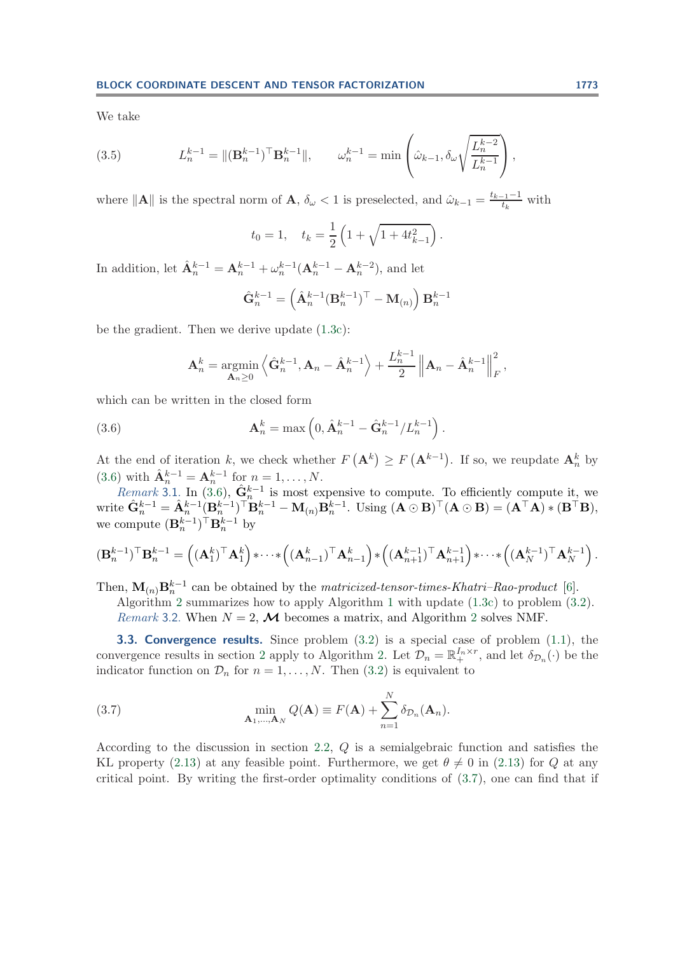<span id="page-15-2"></span>We take

(3.5) 
$$
L_n^{k-1} = \|(\mathbf{B}_n^{k-1})^\top \mathbf{B}_n^{k-1}\|, \qquad \omega_n^{k-1} = \min\left(\hat{\omega}_{k-1}, \delta_\omega \sqrt{\frac{L_n^{k-2}}{L_n^{k-1}}}\right),
$$

where  $||\mathbf{A}||$  is the spectral norm of **A**,  $\delta_{\omega} < 1$  is preselected, and  $\hat{\omega}_{k-1} = \frac{t_{k-1}-1}{t_k}$  with

$$
t_0 = 1
$$
,  $t_k = \frac{1}{2} \left( 1 + \sqrt{1 + 4t_{k-1}^2} \right)$ .

In addition, let  $\hat{\mathbf{A}}_n^{k-1} = \mathbf{A}_n^{k-1} + \omega_n^{k-1} (\mathbf{A}_n^{k-1} - \mathbf{A}_n^{k-2})$ , and let

<span id="page-15-0"></span>
$$
\hat{\mathbf{G}}_n^{k-1} = \left(\hat{\mathbf{A}}_n^{k-1} (\mathbf{B}_n^{k-1})^\top - \mathbf{M}_{(n)}\right) \mathbf{B}_n^{k-1}
$$

be the gradient. Then we derive update [\(1.3c\)](#page-1-1):

$$
\mathbf{A}_n^k = \operatorname*{argmin}_{\mathbf{A}_n \geq 0} \left\langle \hat{\mathbf{G}}_n^{k-1}, \mathbf{A}_n - \hat{\mathbf{A}}_n^{k-1} \right\rangle + \frac{L_n^{k-1}}{2} \left\| \mathbf{A}_n - \hat{\mathbf{A}}_n^{k-1} \right\|_F^2,
$$

which can be written in the closed form

(3.6) 
$$
\mathbf{A}_n^k = \max\left(0, \hat{\mathbf{A}}_n^{k-1} - \hat{\mathbf{G}}_n^{k-1}/L_n^{k-1}\right).
$$

At the end of iteration k, we check whether  $F(\mathbf{A}^k) \geq F(\mathbf{A}^{k-1})$ . If so, we reupdate  $\mathbf{A}_n^k$  by [\(3.6\)](#page-15-0) with  $\hat{\mathbf{A}}_n^{k-1} = \mathbf{A}_n^{k-1}$  for  $n = 1, ..., N$ .

*Remark* 3.1. In [\(3.6\)](#page-15-0),  $\hat{\mathbf{G}}_n^{k-1}$  is most expensive to compute. To efficiently compute it, we  $\text{write } \hat{\mathbf{G}}_n^{k-1} = \hat{\mathbf{A}}_n^{k-1} (\mathbf{B}_n^{k-1})^\top \mathbf{B}_n^{k-1} - \mathbf{M}_{(n)} \mathbf{B}_n^{k-1}.$  Using  $(\mathbf{A} \odot \mathbf{B})^\top (\mathbf{A} \odot \mathbf{B}) = (\mathbf{A}^\top \mathbf{A}) \ast (\mathbf{B}^\top \mathbf{B}),$ we compute  $(\mathbf{B}_{n}^{k-1})^{\dagger} \mathbf{B}_{n}^{k-1}$  by

$$
(\mathbf{B}_n^{k-1})^{\top} \mathbf{B}_n^{k-1} = \left( (\mathbf{A}_1^k)^{\top} \mathbf{A}_1^k \right) * \cdots * \left( (\mathbf{A}_{n-1}^k)^{\top} \mathbf{A}_{n-1}^k \right) * \left( (\mathbf{A}_{n+1}^{k-1})^{\top} \mathbf{A}_{n+1}^{k-1} \right) * \cdots * \left( (\mathbf{A}_N^{k-1})^{\top} \mathbf{A}_N^{k-1} \right).
$$

Then,  $\mathbf{M}_{(n)}\mathbf{B}_{n}^{k-1}$  can be obtained by the *matricized-tensor-times-Khatri–Rao-product* [\[6\]](#page-28-5).

<span id="page-15-1"></span>Algorithm [2](#page-16-0) summarizes how to apply Algorithm [1](#page-2-0) with update [\(1.3c\)](#page-1-1) to problem [\(3.2\)](#page-14-1). *Remark* 3.[2](#page-16-0). When  $N = 2$ , **M** becomes a matrix, and Algorithm 2 solves NMF.

**3.3. Convergence results.** Since problem  $(3.2)$  is a special case of problem  $(1.1)$ , the convergence results in section [2](#page-5-1) apply to Algorithm [2.](#page-16-0) Let  $\mathcal{D}_n = \mathbb{R}^{I_n \times r}_+$ , and let  $\delta_{\mathcal{D}_n}(\cdot)$  be the indicator function on  $\mathcal{D}_n$  for  $n = 1, \ldots, N$ . Then [\(3.2\)](#page-14-1) is equivalent to

(3.7) 
$$
\min_{\mathbf{A}_1,\dots,\mathbf{A}_N} Q(\mathbf{A}) \equiv F(\mathbf{A}) + \sum_{n=1}^N \delta_{\mathcal{D}_n}(\mathbf{A}_n).
$$

According to the discussion in section [2.2,](#page-10-2) Q is a semialgebraic function and satisfies the KL property [\(2.13\)](#page-10-0) at any feasible point. Furthermore, we get  $\theta \neq 0$  in (2.13) for Q at any critical point. By writing the first-order optimality conditions of [\(3.7\)](#page-15-1), one can find that if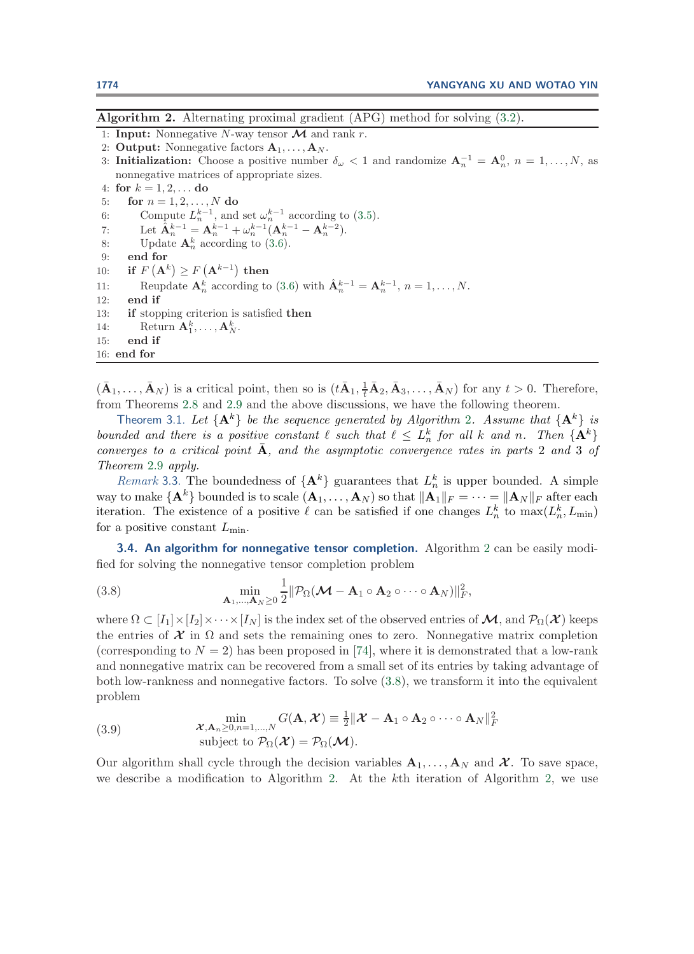<span id="page-16-0"></span>**Algorithm 2.** Alternating proximal gradient (APG) method for solving [\(3.2\)](#page-14-1).

- 1: **Input:** Nonnegative N-way tensor *M* and rank r.
- 2: **Output:** Nonnegative factors  $A_1, \ldots, A_N$ .
- 3: **Initialization:** Choose a positive number  $\delta_{\omega} < 1$  and randomize  $A_n^{-1} = A_n^0$ ,  $n = 1, ..., N$ , as nonnegative matrices of appropriate sizes.

4: **for**  $k = 1, 2, ...$  **do** 

- 5: **for**  $n = 1, 2, ..., N$  **do** 6: Compute  $L_n^{k-1}$ , and set  $\omega_n^{k-1}$  according to [\(3.5\)](#page-15-2). 7: Let  $\hat{\mathbf{A}}_n^{k-1} = \mathbf{A}_n^{k-1} + \omega_n^{k-1} (\mathbf{A}_n^{k-1} - \mathbf{A}_n^{k-2}).$ 8: Update  $\mathbf{A}_n^k$  according to [\(3.6\)](#page-15-0).
- 9: **end for**
- $10:$  **if**  $F(\mathbf{A}^k) \geq F(\mathbf{A}^{k-1})$  then
- 11: Reupdate  $\mathbf{A}_n^k$  according to [\(3.6\)](#page-15-0) with  $\hat{\mathbf{A}}_n^{k-1} = \mathbf{A}_n^{k-1}, n = 1, \ldots, N$ .
- 12: **end if**
- 13: **if** stopping criterion is satisfied **then**
- 14: Return  $\mathbf{A}_1^k, \ldots, \mathbf{A}_N^k$ .
- 15: **end if**
- 16: **end for**

 $(\bar{\mathbf{A}}_1, \ldots, \bar{\mathbf{A}}_N)$  is a critical point, then so is  $(t\bar{\mathbf{A}}_1, \frac{1}{t}\bar{\mathbf{A}}_2, \bar{\mathbf{A}}_3, \ldots, \bar{\mathbf{A}}_N)$  for any  $t > 0$ . Therefore, from Theorems [2.8](#page-12-1) and [2.9](#page-13-0) and the above discussions, we have the following theorem.

Theorem 3.1. Let  $\{A^k\}$  be the sequence generated by Algorithm [2](#page-16-0). Assume that  $\{A^k\}$  is bounded and there is a positive constant  $\ell$  such that  $\ell \leq L_n^k$  for all k and n. Then  $\{A^k\}$ *converges to a critical point* **A**, and the asymptotic convergence rates in parts 2 and 3 of *Theorem* [2.9](#page-13-0) *apply.*

*Remark* 3.3. The boundedness of  ${A^k}$  guarantees that  $L_n^k$  is upper bounded. A simple way to make  $\{\mathbf{A}^k\}$  bounded is to scale  $(\mathbf{A}_1,\ldots,\mathbf{A}_N)$  so that  $\|\mathbf{A}_1\|_F = \cdots = \|\mathbf{A}_N\|_F$  after each iteration. The existence of a positive  $\ell$  can be satisfied if one changes  $L_n^k$  to  $\max(L_n^k, L_{\min})$ for a positive constant  $L_{\text{min}}$ .

<span id="page-16-2"></span><span id="page-16-1"></span>**3.4. An algorithm for nonnegative tensor completion.** Algorithm [2](#page-16-0) can be easily modified for solving the nonnegative tensor completion problem

(3.8) 
$$
\min_{\mathbf{A}_1,\dots,\mathbf{A}_N\geq 0}\frac{1}{2}\|\mathcal{P}_{\Omega}(\mathcal{M}-\mathbf{A}_1\circ\mathbf{A}_2\circ\cdots\circ\mathbf{A}_N)\|_F^2,
$$

where  $\Omega \subset [I_1] \times [I_2] \times \cdots \times [I_N]$  is the index set of the observed entries of  $\mathcal{M}$ , and  $\mathcal{P}_{\Omega}(\mathcal{X})$  keeps the entries of  $\mathcal X$  in  $\Omega$  and sets the remaining ones to zero. Nonnegative matrix completion (corresponding to  $N = 2$ ) has been proposed in [\[74\]](#page-31-17), where it is demonstrated that a low-rank and nonnegative matrix can be recovered from a small set of its entries by taking advantage of both low-rankness and nonnegative factors. To solve [\(3.8\)](#page-16-1), we transform it into the equivalent problem

(3.9) 
$$
\min_{\mathbf{\mathcal{X}}, \mathbf{A}_n \geq 0, n=1,\dots,N} G(\mathbf{A}, \mathbf{\mathcal{X}}) \equiv \frac{1}{2} ||\mathbf{\mathcal{X}} - \mathbf{A}_1 \circ \mathbf{A}_2 \circ \cdots \circ \mathbf{A}_N||_F^2
$$
  
subject to  $\mathcal{P}_{\Omega}(\mathbf{\mathcal{X}}) = \mathcal{P}_{\Omega}(\mathbf{\mathcal{M}}).$ 

Our algorithm shall cycle through the decision variables  $\mathbf{A}_1, \ldots, \mathbf{A}_N$  and  $\mathcal{X}$ . To save space, we describe a modification to Algorithm [2.](#page-16-0) At the kth iteration of Algorithm [2,](#page-16-0) we use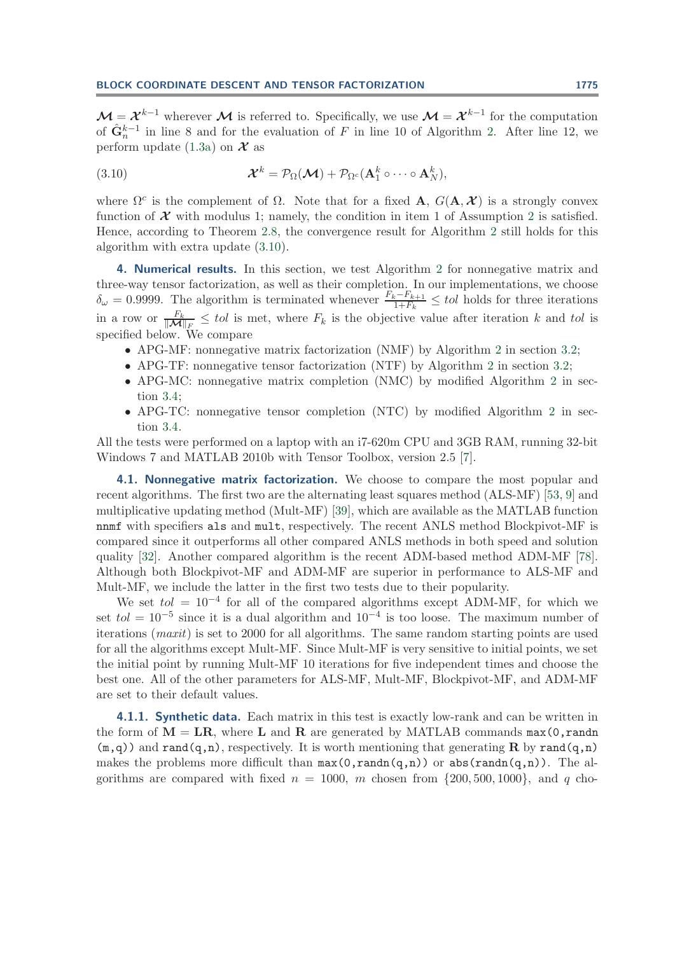$\mathcal{M} = \mathcal{X}^{k-1}$  wherever  $\mathcal{M}$  is referred to. Specifically, we use  $\mathcal{M} = \mathcal{X}^{k-1}$  for the computation of  $\hat{\mathbf{G}}_n^{k-1}$  in line 8 and for the evaluation of F in line 10 of Algorithm [2.](#page-16-0) After line 12, we perform update  $(1.3a)$  on  $\mathcal X$  as

<span id="page-17-1"></span>(3.10) 
$$
\mathcal{X}^{k} = \mathcal{P}_{\Omega}(\mathcal{M}) + \mathcal{P}_{\Omega^{c}}(\mathbf{A}_{1}^{k} \circ \cdots \circ \mathbf{A}_{N}^{k}),
$$

where  $\Omega^c$  is the complement of  $\Omega$ . Note that for a fixed **A**,  $G(\mathbf{A}, \mathcal{X})$  is a strongly convex function of  $\mathcal X$  with modulus 1; namely, the condition in item 1 of Assumption [2](#page-5-4) is satisfied. Hence, according to Theorem [2.8,](#page-12-1) the convergence result for Algorithm [2](#page-16-0) still holds for this algorithm with extra update [\(3.10\)](#page-17-1).

<span id="page-17-0"></span>**4. Numerical results.** In this section, we test Algorithm [2](#page-16-0) for nonnegative matrix and three-way tensor factorization, as well as their completion. In our implementations, we choose  $\delta_{\omega} = 0.9999$ . The algorithm is terminated whenever  $\frac{F_k - F_{k+1}}{1 + F_k} \leq tol$  holds for three iterations in a row or  $\frac{F_k}{\|\mathcal{M}\|_{F_\star}} \leq tol$  is met, where  $F_k$  is the objective value after iteration k and tol is specified below. We compare

- APG-MF: nonnegative matrix factorization (NMF) by Algorithm [2](#page-16-0) in section [3.2;](#page-14-2)
- APG-TF: nonnegative tensor factorization (NTF) by Algorithm [2](#page-16-0) in section [3.2;](#page-14-2)
- APG-MC: nonnegative matrix completion (NMC) by modified Algorithm [2](#page-16-0) in section [3.4;](#page-16-2)
- APG-TC: nonnegative tensor completion (NTC) by modified Algorithm [2](#page-16-0) in section [3.4.](#page-16-2)

All the tests were performed on a laptop with an i7-620m CPU and 3GB RAM, running 32-bit Windows 7 and MATLAB 2010b with Tensor Toolbox, version 2.5 [\[7\]](#page-28-6).

**4.1. Nonnegative matrix factorization.** We choose to compare the most popular and recent algorithms. The first two are the alternating least squares method (ALS-MF) [\[53,](#page-30-10) [9\]](#page-28-7) and multiplicative updating method (Mult-MF) [\[39\]](#page-30-15), which are available as the MATLAB function nnmf with specifiers als and mult, respectively. The recent ANLS method Blockpivot-MF is compared since it outperforms all other compared ANLS methods in both speed and solution quality [\[32\]](#page-29-14). Another compared algorithm is the recent ADM-based method ADM-MF [\[78\]](#page-31-11). Although both Blockpivot-MF and ADM-MF are superior in performance to ALS-MF and Mult-MF, we include the latter in the first two tests due to their popularity.

We set  $tol = 10^{-4}$  for all of the compared algorithms except ADM-MF, for which we set  $tol = 10^{-5}$  since it is a dual algorithm and  $10^{-4}$  is too loose. The maximum number of iterations (*maxit*) is set to 2000 for all algorithms. The same random starting points are used for all the algorithms except Mult-MF. Since Mult-MF is very sensitive to initial points, we set the initial point by running Mult-MF 10 iterations for five independent times and choose the best one. All of the other parameters for ALS-MF, Mult-MF, Blockpivot-MF, and ADM-MF are set to their default values.

**4.1.1. Synthetic data.** Each matrix in this test is exactly low-rank and can be written in the form of  $M = LR$ , where L and R are generated by MATLAB commands max(0,randn)  $(m,q)$ ) and rand $(q,n)$ , respectively. It is worth mentioning that generating **R** by rand $(q,n)$ makes the problems more difficult than  $max(0,randn(q,n))$  or  $abs(randn(q,n))$ . The algorithms are compared with fixed  $n = 1000$ , m chosen from  $\{200, 500, 1000\}$ , and q cho-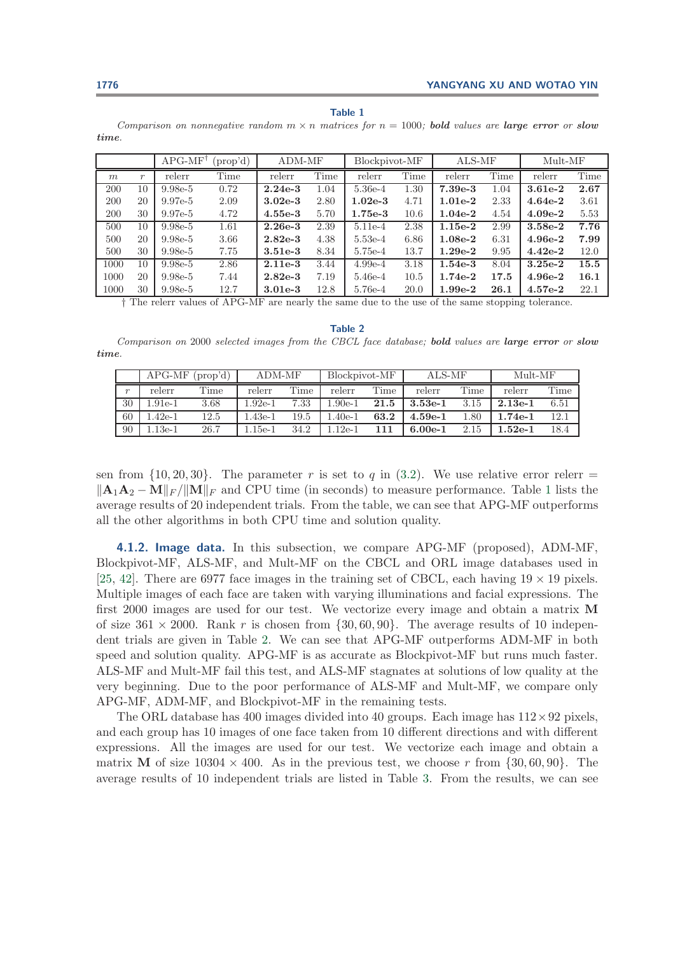#### **Table 1**

<span id="page-18-0"></span>Comparison on nonnegative random  $m \times n$  matrices for  $n = 1000$ ; **bold** values are **large error** or **slow** *time*.

|      |                  | $APG-MF^{\dagger}$ | (prop'd) | ADM-MF    |      | Blockpivot-MF |      | ALS-MF    |      | $Mult-MF$ |      |
|------|------------------|--------------------|----------|-----------|------|---------------|------|-----------|------|-----------|------|
| m    | $\boldsymbol{r}$ | relerr             | Time     | relerr    | Time | relerr        | Time | relerr    | Time | relerr    | Time |
| 200  | 10               | $9.98e-5$          | 0.72     | $2.24e-3$ | 1.04 | 5.36e-4       | 1.30 | $7.39e-3$ | 1.04 | $3.61e-2$ | 2.67 |
| 200  | 20               | $9.97e-5$          | 2.09     | $3.02e-3$ | 2.80 | $1.02e-3$     | 4.71 | $1.01e-2$ | 2.33 | $4.64e-2$ | 3.61 |
| 200  | 30               | $9.97e-5$          | 4.72     | $4.55e-3$ | 5.70 | $1.75e-3$     | 10.6 | $1.04e-2$ | 4.54 | $4.09e-2$ | 5.53 |
| 500  | 10               | $9.98e-5$          | 1.61     | $2.26e-3$ | 2.39 | 5.11e-4       | 2.38 | $1.15e-2$ | 2.99 | $3.58e-2$ | 7.76 |
| 500  | 20               | $9.98e-5$          | 3.66     | $2.82e-3$ | 4.38 | 5.53e-4       | 6.86 | $1.08e-2$ | 6.31 | $4.96e-2$ | 7.99 |
| 500  | 30               | $9.98e-5$          | 7.75     | $3.51e-3$ | 8.34 | 5.75e-4       | 13.7 | $1.29e-2$ | 9.95 | $4.42e-2$ | 12.0 |
| 1000 | 10               | $9.98e-5$          | 2.86     | $2.11e-3$ | 3.44 | $4.99e-4$     | 3.18 | $1.54e-3$ | 8.04 | $3.25e-2$ | 15.5 |
| 1000 | 20               | $9.98e-5$          | 7.44     | $2.82e-3$ | 7.19 | 5.46e-4       | 10.5 | $1.74e-2$ | 17.5 | $4.96e-2$ | 16.1 |
| 1000 | 30               | $9.98e-5$          | 12.7     | $3.01e-3$ | 12.8 | 5.76e-4       | 20.0 | $1.99e-2$ | 26.1 | $4.57e-2$ | 22.1 |

† The relerr values of APG-MF are nearly the same due to the use of the same stopping tolerance.

**Table 2**

<span id="page-18-1"></span>Comparison on 2000 selected images from the CBCL face database; *bold* values are *large error* or *slow time*.

|              |           | $APG-MF$ (prop'd) | ADM-MF    |      | Blockpivot-MF |      | ALS-MF    |      | $Mult-MF$                   |      |
|--------------|-----------|-------------------|-----------|------|---------------|------|-----------|------|-----------------------------|------|
| $\mathbf{r}$ | relerr    | Time              | relerr    | Time | relerr        | Time | relerr    | Time | relerr                      | Time |
| 30           | $1.91e-1$ | 3.68              | $1.92e-1$ | 7.33 | $1.90e-1$     | 21.5 | $3.53e-1$ | 3.15 | $2.13e-1$                   | 6.51 |
| 60           | 1.42e-1   | 12.5              | $.43e-1$  | 19.5 | $.40e-1$      | 63.2 | $4.59e-1$ | 1.80 | $1.74e-1$                   | 12.1 |
| 90           | $.13e-1$  | 26.7              | .15e-1    | 34.2 | $1.12e-1$     | 111  | $6.00e-1$ | 2.15 | $1.52\mathrm{e}{\text{-}1}$ | 18.4 |

sen from  $\{10, 20, 30\}$ . The parameter r is set to q in  $(3.2)$ . We use relative error relerr =  $\|\mathbf{A}_1\mathbf{A}_2 - \mathbf{M}\|_F / \|\mathbf{M}\|_F$  $\|\mathbf{A}_1\mathbf{A}_2 - \mathbf{M}\|_F / \|\mathbf{M}\|_F$  $\|\mathbf{A}_1\mathbf{A}_2 - \mathbf{M}\|_F / \|\mathbf{M}\|_F$  and CPU time (in seconds) to measure performance. Table 1 lists the average results of 20 independent trials. From the table, we can see that APG-MF outperforms all the other algorithms in both CPU time and solution quality.

<span id="page-18-2"></span>**4.1.2. Image data.** In this subsection, we compare APG-MF (proposed), ADM-MF, Blockpivot-MF, ALS-MF, and Mult-MF on the CBCL and ORL image databases used in [\[25,](#page-29-23) [42\]](#page-30-16). There are 6977 face images in the training set of CBCL, each having  $19 \times 19$  pixels. Multiple images of each face are taken with varying illuminations and facial expressions. The first 2000 images are used for our test. We vectorize every image and obtain a matrix **M** of size  $361 \times 2000$ . Rank r is chosen from  $\{30, 60, 90\}$ . The average results of 10 independent trials are given in Table [2.](#page-18-1) We can see that APG-MF outperforms ADM-MF in both speed and solution quality. APG-MF is as accurate as Blockpivot-MF but runs much faster. ALS-MF and Mult-MF fail this test, and ALS-MF stagnates at solutions of low quality at the very beginning. Due to the poor performance of ALS-MF and Mult-MF, we compare only APG-MF, ADM-MF, and Blockpivot-MF in the remaining tests.

The ORL database has 400 images divided into 40 groups. Each image has  $112 \times 92$  pixels, and each group has 10 images of one face taken from 10 different directions and with different expressions. All the images are used for our test. We vectorize each image and obtain a matrix **M** of size  $10304 \times 400$ . As in the previous test, we choose r from  $\{30, 60, 90\}$ . The average results of 10 independent trials are listed in Table [3.](#page-19-0) From the results, we can see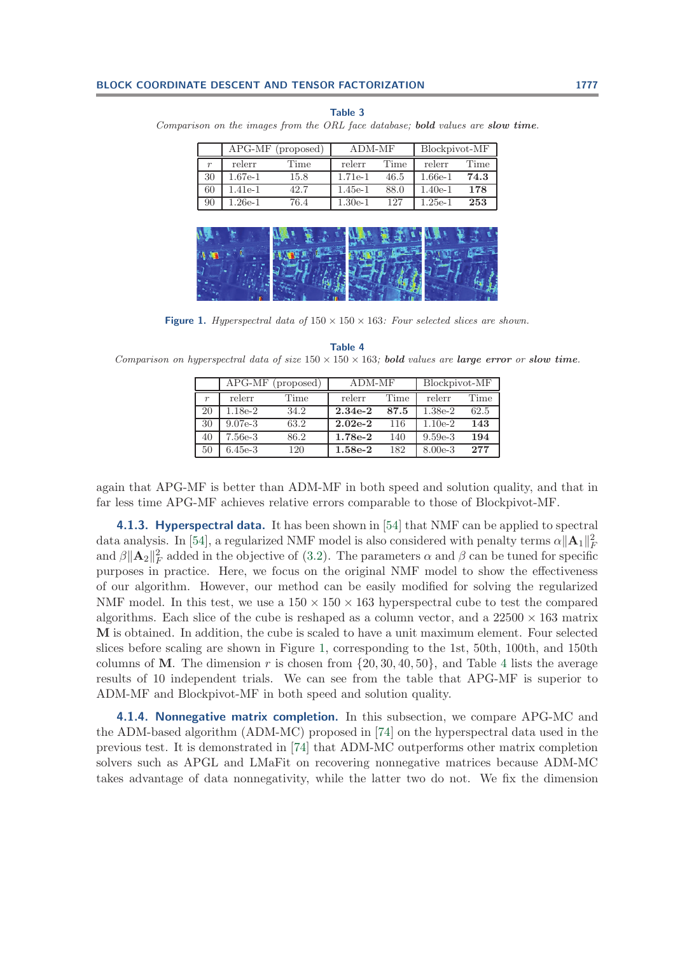<span id="page-19-0"></span>Comparison on the images from the ORL face database; *bold* values are *slow time*.

|                  |         | APG-MF (proposed) | ADM-MF    |      | Blockpivot-MF |      |
|------------------|---------|-------------------|-----------|------|---------------|------|
| $\boldsymbol{r}$ | relerr  | Time              | relerr    | Time | relerr        | Time |
| 30               | 1.67e-1 | 15.8              | $1.71e-1$ | 46.5 | $1.66e-1$     | 74.3 |
| 60               | 1.41e-1 | 42.7              | $1.45e-1$ | 88.0 | $1.40e-1$     | 178  |
| 90               | 1.26e-1 | 76.4              | $1.30e-1$ | 127  | $1.25e-1$     | 253  |

|                 | 19 I |  |
|-----------------|------|--|
| $\blacklozenge$ |      |  |
| L,              |      |  |
|                 |      |  |

**Figure 1.** Hyperspectral data of  $150 \times 150 \times 163$ : Four selected slices are shown.

<span id="page-19-2"></span><span id="page-19-1"></span>**Table 4** Comparison on hyperspectral data of size  $150 \times 150 \times 163$ ; **bold** values are *large error* or **slow time**.

|                  | $APG-MF$  | (proposed) | ADM-MF    |      | Blockpivot-MF |      |  |
|------------------|-----------|------------|-----------|------|---------------|------|--|
| $\boldsymbol{r}$ | relerr    | Time       | relerr    | Time | relerr        | Time |  |
| 20               | 1.18e-2   | 34.2       | $2.34e-2$ | 87.5 | $1.38e-2$     | 62.5 |  |
| 30               | $9.07e-3$ | 63.2       | $2.02e-2$ | 116  | $1.10e-2$     | 143  |  |
| 40               | 7.56e-3   | 86.2       | $1.78e-2$ | 140  | $9.59e-3$     | 194  |  |
| 50               | $6.45e-3$ | 120        | $1.58e-2$ | 182  | $8.00e-3$     | 277  |  |

again that APG-MF is better than ADM-MF in both speed and solution quality, and that in far less time APG-MF achieves relative errors comparable to those of Blockpivot-MF.

<span id="page-19-3"></span>**4.1.3. Hyperspectral data.** It has been shown in [\[54\]](#page-30-14) that NMF can be applied to spectral data analysis. In [\[54\]](#page-30-14), a regularized NMF model is also considered with penalty terms  $\alpha ||\mathbf{A}_1||_F^2$ and  $\beta ||\mathbf{A}_2||_F^2$  added in the objective of [\(3.2\)](#page-14-1). The parameters  $\alpha$  and  $\beta$  can be tuned for specific purposes in practice. Here, we focus on the original NMF model to show the effectiveness of our algorithm. However, our method can be easily modified for solving the regularized NMF model. In this test, we use a  $150 \times 150 \times 163$  hyperspectral cube to test the compared algorithms. Each slice of the cube is reshaped as a column vector, and a  $22500 \times 163$  matrix **M** is obtained. In addition, the cube is scaled to have a unit maximum element. Four selected slices before scaling are shown in Figure [1,](#page-19-1) corresponding to the 1st, 50th, 100th, and 150th columns of M. The dimension r is chosen from  $\{20, 30, 40, 50\}$  $\{20, 30, 40, 50\}$  $\{20, 30, 40, 50\}$ , and Table 4 lists the average results of 10 independent trials. We can see from the table that APG-MF is superior to ADM-MF and Blockpivot-MF in both speed and solution quality.

**4.1.4. Nonnegative matrix completion.** In this subsection, we compare APG-MC and the ADM-based algorithm (ADM-MC) proposed in [\[74\]](#page-31-17) on the hyperspectral data used in the previous test. It is demonstrated in [\[74\]](#page-31-17) that ADM-MC outperforms other matrix completion solvers such as APGL and LMaFit on recovering nonnegative matrices because ADM-MC takes advantage of data nonnegativity, while the latter two do not. We fix the dimension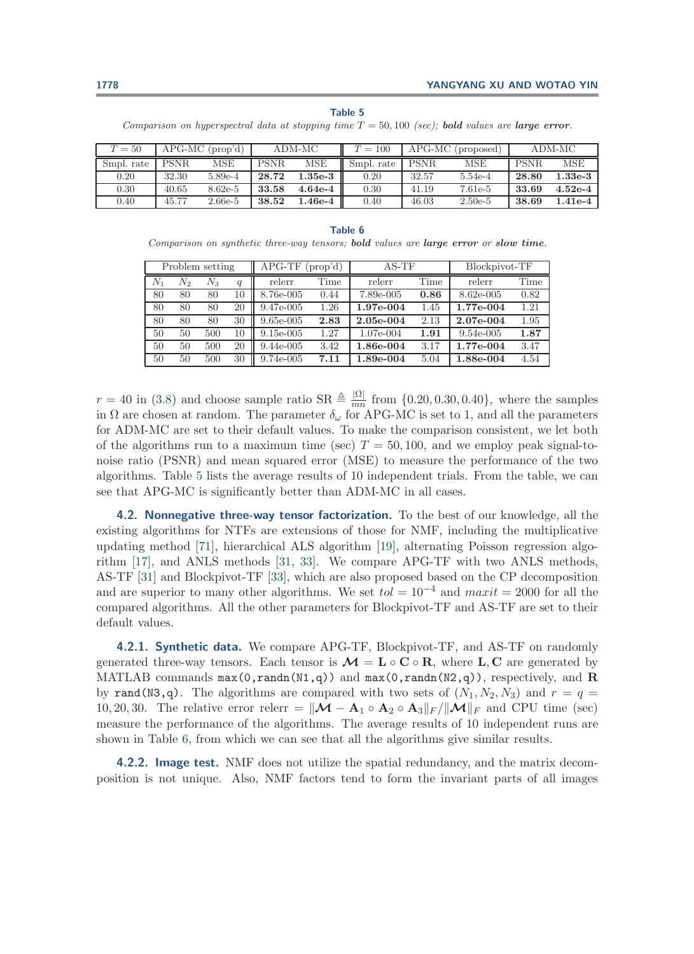#### **Table 5**

<span id="page-20-0"></span>Comparison on hyperspectral data at stopping time T = 50, 100 (sec); *bold* values are *large error*.

| $T=50$     | $APG-MC$ (prop'd) |           | ADM-MC      |           | $T = 100$  | APG-MC (proposed) |           | ADM-MC      |           |
|------------|-------------------|-----------|-------------|-----------|------------|-------------------|-----------|-------------|-----------|
| Smpl. rate | <b>PSNR</b>       | MSE       | <b>PSNR</b> | MSE       | Smpl. rate | PSNR.             | MSE       | <b>PSNR</b> | MSE       |
| 0.20       | 32.30             | 5.89e-4   | 28.72       | $.35e-3$  | 0.20       | 32.57             | 5.54e-4   | 28.80       | $1.33e-3$ |
| 0.30       | 40.65             | $8.62e-5$ | 33.58       | $4.64e-4$ | 0.30       | 41.19             | 7.61e-5   | 33.69       | $4.52e-4$ |
| 0.40       | 45.77             | $2.66e-5$ | 38.52       | .46e-4    | 0.40       | 46.03             | $2.50e-5$ | 38.69       | $.41e-4$  |

#### **Table 6**

<span id="page-20-1"></span>Comparison on synthetic three-way tensors; *bold* values are *large error* or *slow time*.

|         |       | Problem setting |    | $APG-TF$<br>(prop'd) |      | $AS-TF$   |      | Blockpivot-TF |      |
|---------|-------|-----------------|----|----------------------|------|-----------|------|---------------|------|
| $N_{1}$ | $N_2$ | $N_3$           | q  | relerr               | Time | relerr    | Time | relerr        | Time |
| 80      | 80    | 80              | 10 | 8.76e-005            | 0.44 | 7.89e-005 | 0.86 | 8.62e-005     | 0.82 |
| 80      | 80    | 80              | 20 | $9.47e-005$          | 1.26 | 1.97e-004 | 1.45 | 1.77e-004     | 1.21 |
| 80      | 80    | 80              | 30 | $9.65e-005$          | 2.83 | 2.05e-004 | 2.13 | 2.07e-004     | 1.95 |
| 50      | 50    | 500             | 10 | $9.15e-005$          | 1.27 | 1.07e-004 | 1.91 | 9.54e-005     | 1.87 |
| 50      | 50    | 500             | 20 | $9.44e-005$          | 3.42 | 1.86e-004 | 3.17 | 1.77e-004     | 3.47 |
| 50      | 50    | 500             | 30 | 9.74e-005            | 7.11 | 1.89e-004 | 5.04 | 1.88e-004     | 4.54 |

 $r = 40$  in [\(3.8\)](#page-16-1) and choose sample ratio SR  $\triangleq \frac{|\Omega|}{mn}$  from  $\{0.20, 0.30, 0.40\}$ , where the samples in  $\Omega$  are chosen at random. The parameter  $\delta_{\omega}$  for APG-MC is set to 1, and all the parameters for ADM-MC are set to their default values. To make the comparison consistent, we let both of the algorithms run to a maximum time (sec)  $T = 50, 100$ , and we employ peak signal-tonoise ratio (PSNR) and mean squared error (MSE) to measure the performance of the two algorithms. Table [5](#page-20-0) lists the average results of 10 independent trials. From the table, we can see that APG-MC is significantly better than ADM-MC in all cases.

**4.2. Nonnegative three-way tensor factorization.** To the best of our knowledge, all the existing algorithms for NTFs are extensions of those for NMF, including the multiplicative updating method [\[71\]](#page-31-12), hierarchical ALS algorithm [\[19\]](#page-29-22), alternating Poisson regression algorithm [\[17\]](#page-29-24), and ANLS methods [\[31,](#page-29-16) [33\]](#page-29-17). We compare APG-TF with two ANLS methods, AS-TF [\[31\]](#page-29-16) and Blockpivot-TF [\[33\]](#page-29-17), which are also proposed based on the CP decomposition and are superior to many other algorithms. We set  $tol = 10^{-4}$  and  $maxit = 2000$  for all the compared algorithms. All the other parameters for Blockpivot-TF and AS-TF are set to their default values.

<span id="page-20-2"></span>**4.2.1. Synthetic data.** We compare APG-TF, Blockpivot-TF, and AS-TF on randomly generated three-way tensors. Each tensor is  $\mathcal{M} = L \circ \mathbf{C} \circ \mathbf{R}$ , where **L**, **C** are generated by MATLAB commands max(0,randn(N1,q)) and max(0,randn(N2,q)), respectively, and **R** by rand(N3,q). The algorithms are compared with two sets of  $(N_1, N_2, N_3)$  and  $r = q$ 10, 20, 30. The relative error relerr =  $\|\mathcal{M} - \mathbf{A}_1 \circ \mathbf{A}_2 \circ \mathbf{A}_3\|_F / \|\mathcal{M}\|_F$  and CPU time (sec) measure the performance of the algorithms. The average results of 10 independent runs are shown in Table [6,](#page-20-1) from which we can see that all the algorithms give similar results.

**4.2.2. Image test.** NMF does not utilize the spatial redundancy, and the matrix decomposition is not unique. Also, NMF factors tend to form the invariant parts of all images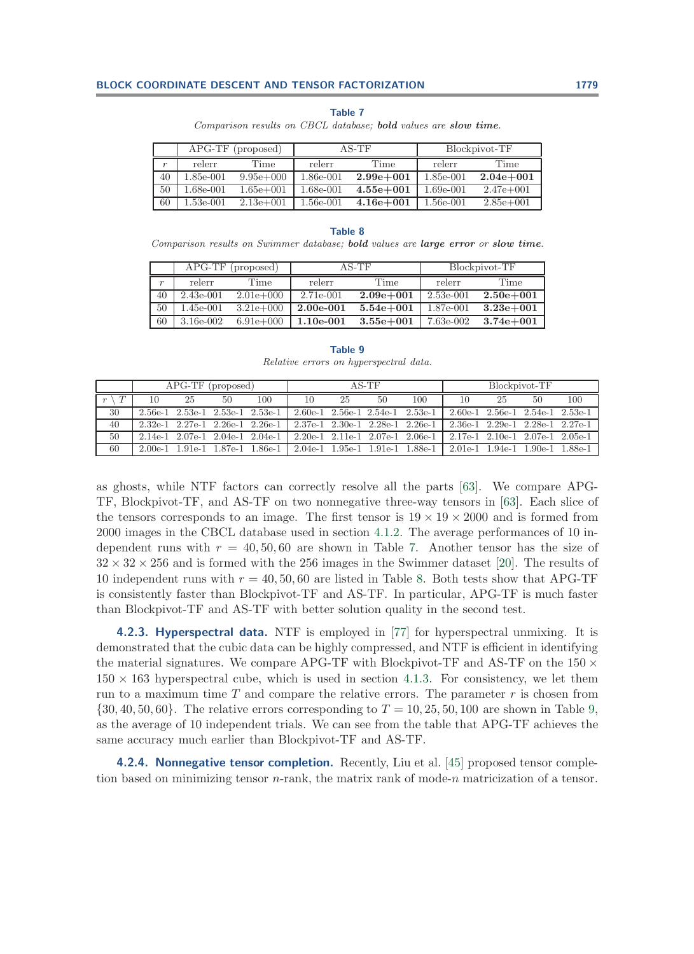### **Table 7**

Comparison results on CBCL database; *bold* values are *slow time*.

<span id="page-21-0"></span>

|                  | $APG-TF$  | (proposed)    |           | $AS-TF$       | Blockpivot-TF |               |  |
|------------------|-----------|---------------|-----------|---------------|---------------|---------------|--|
| $\boldsymbol{r}$ | relerr    | Time          | relerr    | Time          | relerr        | Time          |  |
| 40               | 1.85e-001 | $9.95e+000$   | 1.86e-001 | $2.99e + 001$ | 1.85e-001     | $2.04e + 001$ |  |
| 50               | 1.68e-001 | $1.65e + 001$ | 1.68e-001 | $4.55e + 001$ | $1.69e-001$   | $2.47e+001$   |  |
| 60               | 1.53e-001 | $2.13e+001$   | 1.56e-001 | $4.16e + 001$ | 1.56e-001     | $2.85e+001$   |  |

#### **Table 8**

<span id="page-21-1"></span>Comparison results on Swimmer database; *bold* values are *large error* or *slow time*.

|                  |             | APG-TF (proposed) |             | $AS-TF$       | Blockpivot-TF |               |  |
|------------------|-------------|-------------------|-------------|---------------|---------------|---------------|--|
| $\boldsymbol{r}$ | relerr      | Time              | relerr      | Time          | relerr        | Time          |  |
| 40               | $2.43e-001$ | $2.01e+0.00$      | 2.71e-001   | $2.09e + 001$ | $2.53e-001$   | $2.50e + 001$ |  |
| 50               | 1.45e-001   | $3.21e+0.00$      | $2.00e-001$ | $5.54e + 001$ | 1.87e-001     | $3.23e + 001$ |  |
| 60               | 3.16e-002   | $6.91e+0.00$      | $1.10e-001$ | $3.55e + 001$ | 7.63e-002     | $3.74e + 001$ |  |

**Table 9** Relative errors on hyperspectral data.

<span id="page-21-2"></span>

|    |    | $APG-TF$ (proposed) |    |                                         |    |    | $A S-TF$                                |                                   | Blockpivot-TF                           |    |                                         |     |
|----|----|---------------------|----|-----------------------------------------|----|----|-----------------------------------------|-----------------------------------|-----------------------------------------|----|-----------------------------------------|-----|
|    | 10 | 25                  | 50 | 100                                     | 10 | 25 | 50                                      | 100                               | 10                                      | 25 | 50                                      | 100 |
| 30 |    |                     |    | $2.56e-1$ $2.53e-1$ $2.53e-1$ $2.53e-1$ |    |    | $2.60e-1$ $2.56e-1$ $2.54e-1$ $2.53e-1$ |                                   |                                         |    | $2.60e-1$ $2.56e-1$ $2.54e-1$ $2.53e-1$ |     |
| 40 |    |                     |    | $2.32e-1$ $2.27e-1$ $2.26e-1$ $2.26e-1$ |    |    |                                         | 2.37e-1 2.30e-1 2.28e-1 2.26e-1 l |                                         |    | 2.36e-1 2.29e-1 2.28e-1 2.27e-1         |     |
| 50 |    |                     |    | $2.14e-1$ $2.07e-1$ $2.04e-1$ $2.04e-1$ |    |    | $2.20e-1$ $2.11e-1$ $2.07e-1$ $2.06e-1$ |                                   | $2.17e-1$ $2.10e-1$ $2.07e-1$ $2.05e-1$ |    |                                         |     |
| 60 |    |                     |    | 2.00e-1 1.91e-1 1.87e-1 1.86e-1 l       |    |    |                                         | 2.04e-1 1.95e-1 1.91e-1 1.88e-1   |                                         |    | 2.01e-1 1.94e-1 1.90e-1 1.88e-1         |     |

as ghosts, while NTF factors can correctly resolve all the parts [\[63\]](#page-31-13). We compare APG-TF, Blockpivot-TF, and AS-TF on two nonnegative three-way tensors in [\[63\]](#page-31-13). Each slice of the tensors corresponds to an image. The first tensor is  $19 \times 19 \times 2000$  and is formed from 2000 images in the CBCL database used in section [4.1.2.](#page-18-2) The average performances of 10 independent runs with  $r = 40, 50, 60$  are shown in Table [7.](#page-21-0) Another tensor has the size of  $32 \times 32 \times 256$  and is formed with the 256 images in the Swimmer dataset [\[20\]](#page-29-25). The results of 10 independent runs with  $r = 40, 50, 60$  are listed in Table [8.](#page-21-1) Both tests show that APG-TF is consistently faster than Blockpivot-TF and AS-TF. In particular, APG-TF is much faster than Blockpivot-TF and AS-TF with better solution quality in the second test.

**4.2.3. Hyperspectral data.** NTF is employed in [\[77\]](#page-31-18) for hyperspectral unmixing. It is demonstrated that the cubic data can be highly compressed, and NTF is efficient in identifying the material signatures. We compare APG-TF with Blockpivot-TF and AS-TF on the  $150 \times$  $150 \times 163$  hyperspectral cube, which is used in section [4.1.3.](#page-19-3) For consistency, we let them run to a maximum time  $T$  and compare the relative errors. The parameter  $r$  is chosen from  $\{30, 40, 50, 60\}$ . The relative errors corresponding to  $T = 10, 25, 50, 100$  are shown in Table [9,](#page-21-2) as the average of 10 independent trials. We can see from the table that APG-TF achieves the same accuracy much earlier than Blockpivot-TF and AS-TF.

**4.2.4. Nonnegative tensor completion.** Recently, Liu et al. [\[45\]](#page-30-24) proposed tensor completion based on minimizing tensor  $n$ -rank, the matrix rank of mode-n matricization of a tensor.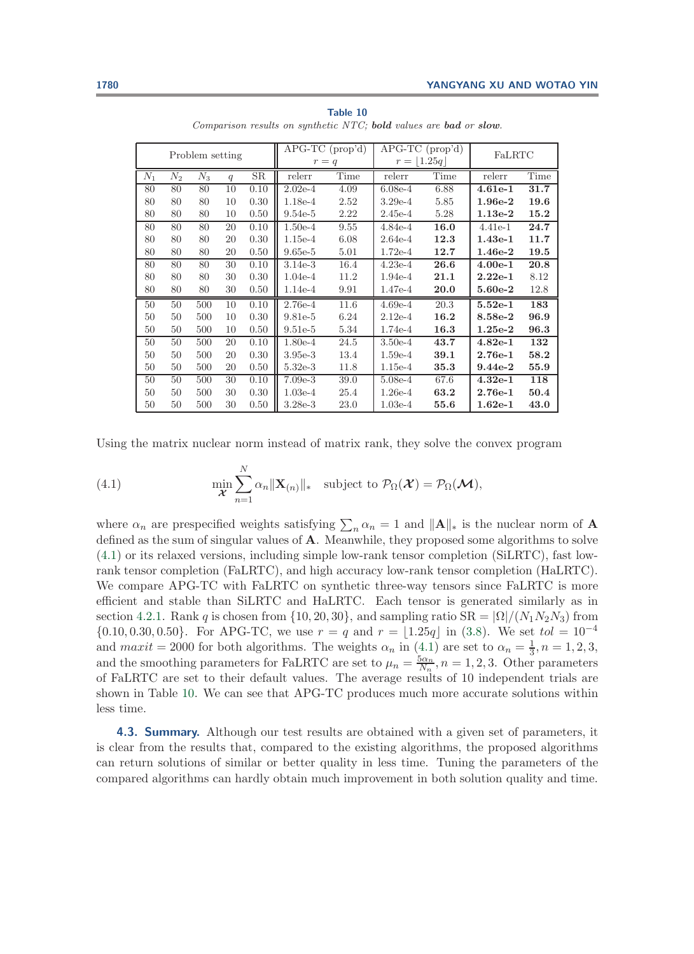<span id="page-22-1"></span>

|       |       | Problem setting |    |             | APG-TC (prop'd)<br>$r = q$ |      | APG-TC (prop'd)<br>$r =  1.25q $ |      | FaLRTC    |      |
|-------|-------|-----------------|----|-------------|----------------------------|------|----------------------------------|------|-----------|------|
| $N_1$ | $N_2$ | $N_3$           | q  | $_{\rm SR}$ | relerr                     | Time | relerr                           | Time | relerr    | Time |
| 80    | 80    | 80              | 10 | 0.10        | $2.02e-4$                  | 4.09 | $6.08e-4$                        | 6.88 | $4.61e-1$ | 31.7 |
| 80    | 80    | 80              | 10 | 0.30        | $1.18e-4$                  | 2.52 | $3.29e-4$                        | 5.85 | $1.96e-2$ | 19.6 |
| 80    | 80    | 80              | 10 | 0.50        | $9.54e-5$                  | 2.22 | $2.45e-4$                        | 5.28 | $1.13e-2$ | 15.2 |
| 80    | 80    | 80              | 20 | 0.10        | $1.50e-4$                  | 9.55 | $4.84e-4$                        | 16.0 | 4.41e-1   | 24.7 |
| 80    | 80    | 80              | 20 | 0.30        | $1.15e-4$                  | 6.08 | $2.64e-4$                        | 12.3 | $1.43e-1$ | 11.7 |
| 80    | 80    | 80              | 20 | 0.50        | $9.65e-5$                  | 5.01 | $1.72e-4$                        | 12.7 | $1.46e-2$ | 19.5 |
| 80    | 80    | 80              | 30 | 0.10        | $3.14e-3$                  | 16.4 | $4.23e-4$                        | 26.6 | $4.00e-1$ | 20.8 |
| 80    | 80    | 80              | 30 | 0.30        | $1.04e-4$                  | 11.2 | $1.94e-4$                        | 21.1 | $2.22e-1$ | 8.12 |
| 80    | 80    | 80              | 30 | 0.50        | $1.14e-4$                  | 9.91 | $1.47e-4$                        | 20.0 | 5.60e-2   | 12.8 |
| 50    | 50    | 500             | 10 | 0.10        | $2.76e-4$                  | 11.6 | $4.69e-4$                        | 20.3 | $5.52e-1$ | 183  |
| 50    | 50    | 500             | 10 | 0.30        | $9.81e-5$                  | 6.24 | $2.12e-4$                        | 16.2 | 8.58e-2   | 96.9 |
| 50    | 50    | 500             | 10 | 0.50        | $9.51e-5$                  | 5.34 | $1.74e-4$                        | 16.3 | $1.25e-2$ | 96.3 |
| 50    | 50    | 500             | 20 | 0.10        | $1.80e-4$                  | 24.5 | $3.50e-4$                        | 43.7 | $4.82e-1$ | 132  |
| 50    | 50    | 500             | 20 | 0.30        | $3.95e-3$                  | 13.4 | $1.59e-4$                        | 39.1 | $2.76e-1$ | 58.2 |
| 50    | 50    | 500             | 20 | 0.50        | $5.32e-3$                  | 11.8 | $1.15e-4$                        | 35.3 | $9.44e-2$ | 55.9 |
| 50    | 50    | 500             | 30 | 0.10        | $7.09e-3$                  | 39.0 | $5.08e-4$                        | 67.6 | $4.32e-1$ | 118  |
| 50    | 50    | 500             | 30 | 0.30        | $1.03e-4$                  | 25.4 | $1.26e-4$                        | 63.2 | $2.76e-1$ | 50.4 |
| 50    | 50    | 500             | 30 | 0.50        | $3.28e-3$                  | 23.0 | $1.03e-4$                        | 55.6 | $1.62e-1$ | 43.0 |

**Table 10** Comparison results on synthetic NTC; *bold* values are *bad* or *slow*.

<span id="page-22-0"></span>Using the matrix nuclear norm instead of matrix rank, they solve the convex program

(4.1) 
$$
\min_{\mathbf{\mathcal{X}}} \sum_{n=1}^{N} \alpha_n ||\mathbf{X}_{(n)}||_* \text{ subject to } \mathcal{P}_{\Omega}(\mathbf{\mathcal{X}}) = \mathcal{P}_{\Omega}(\mathbf{\mathcal{M}}),
$$

where  $\alpha_n$  are prespecified weights satisfying  $\sum_n \alpha_n = 1$  and  $||A||_*$  is the nuclear norm of **A** defined as the sum of singular values of **A**. Meanwhile, they proposed some algorithms to solve [\(4.1\)](#page-22-0) or its relaxed versions, including simple low-rank tensor completion (SiLRTC), fast lowrank tensor completion (FaLRTC), and high accuracy low-rank tensor completion (HaLRTC). We compare APG-TC with FaLRTC on synthetic three-way tensors since FaLRTC is more efficient and stable than SiLRTC and HaLRTC. Each tensor is generated similarly as in section [4.2.1.](#page-20-2) Rank q is chosen from  $\{10, 20, 30\}$ , and sampling ratio  $SR = |\Omega|/(N_1N_2N_3)$  from  ${0.10, 0.30, 0.50}$ . For APG-TC, we use  $r = q$  and  $r = |1.25q|$  in [\(3.8\)](#page-16-1). We set  $tol = 10^{-4}$ and  $maxit = 2000$  for both algorithms. The weights  $\alpha_n$  in  $(4.1)$  are set to  $\alpha_n = \frac{1}{3}, n = 1, 2, 3,$ and the smoothing parameters for FaLRTC are set to  $\mu_n = \frac{5\alpha_n}{N_n}$ ,  $n = 1, 2, 3$ . Other parameters of FaLRTC are set to their default values. The average results of 10 independent trials are shown in Table [10.](#page-22-1) We can see that APG-TC produces much more accurate solutions within less time.

**4.3. Summary.** Although our test results are obtained with a given set of parameters, it is clear from the results that, compared to the existing algorithms, the proposed algorithms can return solutions of similar or better quality in less time. Tuning the parameters of the compared algorithms can hardly obtain much improvement in both solution quality and time.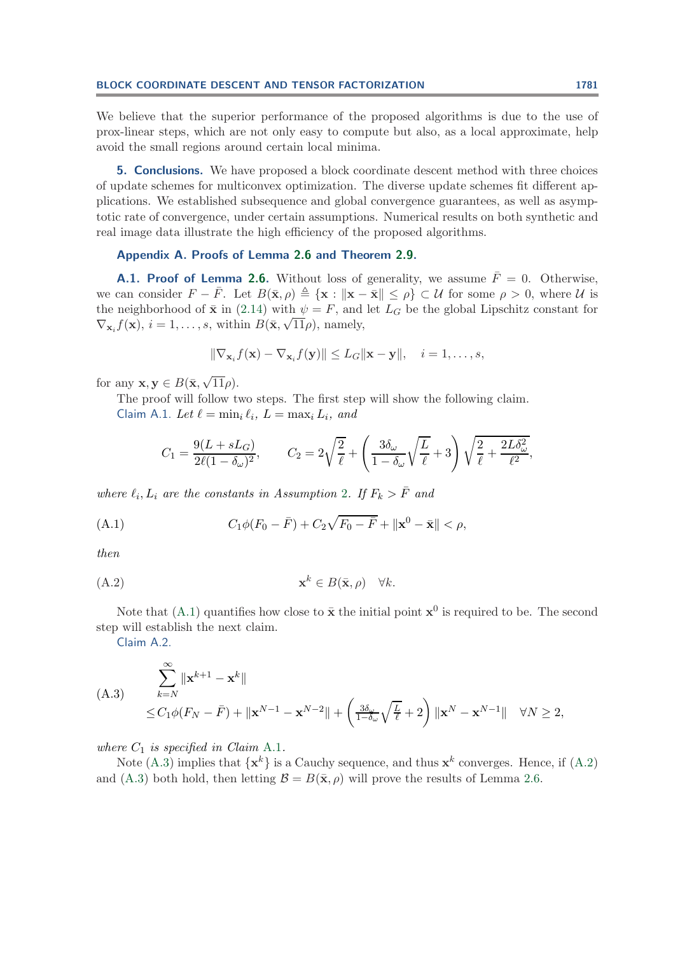We believe that the superior performance of the proposed algorithms is due to the use of prox-linear steps, which are not only easy to compute but also, as a local approximate, help avoid the small regions around certain local minima.

<span id="page-23-0"></span>**5. Conclusions.** We have proposed a block coordinate descent method with three choices of update schemes for multiconvex optimization. The diverse update schemes fit different applications. We established subsequence and global convergence guarantees, as well as asymptotic rate of convergence, under certain assumptions. Numerical results on both synthetic and real image data illustrate the high efficiency of the proposed algorithms.

## <span id="page-23-1"></span>**Appendix A. Proofs of Lemma [2.6](#page-12-0) and Theorem [2.9.](#page-13-0)**

**A.1. Proof of Lemma [2.6.](#page-12-0)** Without loss of generality, we assume  $\bar{F} = 0$ . Otherwise, we can consider  $F - \bar{F}$ . Let  $B(\bar{\mathbf{x}}, \rho) \triangleq {\mathbf{x} : ||\mathbf{x} - \bar{\mathbf{x}}|| \leq \rho} \subset \mathcal{U}$  for some  $\rho > 0$ , where  $\mathcal{U}$  is the neighborhood of  $\bar{x}$  in [\(2.14\)](#page-10-1) with  $\psi = F$ , and let  $L_G$  be the global Lipschitz constant for the heighborhood of **x** in (2.14) with  $\psi = r$ , and  $\nabla_{\mathbf{x}_i} f(\mathbf{x}), i = 1, \dots, s$ , within  $B(\bar{\mathbf{x}}, \sqrt{11}\rho)$ , namely,

<span id="page-23-2"></span>
$$
\|\nabla_{\mathbf{x}_i} f(\mathbf{x}) - \nabla_{\mathbf{x}_i} f(\mathbf{y})\| \le L_G \|\mathbf{x} - \mathbf{y}\|, \quad i = 1, \dots, s,
$$

for any  $\mathbf{x}, \mathbf{y} \in B(\bar{\mathbf{x}}, \sqrt{11}\rho)$ .

<span id="page-23-3"></span>The proof will follow two steps. The first step will show the following claim. Claim A.1. Let  $\ell = \min_i \ell_i$ ,  $L = \max_i L_i$ , and

$$
C_1 = \frac{9(L + sL_G)}{2\ell(1 - \delta_\omega)^2}, \qquad C_2 = 2\sqrt{\frac{2}{\ell}} + \left(\frac{3\delta_\omega}{1 - \delta_\omega}\sqrt{\frac{L}{\ell}} + 3\right)\sqrt{\frac{2}{\ell} + \frac{2L\delta_\omega^2}{\ell^2}},
$$

*where*  $\ell_i, L_i$  *are the constants in Assumption* [2](#page-5-4)*.* If  $F_k > \overline{F}$  *and* 

(A.1) 
$$
C_1 \phi(F_0 - \bar{F}) + C_2 \sqrt{F_0 - \bar{F}} + ||\mathbf{x}^0 - \bar{\mathbf{x}}|| < \rho,
$$

<span id="page-23-5"></span>*then*

$$
\mathbf{x}^k \in B(\bar{\mathbf{x}}, \rho) \quad \forall k.
$$

<span id="page-23-6"></span>Note that [\(A.1\)](#page-23-2) quantifies how close to  $\bar{\mathbf{x}}$  the initial point  $\mathbf{x}^0$  is required to be. The second step will establish the next claim.

<span id="page-23-4"></span>Claim A.2.

$$
\sum_{k=N}^{\infty} \|\mathbf{x}^{k+1} - \mathbf{x}^{k}\|
$$
\n
$$
\leq C_1 \phi(F_N - \bar{F}) + \|\mathbf{x}^{N-1} - \mathbf{x}^{N-2}\| + \left(\frac{3\delta_{\omega}}{1-\delta_{\omega}}\sqrt{\frac{L}{\ell}} + 2\right) \|\mathbf{x}^N - \mathbf{x}^{N-1}\| \quad \forall N \geq 2,
$$

*where*  $C_1$  *is specified in Claim [A.1](#page-23-3).* 

Note [\(A.3\)](#page-23-4) implies that  $\{x^k\}$  is a Cauchy sequence, and thus  $x^k$  converges. Hence, if [\(A.2\)](#page-23-5) and [\(A.3\)](#page-23-4) both hold, then letting  $\mathcal{B} = B(\bar{\mathbf{x}}, \rho)$  will prove the results of Lemma [2.6.](#page-12-0)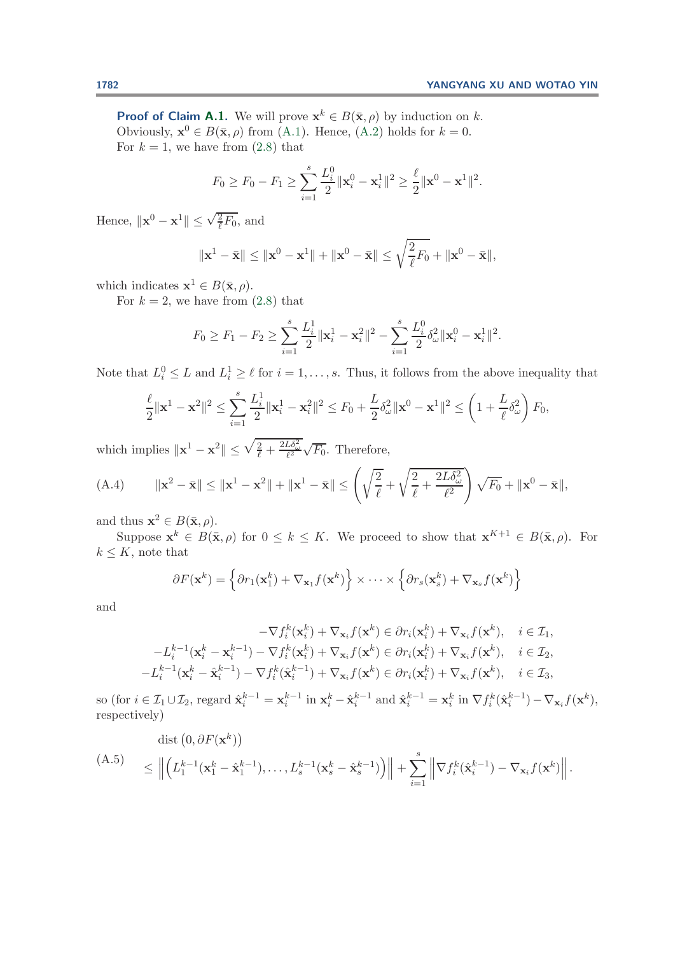**Proof of Claim [A.1.](#page-23-3)** We will prove  $\mathbf{x}^k \in B(\bar{\mathbf{x}}, \rho)$  by induction on k. Obviously,  $\mathbf{x}^0 \in B(\bar{\mathbf{x}}, \rho)$  from [\(A.1\)](#page-23-2). Hence, [\(A.2\)](#page-23-5) holds for  $k = 0$ . For  $k = 1$ , we have from  $(2.8)$  that

$$
F_0 \ge F_0 - F_1 \ge \sum_{i=1}^s \frac{L_i^0}{2} ||\mathbf{x}_i^0 - \mathbf{x}_i^1||^2 \ge \frac{\ell}{2} ||\mathbf{x}^0 - \mathbf{x}^1||^2.
$$

Hence,  $\|\mathbf{x}^0 - \mathbf{x}^1\| \leq \sqrt{\frac{2}{\ell}} F_0$ , and

$$
\|\mathbf{x}^1 - \bar{\mathbf{x}}\| \le \|\mathbf{x}^0 - \mathbf{x}^1\| + \|\mathbf{x}^0 - \bar{\mathbf{x}}\| \le \sqrt{\frac{2}{\ell}}F_0 + \|\mathbf{x}^0 - \bar{\mathbf{x}}\|,
$$

which indicates  $\mathbf{x}^1 \in B(\bar{\mathbf{x}}, \rho)$ .

For  $k = 2$ , we have from  $(2.8)$  that

<span id="page-24-1"></span>
$$
F_0 \ge F_1 - F_2 \ge \sum_{i=1}^s \frac{L_i^1}{2} ||\mathbf{x}_i^1 - \mathbf{x}_i^2||^2 - \sum_{i=1}^s \frac{L_i^0}{2} \delta_\omega^2 ||\mathbf{x}_i^0 - \mathbf{x}_i^1||^2.
$$

Note that  $L_i^0 \leq L$  and  $L_i^1 \geq \ell$  for  $i = 1, \ldots, s$ . Thus, it follows from the above inequality that

$$
\frac{\ell}{2} \|\mathbf{x}^1 - \mathbf{x}^2\|^2 \le \sum_{i=1}^s \frac{L_i^1}{2} \|\mathbf{x}_i^1 - \mathbf{x}_i^2\|^2 \le F_0 + \frac{L}{2} \delta_\omega^2 \|\mathbf{x}^0 - \mathbf{x}^1\|^2 \le \left(1 + \frac{L}{\ell} \delta_\omega^2\right) F_0,
$$

which implies  $\|\mathbf{x}^1 - \mathbf{x}^2\| \leq \sqrt{\frac{2}{\ell} + \frac{2L\delta_{\omega}^2}{\ell^2}} \sqrt{F_0}$ . Therefore,

(A.4) 
$$
\|\mathbf{x}^2 - \bar{\mathbf{x}}\| \le \|\mathbf{x}^1 - \mathbf{x}^2\| + \|\mathbf{x}^1 - \bar{\mathbf{x}}\| \le \left(\sqrt{\frac{2}{\ell}} + \sqrt{\frac{2}{\ell} + \frac{2L\delta_{\omega}^2}{\ell^2}}\right)\sqrt{F_0} + \|\mathbf{x}^0 - \bar{\mathbf{x}}\|,
$$

and thus  $\mathbf{x}^2 \in B(\bar{\mathbf{x}}, \rho)$ .

Suppose  $\mathbf{x}^k \in B(\bar{\mathbf{x}}, \rho)$  for  $0 \le k \le K$ . We proceed to show that  $\mathbf{x}^{K+1} \in B(\bar{\mathbf{x}}, \rho)$ . For  $k \leq K$ , note that

$$
\partial F(\mathbf{x}^k) = \left\{ \partial r_1(\mathbf{x}_1^k) + \nabla_{\mathbf{x}_1} f(\mathbf{x}^k) \right\} \times \cdots \times \left\{ \partial r_s(\mathbf{x}_s^k) + \nabla_{\mathbf{x}_s} f(\mathbf{x}^k) \right\}
$$

and

$$
-\nabla f_i^k(\mathbf{x}_i^k) + \nabla_{\mathbf{x}_i} f(\mathbf{x}^k) \in \partial r_i(\mathbf{x}_i^k) + \nabla_{\mathbf{x}_i} f(\mathbf{x}^k), \quad i \in \mathcal{I}_1,
$$
  

$$
-L_i^{k-1}(\mathbf{x}_i^k - \mathbf{x}_i^{k-1}) - \nabla f_i^k(\mathbf{x}_i^k) + \nabla_{\mathbf{x}_i} f(\mathbf{x}^k) \in \partial r_i(\mathbf{x}_i^k) + \nabla_{\mathbf{x}_i} f(\mathbf{x}^k), \quad i \in \mathcal{I}_2,
$$
  

$$
-L_i^{k-1}(\mathbf{x}_i^k - \hat{\mathbf{x}}_i^{k-1}) - \nabla f_i^k(\hat{\mathbf{x}}_i^{k-1}) + \nabla_{\mathbf{x}_i} f(\mathbf{x}^k) \in \partial r_i(\mathbf{x}_i^k) + \nabla_{\mathbf{x}_i} f(\mathbf{x}^k), \quad i \in \mathcal{I}_3,
$$

so (for  $i \in \mathcal{I}_1 \cup \mathcal{I}_2$ , regard  $\hat{\mathbf{x}}_i^{k-1} = \mathbf{x}_i^{k-1}$  in  $\mathbf{x}_i^k - \hat{\mathbf{x}}_i^{k-1}$  and  $\hat{\mathbf{x}}_i^{k-1} = \mathbf{x}_i^k$  in  $\nabla f_i^k(\hat{\mathbf{x}}_i^{k-1}) - \nabla_{\mathbf{x}_i} f(\mathbf{x}^k)$ , respectively)

<span id="page-24-0"></span>
$$
\begin{aligned}\n\text{(A.5)} \quad &\leq \left\| \left( L_1^{k-1} (\mathbf{x}_1^k - \hat{\mathbf{x}}_1^{k-1}), \dots, L_s^{k-1} (\mathbf{x}_s^k - \hat{\mathbf{x}}_s^{k-1}) \right) \right\| + \sum_{i=1}^s \left\| \nabla f_i^k (\hat{\mathbf{x}}_i^{k-1}) - \nabla_{\mathbf{x}_i} f(\mathbf{x}^k) \right\|. \end{aligned}
$$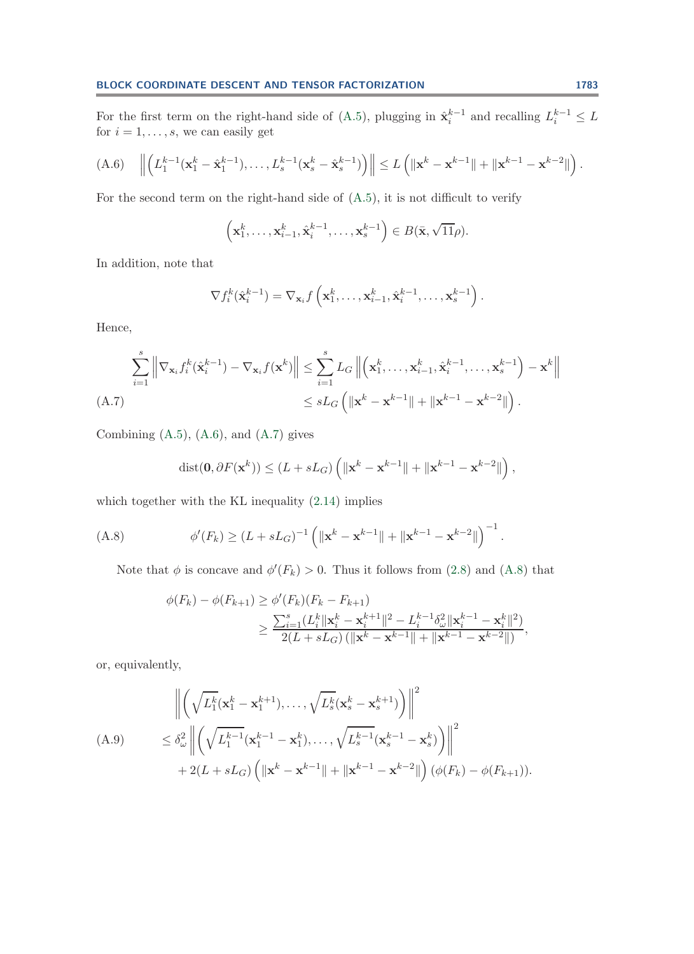For the first term on the right-hand side of [\(A.5\)](#page-24-0), plugging in  $\hat{\mathbf{x}}_i^{k-1}$  and recalling  $L_i^{k-1} \leq L$ for  $i = 1, \ldots, s$ , we can easily get

$$
(A.6) \quad \left\| \left( L_1^{k-1} (\mathbf{x}_1^k - \hat{\mathbf{x}}_1^{k-1}), \ldots, L_s^{k-1} (\mathbf{x}_s^k - \hat{\mathbf{x}}_s^{k-1}) \right) \right\| \leq L \left( \|\mathbf{x}^k - \mathbf{x}^{k-1}\| + \|\mathbf{x}^{k-1} - \mathbf{x}^{k-2}\| \right).
$$

For the second term on the right-hand side of [\(A.5\)](#page-24-0), it is not difficult to verify

<span id="page-25-0"></span>
$$
\left(\mathbf{x}_1^k,\ldots,\mathbf{x}_{i-1}^k,\hat{\mathbf{x}}_i^{k-1},\ldots,\mathbf{x}_s^{k-1}\right) \in B(\bar{\mathbf{x}},\sqrt{11}\rho).
$$

In addition, note that

$$
\nabla f_i^k(\hat{\mathbf{x}}_i^{k-1}) = \nabla_{\mathbf{x}_i} f\left(\mathbf{x}_1^k, \ldots, \mathbf{x}_{i-1}^k, \hat{\mathbf{x}}_i^{k-1}, \ldots, \mathbf{x}_s^{k-1}\right).
$$

Hence,

<span id="page-25-1"></span>
$$
\sum_{i=1}^{s} \left\| \nabla_{\mathbf{x}_i} f_i^k(\hat{\mathbf{x}}_i^{k-1}) - \nabla_{\mathbf{x}_i} f(\mathbf{x}^k) \right\| \le \sum_{i=1}^{s} L_G \left\| \left( \mathbf{x}_1^k, \dots, \mathbf{x}_{i-1}^k, \hat{\mathbf{x}}_i^{k-1}, \dots, \mathbf{x}_s^{k-1} \right) - \mathbf{x}^k \right\|
$$
\n(A.7)\n
$$
\le sL_G \left( \|\mathbf{x}^k - \mathbf{x}^{k-1}\| + \|\mathbf{x}^{k-1} - \mathbf{x}^{k-2}\| \right).
$$

Combining  $(A.5)$ ,  $(A.6)$ , and  $(A.7)$  gives

<span id="page-25-2"></span>
$$
\text{dist}(\mathbf{0}, \partial F(\mathbf{x}^k)) \le (L + sL_G) \left( \|\mathbf{x}^k - \mathbf{x}^{k-1}\| + \|\mathbf{x}^{k-1} - \mathbf{x}^{k-2}\| \right),
$$

which together with the KL inequality [\(2.14\)](#page-10-1) implies

(A.8) 
$$
\phi'(F_k) \ge (L + sL_G)^{-1} \left( \|\mathbf{x}^k - \mathbf{x}^{k-1}\| + \|\mathbf{x}^{k-1} - \mathbf{x}^{k-2}\| \right)^{-1}.
$$

Note that  $\phi$  is concave and  $\phi'(F_k) > 0$ . Thus it follows from [\(2.8\)](#page-7-1) and [\(A.8\)](#page-25-2) that

$$
\phi(F_k) - \phi(F_{k+1}) \ge \phi'(F_k)(F_k - F_{k+1})
$$
  
\n
$$
\ge \frac{\sum_{i=1}^s (L_i^k ||\mathbf{x}_k^k - \mathbf{x}_i^{k+1}||^2 - L_i^{k-1} \delta_\omega^2 ||\mathbf{x}_i^{k-1} - \mathbf{x}_i^k||^2)}{2(L + sL_G) (||\mathbf{x}^k - \mathbf{x}^{k-1}|| + ||\mathbf{x}^{k-1} - \mathbf{x}^{k-2}||)},
$$

or, equivalently,

<span id="page-25-3"></span>
$$
\left\| \left( \sqrt{L_1^k} (\mathbf{x}_1^k - \mathbf{x}_1^{k+1}), \dots, \sqrt{L_s^k} (\mathbf{x}_s^k - \mathbf{x}_s^{k+1}) \right) \right\|^2
$$
\n(A.9) 
$$
\leq \delta_{\omega}^2 \left\| \left( \sqrt{L_1^{k-1}} (\mathbf{x}_1^{k-1} - \mathbf{x}_1^k), \dots, \sqrt{L_s^{k-1}} (\mathbf{x}_s^{k-1} - \mathbf{x}_s^k) \right) \right\|^2
$$
\n
$$
+ 2(L + sL_G) \left( \|\mathbf{x}^k - \mathbf{x}^{k-1}\| + \|\mathbf{x}^{k-1} - \mathbf{x}^{k-2}\| \right) (\phi(F_k) - \phi(F_{k+1})).
$$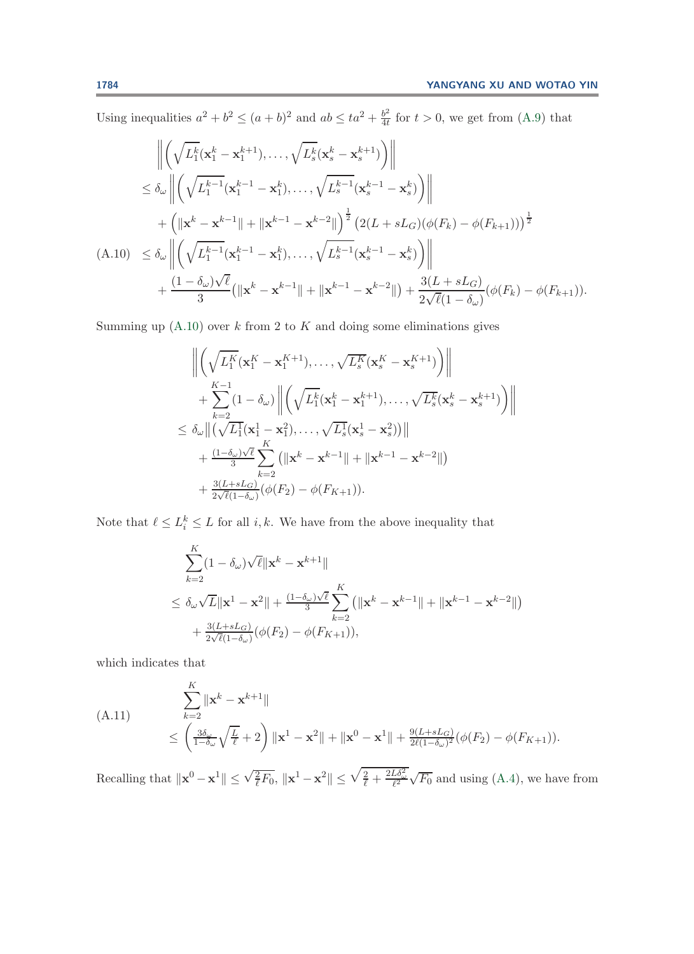Using inequalities  $a^2 + b^2 \le (a + b)^2$  and  $ab \le ta^2 + \frac{b^2}{4t}$  for  $t > 0$ , we get from [\(A.9\)](#page-25-3) that

$$
\left\| \left( \sqrt{L_1^k} (\mathbf{x}_1^k - \mathbf{x}_1^{k+1}), \dots, \sqrt{L_s^k} (\mathbf{x}_s^k - \mathbf{x}_s^{k+1}) \right) \right\|
$$
  
\n
$$
\leq \delta_{\omega} \left\| \left( \sqrt{L_1^{k-1}} (\mathbf{x}_1^{k-1} - \mathbf{x}_1^k), \dots, \sqrt{L_s^{k-1}} (\mathbf{x}_s^{k-1} - \mathbf{x}_s^k) \right) \right\|
$$
  
\n
$$
+ \left( \|\mathbf{x}^k - \mathbf{x}^{k-1}\| + \|\mathbf{x}^{k-1} - \mathbf{x}^{k-2}\| \right)^{\frac{1}{2}} \left( 2(L + sL_G)(\phi(F_k) - \phi(F_{k+1})) \right)^{\frac{1}{2}}
$$
  
\n(A.10) 
$$
\leq \delta_{\omega} \left\| \left( \sqrt{L_1^{k-1}} (\mathbf{x}_1^{k-1} - \mathbf{x}_1^k), \dots, \sqrt{L_s^{k-1}} (\mathbf{x}_s^{k-1} - \mathbf{x}_s^k) \right) \right\|
$$
  
\n
$$
+ \frac{(1 - \delta_{\omega})\sqrt{\ell}}{3} (\|\mathbf{x}^k - \mathbf{x}^{k-1}\| + \|\mathbf{x}^{k-1} - \mathbf{x}^{k-2}\|) + \frac{3(L + sL_G)}{2\sqrt{\ell}(1 - \delta_{\omega})} (\phi(F_k) - \phi(F_{k+1})).
$$

<span id="page-26-0"></span>Summing up  $(A.10)$  over k from 2 to K and doing some eliminations gives

$$
\begin{aligned}\n&\left\|\left(\sqrt{L_1^K}(\mathbf{x}_1^K-\mathbf{x}_1^{K+1}),\ldots,\sqrt{L_s^K}(\mathbf{x}_s^K-\mathbf{x}_s^{K+1})\right)\right\| \\
&+\sum_{k=2}^{K-1}(1-\delta_{\omega})\left\|\left(\sqrt{L_1^K}(\mathbf{x}_1^k-\mathbf{x}_1^{k+1}),\ldots,\sqrt{L_s^K}(\mathbf{x}_s^k-\mathbf{x}_s^{k+1})\right)\right\| \\
&\leq \delta_{\omega}\|\left(\sqrt{L_1^1}(\mathbf{x}_1^1-\mathbf{x}_1^2),\ldots,\sqrt{L_s^1}(\mathbf{x}_s^1-\mathbf{x}_s^2))\right\| \\
&+\frac{(1-\delta_{\omega})\sqrt{\ell}}{3}\sum_{k=2}^K\left(\|\mathbf{x}^k-\mathbf{x}^{k-1}\|+\|\mathbf{x}^{k-1}-\mathbf{x}^{k-2}\|\right) \\
&+\frac{3(L+sL_G)}{2\sqrt{\ell}(1-\delta_{\omega})}(\phi(F_2)-\phi(F_{K+1})).\n\end{aligned}
$$

Note that  $\ell \leq L_i^k \leq L$  for all i, k. We have from the above inequality that

$$
\sum_{k=2}^{K} (1 - \delta_{\omega}) \sqrt{\ell} ||\mathbf{x}^{k} - \mathbf{x}^{k+1}||
$$
\n
$$
\leq \delta_{\omega} \sqrt{L} ||\mathbf{x}^{1} - \mathbf{x}^{2}|| + \frac{(1 - \delta_{\omega})\sqrt{\ell}}{3} \sum_{k=2}^{K} (||\mathbf{x}^{k} - \mathbf{x}^{k-1}|| + ||\mathbf{x}^{k-1} - \mathbf{x}^{k-2}||)
$$
\n
$$
+ \frac{3(L + sL_{G})}{2\sqrt{\ell}(1 - \delta_{\omega})} (\phi(F_{2}) - \phi(F_{K+1})),
$$

<span id="page-26-1"></span>which indicates that

(A.11) 
$$
\sum_{k=2}^{K} ||\mathbf{x}^{k} - \mathbf{x}^{k+1}||
$$
  
\n
$$
\leq \left(\frac{3\delta_{\omega}}{1-\delta_{\omega}}\sqrt{\frac{L}{\ell}} + 2\right) ||\mathbf{x}^{1} - \mathbf{x}^{2}|| + ||\mathbf{x}^{0} - \mathbf{x}^{1}|| + \frac{9(L+sL_{G})}{2\ell(1-\delta_{\omega})^{2}}(\phi(F_{2}) - \phi(F_{K+1})).
$$

Recalling that  $\|\mathbf{x}^0 - \mathbf{x}^1\| \le \sqrt{\frac{2}{\ell}} F_0$ ,  $\|\mathbf{x}^1 - \mathbf{x}^2\| \le \sqrt{\frac{2}{\ell} + \frac{2L\delta_{\omega}^2}{\ell^2}} \sqrt{F_0}$  and using [\(A.4\)](#page-24-1), we have from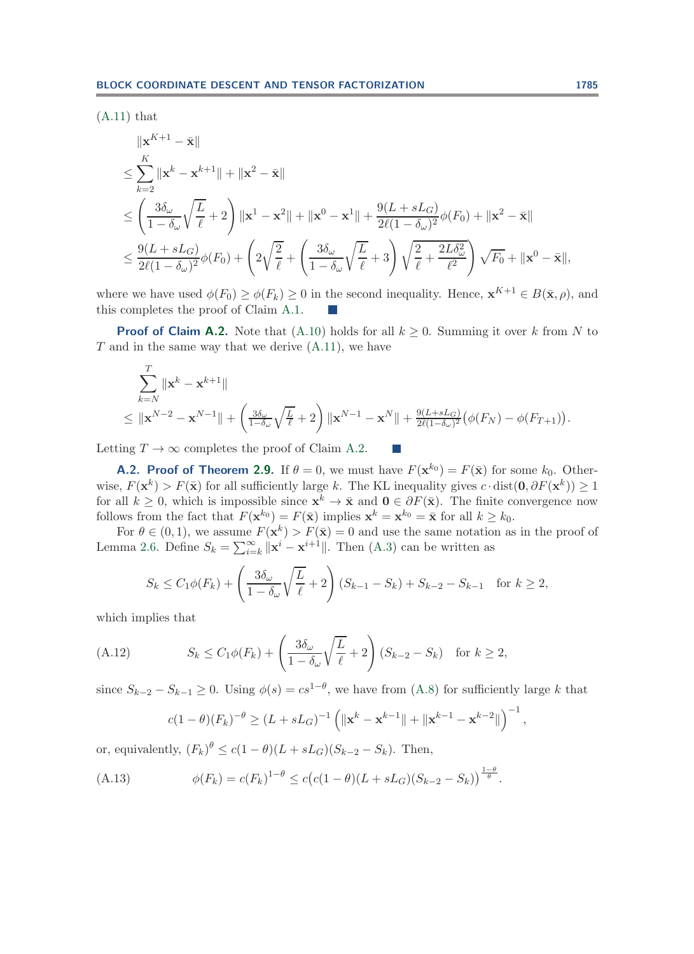$(A.11)$  that

$$
\| \mathbf{x}^{K+1} - \bar{\mathbf{x}} \|
$$
\n
$$
\leq \sum_{k=2}^{K} \| \mathbf{x}^{k} - \mathbf{x}^{k+1} \| + \| \mathbf{x}^{2} - \bar{\mathbf{x}} \|
$$
\n
$$
\leq \left( \frac{3\delta_{\omega}}{1 - \delta_{\omega}} \sqrt{\frac{L}{\ell}} + 2 \right) \| \mathbf{x}^{1} - \mathbf{x}^{2} \| + \| \mathbf{x}^{0} - \mathbf{x}^{1} \| + \frac{9(L + sL_{G})}{2\ell(1 - \delta_{\omega})^{2}} \phi(F_{0}) + \| \mathbf{x}^{2} - \bar{\mathbf{x}} \|
$$
\n
$$
\leq \frac{9(L + sL_{G})}{2\ell(1 - \delta_{\omega})^{2}} \phi(F_{0}) + \left( 2\sqrt{\frac{2}{\ell}} + \left( \frac{3\delta_{\omega}}{1 - \delta_{\omega}} \sqrt{\frac{L}{\ell}} + 3 \right) \sqrt{\frac{2}{\ell}} + \frac{2L\delta_{\omega}^{2}}{\ell^{2}} \right) \sqrt{F_{0}} + \| \mathbf{x}^{0} - \bar{\mathbf{x}} \|,
$$

where we have used  $\phi(F_0) \ge \phi(F_k) \ge 0$  in the second inequality. Hence,  $\mathbf{x}^{K+1} \in B(\bar{\mathbf{x}}, \rho)$ , and this completes the proof of Claim [A.1.](#page-23-3)

**Proof of Claim [A.2.](#page-23-6)** Note that [\(A.10\)](#page-26-0) holds for all  $k \geq 0$ . Summing it over k from N to  $T$  and in the same way that we derive  $(A.11)$ , we have

$$
\sum_{k=N}^{T} \|\mathbf{x}^{k} - \mathbf{x}^{k+1}\|
$$
\n
$$
\leq \|\mathbf{x}^{N-2} - \mathbf{x}^{N-1}\| + \left(\frac{3\delta_{\omega}}{1-\delta_{\omega}}\sqrt{\frac{L}{\ell}} + 2\right) \|\mathbf{x}^{N-1} - \mathbf{x}^{N}\| + \frac{9(L+sL_{G})}{2\ell(1-\delta_{\omega})^{2}}\left(\phi(F_{N}) - \phi(F_{T+1})\right).
$$

Letting  $T \to \infty$  completes the proof of Claim [A.2.](#page-23-6)

**A.2. Proof of Theorem [2.9.](#page-13-0)** If  $\theta = 0$ , we must have  $F(\mathbf{x}^{k_0}) = F(\bar{\mathbf{x}})$  for some  $k_0$ . Otherwise,  $F(\mathbf{x}^k) > F(\bar{\mathbf{x}})$  for all sufficiently large k. The KL inequality gives  $c \cdot \text{dist}(\mathbf{0}, \partial F(\mathbf{x}^k)) \geq 1$ for all  $k \geq 0$ , which is impossible since  $\mathbf{x}^k \to \bar{\mathbf{x}}$  and  $\mathbf{0} \in \partial F(\bar{\mathbf{x}})$ . The finite convergence now follows from the fact that  $F(\mathbf{x}^{k_0}) = F(\bar{\mathbf{x}})$  implies  $\mathbf{x}^k = \mathbf{x}^{k_0} = \bar{\mathbf{x}}$  for all  $k \geq k_0$ .

For  $\theta \in (0,1)$ , we assume  $F(\mathbf{x}^k) > F(\bar{\mathbf{x}}) = 0$  and use the same notation as in the proof of Lemma [2.6.](#page-12-0) Define  $S_k = \sum_{i=k}^{\infty} ||\mathbf{x}^i - \mathbf{x}^{i+1}||$ . Then [\(A.3\)](#page-23-4) can be written as

<span id="page-27-0"></span>
$$
S_k \le C_1 \phi(F_k) + \left(\frac{3\delta_\omega}{1 - \delta_\omega} \sqrt{\frac{L}{\ell}} + 2\right) (S_{k-1} - S_k) + S_{k-2} - S_{k-1} \text{ for } k \ge 2,
$$

which implies that

(A.12) 
$$
S_k \le C_1 \phi(F_k) + \left(\frac{3\delta_\omega}{1 - \delta_\omega} \sqrt{\frac{L}{\ell}} + 2\right) (S_{k-2} - S_k) \text{ for } k \ge 2,
$$

since  $S_{k-2} - S_{k-1} \geq 0$ . Using  $\phi(s) = cs^{1-\theta}$ , we have from [\(A.8\)](#page-25-2) for sufficiently large k that

<span id="page-27-1"></span>
$$
c(1-\theta)(F_k)^{-\theta} \ge (L + sL_G)^{-1} \left( \|\mathbf{x}^k - \mathbf{x}^{k-1}\| + \|\mathbf{x}^{k-1} - \mathbf{x}^{k-2}\| \right)^{-1},
$$

or, equivalently,  $(F_k)^{\theta} \leq c(1-\theta)(L + sL_G)(S_{k-2} - S_k)$ . Then,

(A.13) 
$$
\phi(F_k) = c(F_k)^{1-\theta} \le c(c(1-\theta)(L + sL_G)(S_{k-2} - S_k))^{\frac{1-\theta}{\theta}}.
$$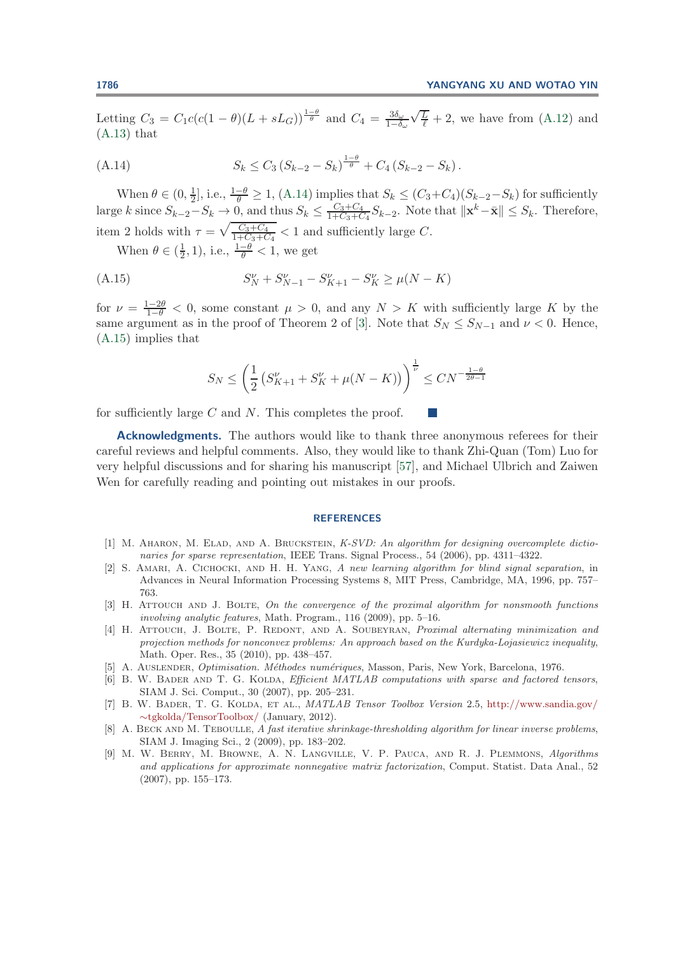<span id="page-28-8"></span>Letting  $C_3 = C_1 c (c(1 - \theta)(L + sL_G))^{\frac{1-\theta}{\theta}}$  and  $C_4 = \frac{3\delta_{\omega}}{1-\delta_{\omega}}$  $\sqrt{\frac{L}{L}}$  $\frac{L}{\ell}$  + 2, we have from [\(A.12\)](#page-27-0) and  $(A.13)$  that

(A.14) 
$$
S_k \leq C_3 (S_{k-2} - S_k)^{\frac{1-\theta}{\theta}} + C_4 (S_{k-2} - S_k).
$$

When  $\theta \in (0, \frac{1}{2}]$ , i.e.,  $\frac{1-\theta}{\theta} \ge 1$ , [\(A.14\)](#page-28-8) implies that  $S_k \le (C_3 + C_4)(S_{k-2} - S_k)$  for sufficiently large k since  $S_{k-2}-S_k \to 0$ , and thus  $S_k \leq \frac{C_3+C_4}{1+C_3+C_4}S_{k-2}$ . Note that  $\|\mathbf{x}^k-\bar{\mathbf{x}}\| \leq S_k$ . Therefore, item 2 holds with  $\tau = \sqrt{\frac{C_3 + C_4}{1 + C_3 + C_4}} < 1$  and sufficiently large C. When  $\theta \in (\frac{1}{2}, 1)$ , i.e.,  $\frac{1-\theta}{\theta} < 1$ , we get

(A.15) 
$$
S_N^{\nu} + S_{N-1}^{\nu} - S_{K+1}^{\nu} - S_K^{\nu} \ge \mu(N - K)
$$

for  $\nu = \frac{1-2\theta}{1-\theta} < 0$ , some constant  $\mu > 0$ , and any  $N > K$  with sufficiently large K by the same argument as in the proof of Theorem 2 of [\[3\]](#page-28-9). Note that  $S_N \leq S_{N-1}$  and  $\nu < 0$ . Hence, [\(A.15\)](#page-28-10) implies that

<span id="page-28-10"></span>
$$
S_N \le \left(\frac{1}{2}\left(S_{K+1}^{\nu} + S_K^{\nu} + \mu(N - K)\right)\right)^{\frac{1}{\nu}} \le CN^{-\frac{1-\theta}{2\theta - 1}}
$$

for sufficiently large C and N. This completes the proof.

**Acknowledgments.** The authors would like to thank three anonymous referees for their careful reviews and helpful comments. Also, they would like to thank Zhi-Quan (Tom) Luo for very helpful discussions and for sharing his manuscript [\[57\]](#page-30-5), and Michael Ulbrich and Zaiwen Wen for carefully reading and pointing out mistakes in our proofs.

## **REFERENCES**

- <span id="page-28-3"></span>[1] M. AHARON, M. ELAD, AND A. BRUCKSTEIN, K-SVD: An algorithm for designing overcomplete dictionaries for sparse representation, IEEE Trans. Signal Process., 54 (2006), pp. 4311–4322.
- <span id="page-28-2"></span>[2] S. Amari, A. Cichocki, and H. H. Yang, A new learning algorithm for blind signal separation, in Advances in Neural Information Processing Systems 8, MIT Press, Cambridge, MA, 1996, pp. 757– 763.
- <span id="page-28-9"></span>[3] H. ATTOUCH AND J. BOLTE, On the convergence of the proximal algorithm for nonsmooth functions involving analytic features, Math. Program., 116 (2009), pp. 5–16.
- <span id="page-28-1"></span>[4] H. ATTOUCH, J. BOLTE, P. REDONT, AND A. SOUBEYRAN, *Proximal alternating minimization and* projection methods for nonconvex problems: An approach based on the Kurdyka-Lojasiewicz inequality, Math. Oper. Res., 35 (2010), pp. 438–457.
- <span id="page-28-5"></span><span id="page-28-0"></span>[5] A. Auslender, Optimisation. M´ethodes num´eriques, Masson, Paris, New York, Barcelona, 1976.
- [6] B. W. BADER AND T. G. KOLDA, *Efficient MATLAB computations with sparse and factored tensors*, SIAM J. Sci. Comput., 30 (2007), pp. 205–231.
- <span id="page-28-6"></span>[7] B. W. Bader, T. G. Kolda, et al., MATLAB Tensor Toolbox Version 2.5, [http://www.sandia.gov/](http://www.sandia.gov/~tgkolda/TensorToolbox/) ∼[tgkolda/TensorToolbox/](http://www.sandia.gov/~tgkolda/TensorToolbox/) (January, 2012).
- <span id="page-28-4"></span>[8] A. BECK AND M. TEBOULLE, A fast iterative shrinkage-thresholding algorithm for linear inverse problems, SIAM J. Imaging Sci., 2 (2009), pp. 183–202.
- <span id="page-28-7"></span>[9] M. W. Berry, M. Browne, A. N. Langville, V. P. Pauca, and R. J. Plemmons, Algorithms and applications for approximate nonnegative matrix factorization, Comput. Statist. Data Anal., 52 (2007), pp. 155–173.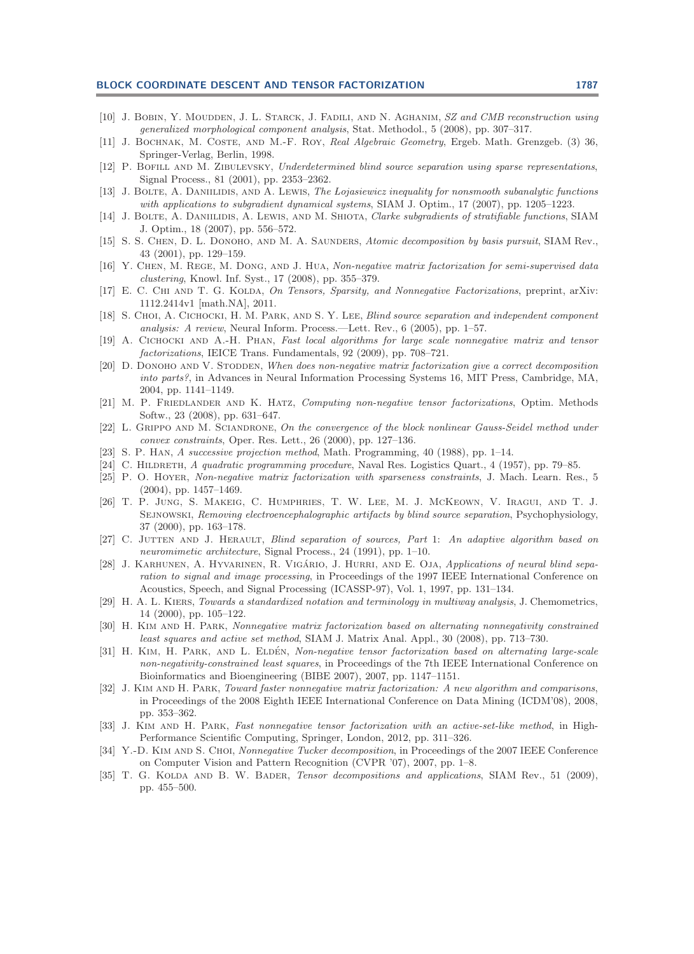### **BLOCK COORDINATE DESCENT AND TENSOR FACTORIZATION 1787**

- <span id="page-29-11"></span>[10] J. BOBIN, Y. MOUDDEN, J. L. STARCK, J. FADILI, AND N. AGHANIM, SZ and CMB reconstruction using generalized morphological component analysis, Stat. Methodol., 5 (2008), pp. 307–317.
- <span id="page-29-19"></span>[11] J. BOCHNAK, M. COSTE, AND M.-F. ROY, Real Algebraic Geometry, Ergeb. Math. Grenzgeb. (3) 36, Springer-Verlag, Berlin, 1998.
- <span id="page-29-10"></span>[12] P. BOFILL AND M. ZIBULEVSKY, Underdetermined blind source separation using sparse representations, Signal Process., 81 (2001), pp. 2353–2362.
- <span id="page-29-3"></span>[13] J. BOLTE, A. DANIILIDIS, AND A. LEWIS, The Lojasiewicz inequality for nonsmooth subanalytic functions with applications to subgradient dynamical systems, SIAM J. Optim., 17 (2007), pp. 1205–1223.
- <span id="page-29-4"></span>[14] J. BOLTE, A. DANIILIDIS, A. LEWIS, AND M. SHIOTA, Clarke subgradients of stratifiable functions, SIAM J. Optim., 18 (2007), pp. 556–572.
- <span id="page-29-5"></span>[15] S. S. CHEN, D. L. DONOHO, AND M. A. SAUNDERS, Atomic decomposition by basis pursuit, SIAM Rev., 43 (2001), pp. 129–159.
- <span id="page-29-12"></span>[16] Y. CHEN, M. REGE, M. DONG, AND J. HUA, Non-negative matrix factorization for semi-supervised data clustering, Knowl. Inf. Syst., 17 (2008), pp. 355–379.
- <span id="page-29-24"></span>[17] E. C. CHI AND T. G. KOLDA, On Tensors, Sparsity, and Nonnegative Factorizations, preprint, arXiv: 1112.2414v1 [math.NA], 2011.
- <span id="page-29-9"></span>[18] S. CHOI, A. CICHOCKI, H. M. PARK, AND S. Y. LEE, Blind source separation and independent component analysis: A review, Neural Inform. Process.—Lett. Rev., 6 (2005), pp. 1–57.
- <span id="page-29-22"></span>[19] A. Cichocki and A.-H. Phan, Fast local algorithms for large scale nonnegative matrix and tensor factorizations, IEICE Trans. Fundamentals, 92 (2009), pp. 708–721.
- <span id="page-29-25"></span>[20] D. DONOHO AND V. STODDEN, When does non-negative matrix factorization give a correct decomposition into parts?, in Advances in Neural Information Processing Systems 16, MIT Press, Cambridge, MA, 2004, pp. 1141–1149.
- <span id="page-29-18"></span>[21] M. P. FRIEDLANDER AND K. HATZ, Computing non-negative tensor factorizations, Optim. Methods Softw., 23 (2008), pp. 631–647.
- <span id="page-29-1"></span>[22] L. GRIPPO AND M. SCIANDRONE, On the convergence of the block nonlinear Gauss-Seidel method under convex constraints, Oper. Res. Lett., 26 (2000), pp. 127–136.
- <span id="page-29-2"></span><span id="page-29-0"></span>[23] S. P. Han, A successive projection method, Math. Programming, 40 (1988), pp. 1–14.
- <span id="page-29-23"></span>[24] C. HILDRETH, A quadratic programming procedure, Naval Res. Logistics Quart., 4 (1957), pp. 79–85.
- [25] P. O. Hoyer, Non-negative matrix factorization with sparseness constraints, J. Mach. Learn. Res., 5 (2004), pp. 1457–1469.
- <span id="page-29-7"></span>[26] T. P. Jung, S. Makeig, C. Humphries, T. W. Lee, M. J. McKeown, V. Iragui, and T. J. SEJNOWSKI, Removing electroencephalographic artifacts by blind source separation, Psychophysiology, 37 (2000), pp. 163–178.
- <span id="page-29-6"></span>[27] C. JUTTEN AND J. HERAULT, Blind separation of sources, Part 1: An adaptive algorithm based on neuromimetic architecture, Signal Process., 24 (1991), pp. 1–10.
- <span id="page-29-8"></span>[28] J. KARHUNEN, A. HYVARINEN, R. VIGÁRIO, J. HURRI, AND E. OJA, Applications of neural blind separation to signal and image processing, in Proceedings of the 1997 IEEE International Conference on Acoustics, Speech, and Signal Processing (ICASSP-97), Vol. 1, 1997, pp. 131–134.
- <span id="page-29-21"></span>[29] H. A. L. KIERS, Towards a standardized notation and terminology in multiway analysis, J. Chemometrics, 14 (2000), pp. 105–122.
- <span id="page-29-13"></span>[30] H. Kim and H. Park, Nonnegative matrix factorization based on alternating nonnegativity constrained least squares and active set method, SIAM J. Matrix Anal. Appl., 30 (2008), pp. 713–730.
- <span id="page-29-16"></span>[31] H. KIM, H. PARK, AND L. ELDÉN, Non-negative tensor factorization based on alternating large-scale non-negativity-constrained least squares, in Proceedings of the 7th IEEE International Conference on Bioinformatics and Bioengineering (BIBE 2007), 2007, pp. 1147–1151.
- <span id="page-29-14"></span>[32] J. KIM AND H. PARK, Toward faster nonnegative matrix factorization: A new algorithm and comparisons, in Proceedings of the 2008 Eighth IEEE International Conference on Data Mining (ICDM'08), 2008, pp. 353–362.
- <span id="page-29-17"></span>[33] J. KIM AND H. PARK, Fast nonnegative tensor factorization with an active-set-like method, in High-Performance Scientific Computing, Springer, London, 2012, pp. 311–326.
- <span id="page-29-15"></span>[34] Y.-D. KIM AND S. CHOI, Nonnegative Tucker decomposition, in Proceedings of the 2007 IEEE Conference on Computer Vision and Pattern Recognition (CVPR '07), 2007, pp. 1–8.
- <span id="page-29-20"></span>[35] T. G. KOLDA AND B. W. BADER, Tensor decompositions and applications, SIAM Rev., 51 (2009), pp. 455–500.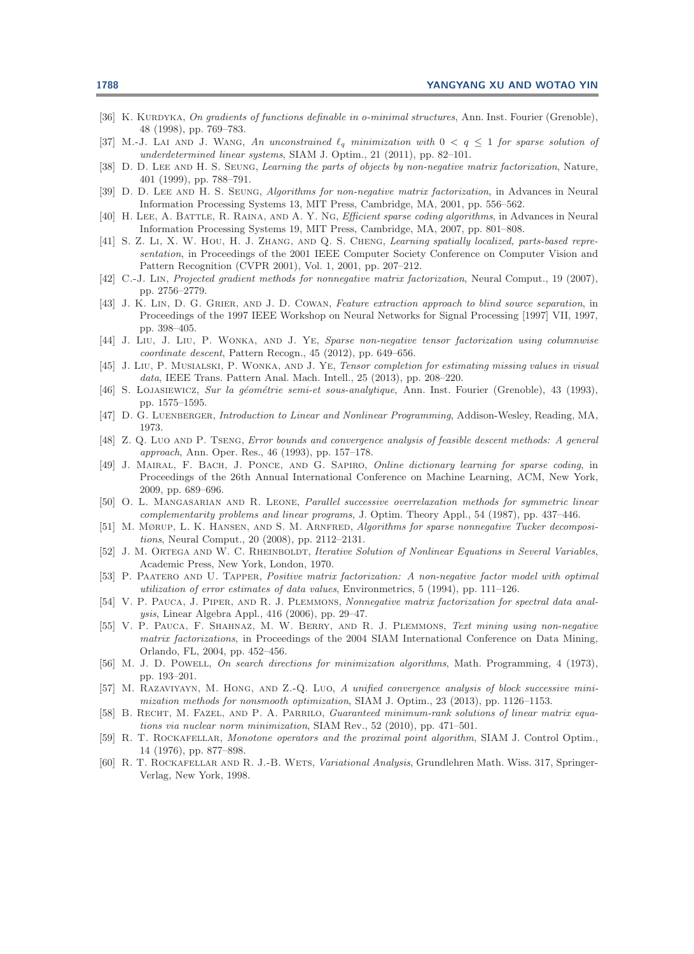- <span id="page-30-21"></span>[36] K. KURDYKA, On gradients of functions definable in o-minimal structures, Ann. Inst. Fourier (Grenoble), 48 (1998), pp. 769–783.
- <span id="page-30-22"></span>[37] M.-J. LAI AND J. WANG, An unconstrained  $\ell_q$  minimization with  $0 < q \leq 1$  for sparse solution of underdetermined linear systems, SIAM J. Optim., 21 (2011), pp. 82–101.
- <span id="page-30-11"></span>[38] D. D. LEE AND H. S. SEUNG, Learning the parts of objects by non-negative matrix factorization, Nature, 401 (1999), pp. 788–791.
- <span id="page-30-15"></span>[39] D. D. LEE AND H. S. SEUNG, Algorithms for non-negative matrix factorization, in Advances in Neural Information Processing Systems 13, MIT Press, Cambridge, MA, 2001, pp. 556–562.
- <span id="page-30-8"></span>[40] H. LEE, A. BATTLE, R. RAINA, AND A. Y. NG, *Efficient sparse coding algorithms*, in Advances in Neural Information Processing Systems 19, MIT Press, Cambridge, MA, 2007, pp. 801–808.
- <span id="page-30-13"></span>[41] S. Z. Li, X. W. HOU, H. J. ZHANG, AND Q. S. CHENG, *Learning spatially localized, parts-based repre*sentation, in Proceedings of the 2001 IEEE Computer Society Conference on Computer Vision and Pattern Recognition (CVPR 2001), Vol. 1, 2001, pp. 207–212.
- <span id="page-30-16"></span>[42] C.-J. Lin, Projected gradient methods for nonnegative matrix factorization, Neural Comput., 19 (2007), pp. 2756–2779.
- <span id="page-30-7"></span>[43] J. K. LIN, D. G. GRIER, AND J. D. COWAN, Feature extraction approach to blind source separation, in Proceedings of the 1997 IEEE Workshop on Neural Networks for Signal Processing [1997] VII, 1997, pp. 398–405.
- <span id="page-30-17"></span>[44] J. Liu, J. Liu, P. Wonka, and J. Ye, Sparse non-negative tensor factorization using columnwise coordinate descent, Pattern Recogn., 45 (2012), pp. 649–656.
- <span id="page-30-24"></span>[45] J. Liu, P. MUSIALSKI, P. WONKA, AND J. YE, Tensor completion for estimating missing values in visual data, IEEE Trans. Pattern Anal. Mach. Intell., 25 (2013), pp. 208–220.
- <span id="page-30-20"></span>[46] S. LOJASIEWICZ, Sur la géométrie semi-et sous-analytique, Ann. Inst. Fourier (Grenoble), 43 (1993), pp. 1575–1595.
- <span id="page-30-3"></span><span id="page-30-2"></span>[47] D. G. LUENBERGER, Introduction to Linear and Nonlinear Programming, Addison-Wesley, Reading, MA, 1973.
- [48] Z. Q. Luo AND P. TSENG, Error bounds and convergence analysis of feasible descent methods: A general approach, Ann. Oper. Res., 46 (1993), pp. 157–178.
- <span id="page-30-9"></span>[49] J. MAIRAL, F. BACH, J. PONCE, AND G. SAPIRO, Online dictionary learning for sparse coding, in Proceedings of the 26th Annual International Conference on Machine Learning, ACM, New York, 2009, pp. 689–696.
- <span id="page-30-4"></span>[50] O. L. MANGASARIAN AND R. LEONE, Parallel successive overrelaxation methods for symmetric linear complementarity problems and linear programs, J. Optim. Theory Appl., 54 (1987), pp. 437–446.
- <span id="page-30-23"></span>[51] M. MØRUP, L. K. HANSEN, AND S. M. ARNFRED, Algorithms for sparse nonnegative Tucker decompositions, Neural Comput., 20 (2008), pp. 2112–2131.
- <span id="page-30-0"></span>[52] J. M. ORTEGA AND W. C. RHEINBOLDT, Iterative Solution of Nonlinear Equations in Several Variables, Academic Press, New York, London, 1970.
- <span id="page-30-10"></span>[53] P. PAATERO AND U. TAPPER, Positive matrix factorization: A non-negative factor model with optimal utilization of error estimates of data values, Environmetrics, 5 (1994), pp. 111–126.
- <span id="page-30-14"></span>[54] V. P. Pauca, J. Piper, and R. J. Plemmons, Nonnegative matrix factorization for spectral data analysis, Linear Algebra Appl., 416 (2006), pp. 29–47.
- <span id="page-30-12"></span>[55] V. P. PAUCA, F. SHAHNAZ, M. W. BERRY, AND R. J. PLEMMONS, Text mining using non-negative matrix factorizations, in Proceedings of the 2004 SIAM International Conference on Data Mining, Orlando, FL, 2004, pp. 452–456.
- <span id="page-30-1"></span>[56] M. J. D. POWELL, On search directions for minimization algorithms, Math. Programming, 4 (1973), pp. 193–201.
- <span id="page-30-5"></span>[57] M. RAZAVIYAYN, M. HONG, AND Z.-Q. LUO, A unified convergence analysis of block successive minimization methods for nonsmooth optimization, SIAM J. Optim., 23 (2013), pp. 1126–1153.
- <span id="page-30-6"></span>[58] B. RECHT, M. FAZEL, AND P. A. PARRILO, Guaranteed minimum-rank solutions of linear matrix equations via nuclear norm minimization, SIAM Rev., 52 (2010), pp. 471–501.
- <span id="page-30-19"></span>[59] R. T. ROCKAFELLAR, Monotone operators and the proximal point algorithm, SIAM J. Control Optim., 14 (1976), pp. 877–898.
- <span id="page-30-18"></span>[60] R. T. ROCKAFELLAR AND R. J.-B. WETS, Variational Analysis, Grundlehren Math. Wiss. 317, Springer-Verlag, New York, 1998.